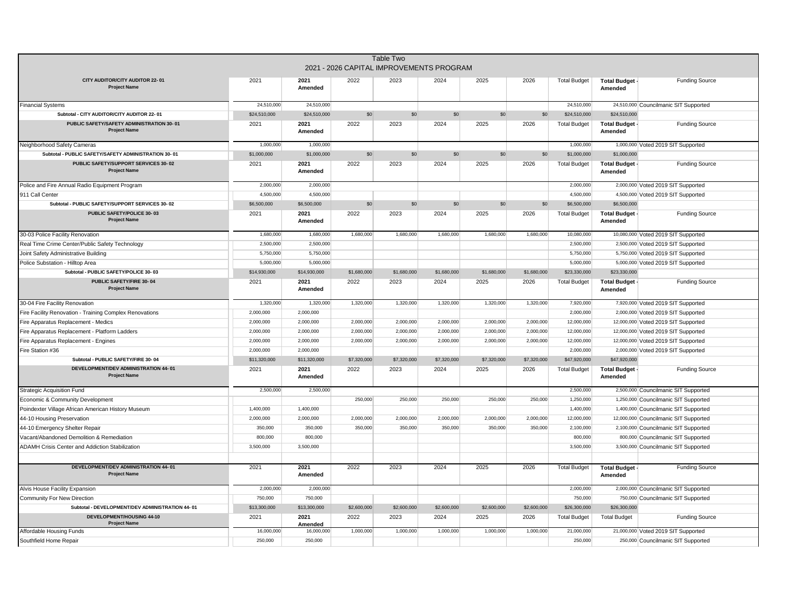|                                                                  |              |                 |             | Table Two<br>2021 - 2026 CAPITAL IMPROVEMENTS PROGRAM |             |             |             |                     |                                |                                       |
|------------------------------------------------------------------|--------------|-----------------|-------------|-------------------------------------------------------|-------------|-------------|-------------|---------------------|--------------------------------|---------------------------------------|
| CITY AUDITOR/CITY AUDITOR 22-01<br><b>Project Name</b>           | 2021         | 2021<br>Amended | 2022        | 2023                                                  | 2024        | 2025        | 2026        | <b>Total Budget</b> | Total Budget -<br>Amended      | <b>Funding Source</b>                 |
| <b>Financial Systems</b>                                         | 24,510,000   | 24,510,000      |             |                                                       |             |             |             | 24,510,000          |                                | 24,510,000 Councilmanic SIT Supported |
| Subtotal - CITY AUDITOR/CITY AUDITOR 22-01                       | \$24,510,000 | \$24,510,000    | \$0         | \$0                                                   | \$0         | \$0         | \$0         | \$24,510,000        | \$24,510,000                   |                                       |
| PUBLIC SAFETY/SAFETY ADMINISTRATION 30-01<br><b>Project Name</b> | 2021         | 2021<br>Amended | 2022        | 2023                                                  | 2024        | 2025        | 2026        | <b>Total Budget</b> | <b>Total Budget</b><br>Amended | <b>Funding Source</b>                 |
| Neighborhood Safety Cameras                                      | 1,000,000    | 1,000,000       |             |                                                       |             |             |             | 1,000,000           |                                | 1,000,000 Voted 2019 SIT Supported    |
| Subtotal - PUBLIC SAFETY/SAFETY ADMINISTRATION 30-01             | \$1,000,000  | \$1,000,000     | \$0         | \$0                                                   | \$0         | \$0         | \$0         | \$1,000,000         | \$1,000,000                    |                                       |
| PUBLIC SAFETY/SUPPORT SERVICES 30-02<br><b>Project Name</b>      | 2021         | 2021<br>Amended | 2022        | 2023                                                  | 2024        | 2025        | 2026        | <b>Total Budget</b> | <b>Total Budget</b><br>Amended | <b>Funding Source</b>                 |
| Police and Fire Annual Radio Equipment Program                   | 2,000,000    | 2,000,000       |             |                                                       |             |             |             | 2,000,000           |                                | 2,000,000 Voted 2019 SIT Supported    |
| 911 Call Center                                                  | 4,500,000    | 4,500,000       |             |                                                       |             |             |             | 4,500,000           |                                | 4,500,000 Voted 2019 SIT Supported    |
| Subtotal - PUBLIC SAFETY/SUPPORT SERVICES 30-02                  | \$6,500,000  | \$6,500,000     | \$0         | \$0                                                   | \$0         | \$0         | \$0         | \$6,500,000         | \$6,500,000                    |                                       |
| PUBLIC SAFETY/POLICE 30-03<br><b>Project Name</b>                | 2021         | 2021<br>Amended | 2022        | 2023                                                  | 2024        | 2025        | 2026        | <b>Total Budget</b> | <b>Total Budget</b><br>Amended | <b>Funding Source</b>                 |
| 30-03 Police Facility Renovation                                 | 1,680,000    | 1,680,000       | 1,680,000   | 1,680,000                                             | 1,680,000   | 1,680,000   | 1,680,000   | 10,080,000          |                                | 10,080,000 Voted 2019 SIT Supported   |
| Real Time Crime Center/Public Safety Technology                  | 2,500,000    | 2,500,000       |             |                                                       |             |             |             | 2,500,000           |                                | 2,500,000 Voted 2019 SIT Supported    |
| Joint Safety Administrative Building                             | 5,750,000    | 5,750,000       |             |                                                       |             |             |             | 5,750,000           |                                | 5,750,000 Voted 2019 SIT Supported    |
| Police Substation - Hilltop Area                                 | 5,000,000    | 5,000,000       |             |                                                       |             |             |             | 5,000,000           |                                | 5,000,000 Voted 2019 SIT Supported    |
| Subtotal - PUBLIC SAFETY/POLICE 30-03                            | \$14,930,000 | \$14,930,000    | \$1,680,000 | \$1,680,000                                           | \$1,680,000 | \$1,680,000 | \$1,680,000 | \$23,330,000        | \$23,330,000                   |                                       |
| PUBLIC SAFETY/FIRE 30-04<br><b>Project Name</b>                  | 2021         | 2021<br>Amended | 2022        | 2023                                                  | 2024        | 2025        | 2026        | <b>Total Budget</b> | <b>Total Budget</b><br>Amended | <b>Funding Source</b>                 |
| 30-04 Fire Facility Renovation                                   | 1,320,000    | 1,320,000       | 1,320,000   | 1,320,000                                             | 1,320,000   | 1,320,000   | 1,320,000   | 7,920,000           |                                | 7,920,000 Voted 2019 SIT Supported    |
| Fire Facility Renovation - Training Complex Renovations          | 2,000,000    | 2,000,000       |             |                                                       |             |             |             | 2,000,000           |                                | 2,000,000 Voted 2019 SIT Supported    |
| Fire Apparatus Replacement - Medics                              | 2,000,000    | 2,000,000       | 2,000,000   | 2,000,000                                             | 2,000,000   | 2,000,000   | 2,000,000   | 12,000,000          |                                | 12,000,000 Voted 2019 SIT Supported   |
| Fire Apparatus Replacement - Platform Ladders                    | 2,000,000    | 2,000,000       | 2,000,000   | 2,000,000                                             | 2,000,000   | 2,000,000   | 2,000,000   | 12,000,000          |                                | 12,000,000 Voted 2019 SIT Supported   |
| Fire Apparatus Replacement - Engines                             | 2,000,000    | 2,000,000       | 2,000,000   | 2,000,000                                             | 2,000,000   | 2,000,000   | 2,000,000   | 12,000,000          |                                | 12,000,000 Voted 2019 SIT Supported   |
| Fire Station #36                                                 | 2,000,000    | 2,000,000       |             |                                                       |             |             |             | 2,000,000           |                                | 2,000,000 Voted 2019 SIT Supported    |
| Subtotal - PUBLIC SAFETY/FIRE 30-04                              | \$11,320,000 | \$11,320,000    | \$7,320,000 | \$7,320,000                                           | \$7,320,000 | \$7,320,000 | \$7,320,000 | \$47,920,000        | \$47,920,000                   |                                       |
| DEVELOPMENT/DEV ADMINISTRATION 44-01<br><b>Project Name</b>      | 2021         | 2021<br>Amended | 2022        | 2023                                                  | 2024        | 2025        | 2026        | <b>Total Budget</b> | <b>Total Budget</b><br>Amended | <b>Funding Source</b>                 |
| <b>Strategic Acquisition Fund</b>                                | 2,500,000    | 2,500,000       |             |                                                       |             |             |             | 2,500,000           |                                | 2,500,000 Councilmanic SIT Supported  |
| Economic & Community Development                                 |              |                 | 250,000     | 250,000                                               | 250,000     | 250,000     | 250,000     | 1,250,000           |                                | 1,250,000 Councilmanic SIT Supported  |
| Poindexter Village African American History Museum               | 1,400,000    | 1,400,000       |             |                                                       |             |             |             | 1,400,000           |                                | 1,400,000 Councilmanic SIT Supported  |
| 44-10 Housing Preservation                                       | 2,000,000    | 2,000,000       | 2,000,000   | 2,000,000                                             | 2,000,000   | 2,000,000   | 2,000,000   | 12,000,000          |                                | 12,000,000 Councilmanic SIT Supported |
| 44-10 Emergency Shelter Repair                                   | 350,000      | 350,000         | 350,000     | 350,000                                               | 350,000     | 350,000     | 350,000     | 2,100,000           |                                | 2,100,000 Councilmanic SIT Supported  |
| /acant/Abandoned Demolition & Remediation                        | 800,000      | 800,000         |             |                                                       |             |             |             | 800,000             |                                | 800,000 Councilmanic SIT Supported    |
| ADAMH Crisis Center and Addiction Stabilization                  | 3,500,000    | 3,500,000       |             |                                                       |             |             |             | 3,500,000           |                                | 3,500,000 Councilmanic SIT Supported  |
| DEVELOPMENT/DEV ADMINISTRATION 44-01<br><b>Project Name</b>      | 2021         | 2021<br>Amended | 2022        | 2023                                                  | 2024        | 2025        | 2026        | <b>Total Budget</b> | <b>Total Budget</b><br>Amended | <b>Funding Source</b>                 |
| Alvis House Facility Expansion                                   | 2,000,000    | 2,000,000       |             |                                                       |             |             |             | 2,000,000           |                                | 2,000,000 Councilmanic SIT Supported  |
| Community For New Direction                                      | 750,000      | 750,000         |             |                                                       |             |             |             | 750,000             |                                | 750,000 Councilmanic SIT Supported    |
| Subtotal - DEVELOPMENT/DEV ADMINISTRATION 44-01                  | \$13,300,000 | \$13,300,000    | \$2,600,000 | \$2,600,000                                           | \$2,600,000 | \$2,600,000 | \$2,600,000 | \$26,300,000        | \$26,300,000                   |                                       |
| DEVELOPMENT/HOUSING 44-10<br><b>Project Name</b>                 | 2021         | 2021<br>Amended | 2022        | 2023                                                  | 2024        | 2025        | 2026        | <b>Total Budget</b> | <b>Total Budget</b>            | <b>Funding Source</b>                 |
| Affordable Housing Funds                                         | 16,000,000   | 16,000,000      | 1,000,000   | 1,000,000                                             | 1,000,000   | 1.000.000   | 1,000,000   | 21,000,000          |                                | 21,000,000 Voted 2019 SIT Supported   |
| Southfield Home Repair                                           | 250,000      | 250,000         |             |                                                       |             |             |             | 250,000             |                                | 250,000 Councilmanic SIT Supported    |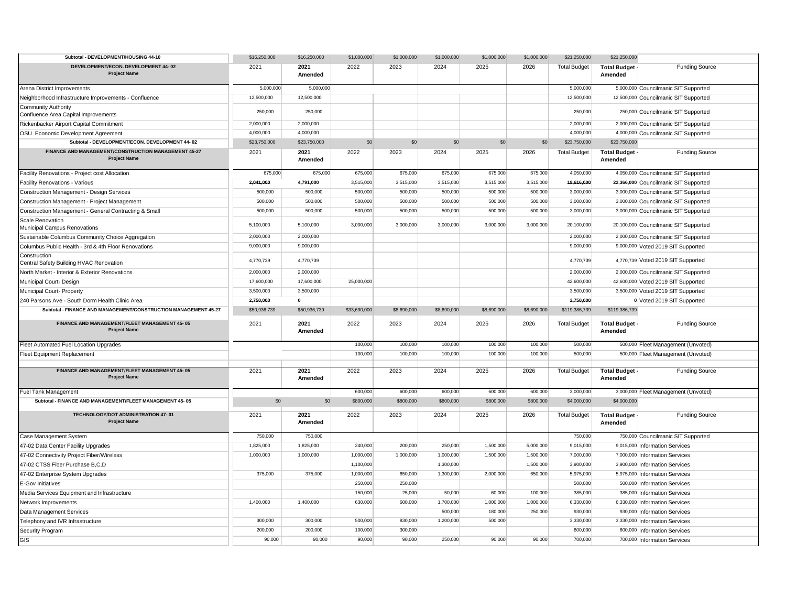| Subtotal - DEVELOPMENT/HOUSING 44-10                                        | \$16,250,000 | \$16,250,000    | \$1,000,000  | \$1,000,000 | \$1,000,000 | \$1,000,000 | \$1,000,000 | \$21,250,000        | \$21,250,000                   |                                       |
|-----------------------------------------------------------------------------|--------------|-----------------|--------------|-------------|-------------|-------------|-------------|---------------------|--------------------------------|---------------------------------------|
| DEVELOPMENT/ECON. DEVELOPMENT 44-02<br><b>Project Name</b>                  | 2021         | 2021<br>Amended | 2022         | 2023        | 2024        | 2025        | 2026        | <b>Total Budget</b> | <b>Total Budget</b><br>Amended | <b>Funding Source</b>                 |
| Arena District Improvements                                                 | 5,000,000    | 5,000,000       |              |             |             |             |             | 5,000,000           |                                | 5,000,000 Councilmanic SIT Supported  |
| Neighborhood Infrastructure Improvements - Confluence                       | 12,500,000   | 12,500,000      |              |             |             |             |             | 12,500,000          |                                | 12,500,000 Councilmanic SIT Supported |
| <b>Community Authority</b><br>Confluence Area Capital Improvements          | 250,000      | 250,000         |              |             |             |             |             | 250,000             |                                | 250,000 Councilmanic SIT Supported    |
| Rickenbacker Airport Capital Commitment                                     | 2,000,000    | 2,000,000       |              |             |             |             |             | 2,000,000           |                                | 2,000,000 Councilmanic SIT Supported  |
| OSU Economic Development Agreement                                          | 4,000,000    | 4,000,000       |              |             |             |             |             | 4,000,000           |                                | 4,000,000 Councilmanic SIT Supported  |
| Subtotal - DEVELOPMENT/ECON. DEVELOPMENT 44-02                              | \$23,750,000 | \$23,750,000    | \$0          | \$0         | \$0         | \$0         | \$0         | \$23,750,000        | \$23,750,000                   |                                       |
| FINANCE AND MANAGEMENT/CONSTRUCTION MANAGEMENT 45-27<br><b>Project Name</b> | 2021         | 2021<br>Amended | 2022         | 2023        | 2024        | 2025        | 2026        | <b>Total Budget</b> | <b>Total Budget</b><br>Amended | <b>Funding Source</b>                 |
| Facility Renovations - Project cost Allocation                              | 675,000      | 675,000         | 675,000      | 675,000     | 675,000     | 675,000     | 675,000     | 4,050,000           |                                | 4,050,000 Councilmanic SIT Supported  |
| Facility Renovations - Various                                              | 2,041,000    | 4,791,000       | 3,515,000    | 3,515,000   | 3,515,000   | 3,515,000   | 3,515,000   | 19,616,000          |                                | 22,366,000 Councilmanic SIT Supported |
| Construction Management - Design Services                                   | 500,000      | 500,000         | 500,000      | 500,000     | 500,000     | 500,000     | 500,000     | 3,000,000           |                                | 3,000,000 Councilmanic SIT Supported  |
| Construction Management - Project Management                                | 500,000      | 500,000         | 500,000      | 500,000     | 500,000     | 500,000     | 500,000     | 3,000,000           |                                | 3,000,000 Councilmanic SIT Supported  |
| Construction Management - General Contracting & Small                       | 500,000      | 500,000         | 500,000      | 500,000     | 500,000     | 500,000     | 500,000     | 3,000,000           |                                | 3,000,000 Councilmanic SIT Supported  |
| <b>Scale Renovation</b><br>Municipal Campus Renovations                     | 5,100,000    | 5,100,000       | 3,000,000    | 3,000,000   | 3,000,000   | 3,000,000   | 3,000,000   | 20,100,000          |                                | 20,100,000 Councilmanic SIT Supported |
| Sustainable Columbus Community Choice Aggregation                           | 2,000,000    | 2.000.000       |              |             |             |             |             | 2,000,000           |                                | 2,000,000 Councilmanic SIT Supported  |
| Columbus Public Health - 3rd & 4th Floor Renovations                        | 9,000,000    | 9,000,000       |              |             |             |             |             | 9,000,000           |                                | 9,000,000 Voted 2019 SIT Supported    |
| Construction<br>Central Safety Building HVAC Renovation                     | 4,770,739    | 4,770,739       |              |             |             |             |             | 4,770,739           |                                | 4,770,739 Voted 2019 SIT Supported    |
| North Market - Interior & Exterior Renovations                              | 2,000,000    | 2,000,000       |              |             |             |             |             | 2,000,000           |                                | 2,000,000 Councilmanic SIT Supported  |
| Municipal Court- Design                                                     | 17,600,000   | 17,600,000      | 25,000,000   |             |             |             |             | 42,600,000          |                                | 42,600,000 Voted 2019 SIT Supported   |
| Municipal Court- Property                                                   | 3,500,000    | 3,500,000       |              |             |             |             |             | 3,500,000           |                                | 3,500,000 Voted 2019 SIT Supported    |
| 240 Parsons Ave - South Dorm Health Clinic Area                             | 2,750,000    | $\mathbf{0}$    |              |             |             |             |             | 2,750,000           |                                | 0 Voted 2019 SIT Supported            |
| Subtotal - FINANCE AND MANAGEMENT/CONSTRUCTION MANAGEMENT 45-27             | \$50,936,739 | \$50,936,739    | \$33,690,000 | \$8,690,000 | \$8,690,000 | \$8,690,000 | \$8,690,000 | \$119,386,739       | \$119,386,739                  |                                       |
| FINANCE AND MANAGEMENT/FLEET MANAGEMENT 45-05<br><b>Project Name</b>        | 2021         | 2021<br>Amended | 2022         | 2023        | 2024        | 2025        | 2026        | <b>Total Budget</b> | <b>Total Budget</b><br>Amended | <b>Funding Source</b>                 |
| Fleet Automated Fuel Location Upgrades                                      |              |                 | 100,000      | 100,000     | 100,000     | 100,000     | 100,000     | 500,000             |                                | 500,000 Fleet Management (Unvoted)    |
| Fleet Equipment Replacement                                                 |              |                 | 100,000      | 100,000     | 100,000     | 100,000     | 100,000     | 500,000             |                                | 500,000 Fleet Management (Unvoted)    |
| FINANCE AND MANAGEMENT/FLEET MANAGEMENT 45-05<br><b>Project Name</b>        | 2021         | 2021<br>Amended | 2022         | 2023        | 2024        | 2025        | 2026        | <b>Total Budget</b> | <b>Total Budget</b><br>Amended | <b>Funding Source</b>                 |
| <b>Fuel Tank Management</b>                                                 |              |                 | 600,000      | 600,000     | 600,000     | 600,000     | 600,000     | 3,000,000           |                                | 3,000,000 Fleet Management (Unvoted)  |
| Subtotal - FINANCE AND MANAGEMENT/FLEET MANAGEMENT 45-05                    | \$0          | \$0             | \$800,000    | \$800,000   | \$800,000   | \$800,000   | \$800,000   | \$4,000,000         | \$4,000,000                    |                                       |
| TECHNOLOGY/DOT ADMINISTRATION 47-01<br><b>Project Name</b>                  | 2021         | 2021<br>Amended | 2022         | 2023        | 2024        | 2025        | 2026        | <b>Total Budget</b> | <b>Total Budget</b><br>Amended | <b>Funding Source</b>                 |
| Case Management System                                                      | 750,000      | 750,000         |              |             |             |             |             | 750,000             |                                | 750,000 Councilmanic SIT Supported    |
| 47-02 Data Center Facility Upgrades                                         | 1,825,000    | 1,825,000       | 240,000      | 200,000     | 250,000     | 1,500,000   | 5,000,000   | 9,015,000           |                                | 9,015,000 Information Services        |
| 47-02 Connectivity Project Fiber/Wireless                                   | 1,000,000    | 1,000,000       | 1,000,000    | 1,000,000   | 1,000,000   | 1,500,000   | 1,500,000   | 7,000,000           |                                | 7,000,000 Information Services        |
| 47-02 CTSS Fiber Purchase B,C,D                                             |              |                 | 1,100,000    |             | 1,300,000   |             | 1,500,000   | 3,900,000           |                                | 3,900,000 Information Services        |
| 47-02 Enterprise System Upgrades                                            | 375,000      | 375,000         | 1,000,000    | 650,000     | 1,300,000   | 2,000,000   | 650,000     | 5,975,000           |                                | 5,975,000 Information Services        |
| E-Gov Initiatives                                                           |              |                 | 250,000      | 250,000     |             |             |             | 500,000             |                                | 500,000 Information Services          |
| Media Services Equipment and Infrastructure                                 |              |                 | 150,000      | 25,000      | 50,000      | 60,000      | 100,000     | 385.000             |                                | 385,000 Information Services          |
| Network Improvements                                                        | 1,400,000    | 1,400,000       | 630,000      | 600,000     | 1,700,000   | 1,000,000   | 1,000,000   | 6,330,000           |                                | 6,330,000 Information Services        |
| Data Management Services                                                    |              |                 |              |             | 500,000     | 180,000     | 250,000     | 930,000             |                                | 930,000 Information Services          |
| Telephony and IVR Infrastructure                                            | 300,000      | 300,000         | 500,000      | 830,000     | 1,200,000   | 500,000     |             | 3,330,000           |                                | 3,330,000 Information Services        |
| Security Program                                                            | 200,000      | 200,000         | 100,000      | 300,000     |             |             |             | 600,000             |                                | 600,000 Information Services          |
| <b>GIS</b>                                                                  | 90,000       | 90,000          | 90,000       | 90,000      | 250,000     | 90,000      | 90,000      | 700,000             |                                | 700,000 Information Services          |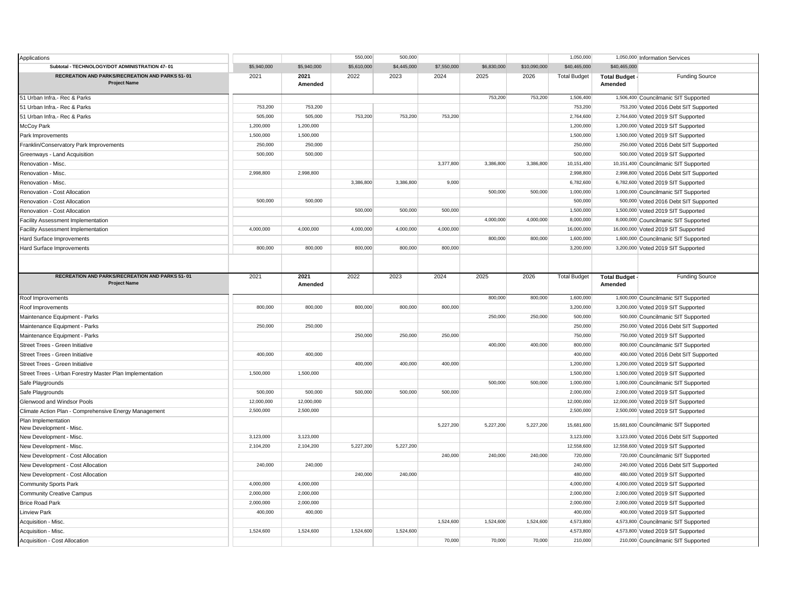| Applications                                                                  |             |                 | 550,000     | 500,000     |             |             |              | 1,050,000           |                                | 1,050,000 Information Services          |
|-------------------------------------------------------------------------------|-------------|-----------------|-------------|-------------|-------------|-------------|--------------|---------------------|--------------------------------|-----------------------------------------|
| Subtotal - TECHNOLOGY/DOT ADMINISTRATION 47-01                                | \$5,940,000 | \$5,940,000     | \$5,610,000 | \$4,445,000 | \$7,550,000 | \$6,830,000 | \$10,090,000 | \$40,465,000        | \$40,465,000                   |                                         |
| <b>RECREATION AND PARKS/RECREATION AND PARKS 51-01</b><br><b>Project Name</b> | 2021        | 2021<br>Amended | 2022        | 2023        | 2024        | 2025        | 2026         | <b>Total Budget</b> | <b>Total Budget</b><br>Amended | <b>Funding Source</b>                   |
| 51 Urban Infra.- Rec & Parks                                                  |             |                 |             |             |             | 753,200     | 753,200      | 1,506,400           |                                | 1,506,400 Councilmanic SIT Supported    |
| 51 Urban Infra.- Rec & Parks                                                  | 753,200     | 753,200         |             |             |             |             |              | 753,200             |                                | 753,200 Voted 2016 Debt SIT Supported   |
| 51 Urban Infra.- Rec & Parks                                                  | 505,000     | 505,000         | 753,200     | 753,200     | 753,200     |             |              | 2,764,600           |                                | 2,764,600 Voted 2019 SIT Supported      |
| McCoy Park                                                                    | 1,200,000   | 1,200,000       |             |             |             |             |              | 1,200,000           |                                | 1,200,000 Voted 2019 SIT Supported      |
| Park Improvements                                                             | 1,500,000   | 1,500,000       |             |             |             |             |              | 1,500,000           |                                | 1,500,000 Voted 2019 SIT Supported      |
| Franklin/Conservatory Park Improvements                                       | 250,000     | 250,000         |             |             |             |             |              | 250,000             |                                | 250,000 Voted 2016 Debt SIT Supported   |
| Greenways - Land Acquisition                                                  | 500,000     | 500,000         |             |             |             |             |              | 500,000             |                                | 500,000 Voted 2019 SIT Supported        |
| Renovation - Misc.                                                            |             |                 |             |             | 3,377,800   | 3,386,800   | 3,386,800    | 10,151,400          |                                | 10,151,400 Councilmanic SIT Supported   |
| Renovation - Misc.                                                            | 2,998,800   | 2,998,800       |             |             |             |             |              | 2,998,800           |                                | 2,998,800 Voted 2016 Debt SIT Supported |
| Renovation - Misc.                                                            |             |                 | 3,386,800   | 3,386,800   | 9,000       |             |              | 6,782,600           |                                | 6,782,600 Voted 2019 SIT Supported      |
| Renovation - Cost Allocation                                                  |             |                 |             |             |             | 500,000     | 500,000      | 1,000,000           |                                | 1,000,000 Councilmanic SIT Supported    |
| Renovation - Cost Allocation                                                  | 500,000     | 500,000         |             |             |             |             |              | 500,000             |                                | 500,000 Voted 2016 Debt SIT Supported   |
| Renovation - Cost Allocation                                                  |             |                 | 500,000     | 500,000     | 500,000     |             |              | 1,500,000           |                                | 1,500,000 Voted 2019 SIT Supported      |
| Facility Assessment Implementation                                            |             |                 |             |             |             | 4,000,000   | 4,000,000    | 8,000,000           |                                | 8,000,000 Councilmanic SIT Supported    |
| Facility Assessment Implementation                                            | 4,000,000   | 4,000,000       | 4,000,000   | 4,000,000   | 4,000,000   |             |              | 16,000,000          |                                | 16,000,000 Voted 2019 SIT Supported     |
| Hard Surface Improvements                                                     |             |                 |             |             |             | 800,000     | 800,000      | 1,600,000           |                                | 1,600,000 Councilmanic SIT Supported    |
| Hard Surface Improvements                                                     | 800,000     | 800,000         | 800,000     | 800,000     | 800,000     |             |              | 3,200,000           |                                | 3,200,000 Voted 2019 SIT Supported      |
|                                                                               |             |                 |             |             |             |             |              |                     |                                |                                         |
| RECREATION AND PARKS/RECREATION AND PARKS 51-01<br><b>Project Name</b>        | 2021        | 2021<br>Amended | 2022        | 2023        | 2024        | 2025        | 2026         | <b>Total Budget</b> | <b>Total Budget</b><br>Amended | <b>Funding Source</b>                   |
| Roof Improvements                                                             |             |                 |             |             |             | 800,000     | 800,000      | 1,600,000           |                                | 1,600,000 Councilmanic SIT Supported    |
| Roof Improvements                                                             | 800,000     | 800,000         | 800,000     | 800,000     | 800,000     |             |              | 3,200,000           |                                | 3,200,000 Voted 2019 SIT Supported      |
| Maintenance Equipment - Parks                                                 |             |                 |             |             |             | 250,000     | 250,000      | 500,000             |                                | 500,000 Councilmanic SIT Supported      |
| Maintenance Equipment - Parks                                                 | 250,000     | 250,000         |             |             |             |             |              | 250,000             |                                | 250,000 Voted 2016 Debt SIT Supported   |
| Maintenance Equipment - Parks                                                 |             |                 | 250,000     | 250,000     | 250,000     |             |              | 750,000             |                                | 750,000 Voted 2019 SIT Supported        |
| Street Trees - Green Initiative                                               |             |                 |             |             |             | 400,000     | 400,000      | 800,000             |                                | 800,000 Councilmanic SIT Supported      |
| Street Trees - Green Initiative                                               | 400,000     | 400,000         |             |             |             |             |              | 400,000             |                                | 400,000 Voted 2016 Debt SIT Supported   |
| Street Trees - Green Initiative                                               |             |                 | 400,000     | 400,000     | 400,000     |             |              | 1,200,000           |                                | 1,200,000 Voted 2019 SIT Supported      |
| Street Trees - Urban Forestry Master Plan Implementation                      | 1,500,000   | 1,500,000       |             |             |             |             |              | 1,500,000           |                                | 1,500,000 Voted 2019 SIT Supported      |
| Safe Playgrounds                                                              |             |                 |             |             |             | 500,000     | 500,000      | 1,000,000           |                                | 1,000,000 Councilmanic SIT Supported    |
| Safe Playgrounds                                                              | 500,000     | 500.000         | 500,000     | 500.000     | 500.000     |             |              | 2,000,000           |                                | 2,000,000 Voted 2019 SIT Supported      |
| Glenwood and Windsor Pools                                                    | 12,000,000  | 12,000,000      |             |             |             |             |              | 12,000,000          |                                | 12,000,000 Voted 2019 SIT Supported     |
| Climate Action Plan - Comprehensive Energy Management                         | 2,500,000   | 2,500,000       |             |             |             |             |              | 2,500,000           |                                | 2,500,000 Voted 2019 SIT Supported      |
| Plan Implementation<br>New Development - Misc                                 |             |                 |             |             | 5,227,200   | 5,227,200   | 5,227,200    | 15,681,600          |                                | 15,681,600 Councilmanic SIT Supported   |
| New Development - Misc                                                        | 3,123,000   | 3,123,000       |             |             |             |             |              | 3,123,000           |                                | 3,123,000 Voted 2016 Debt SIT Supported |
| New Development - Misc.                                                       | 2,104,200   | 2,104,200       | 5,227,200   | 5,227,200   |             |             |              | 12,558,600          |                                | 12,558,600 Voted 2019 SIT Supported     |
| New Development - Cost Allocation                                             |             |                 |             |             | 240,000     | 240,000     | 240,000      | 720,000             |                                | 720,000 Councilmanic SIT Supported      |
| New Development - Cost Allocation                                             | 240,000     | 240,000         |             |             |             |             |              | 240,000             |                                | 240,000 Voted 2016 Debt SIT Supported   |
| New Development - Cost Allocation                                             |             |                 | 240,000     | 240,000     |             |             |              | 480.000             |                                | 480,000 Voted 2019 SIT Supported        |
| <b>Community Sports Park</b>                                                  | 4,000,000   | 4,000,000       |             |             |             |             |              | 4,000,000           |                                | 4,000,000 Voted 2019 SIT Supported      |
| <b>Community Creative Campus</b>                                              | 2,000,000   | 2,000,000       |             |             |             |             |              | 2,000,000           |                                | 2,000,000 Voted 2019 SIT Supported      |
| <b>Brice Road Park</b>                                                        | 2,000,000   | 2,000,000       |             |             |             |             |              | 2,000,000           |                                | 2,000,000 Voted 2019 SIT Supported      |
| <b>Linview Park</b>                                                           | 400,000     | 400,000         |             |             |             |             |              | 400,000             |                                | 400,000 Voted 2019 SIT Supported        |
| Acquisition - Misc.                                                           |             |                 |             |             | 1,524,600   | 1,524,600   | 1,524,600    | 4,573,800           |                                | 4,573,800 Councilmanic SIT Supported    |
| Acquisition - Misc.                                                           | 1.524.600   | 1.524.600       | 1,524,600   | 1,524,600   |             |             |              | 4,573,800           |                                | 4,573,800 Voted 2019 SIT Supported      |
| Acquisition - Cost Allocation                                                 |             |                 |             |             | 70,000      | 70,000      | 70,000       | 210,000             |                                | 210,000 Councilmanic SIT Supported      |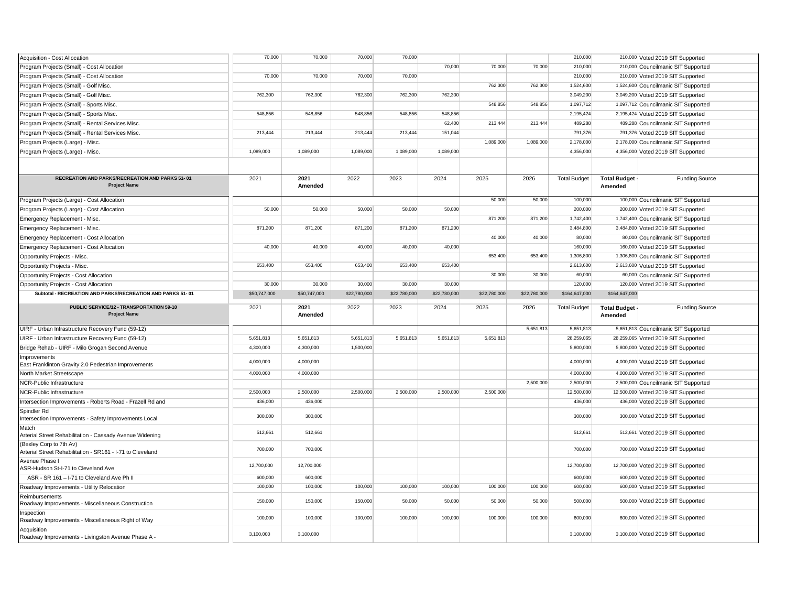| Acquisition - Cost Allocation                                                         | 70,000       | 70,000          | 70,000       | 70,000       |              |              |              | 210,000             |                                | 210,000 Voted 2019 SIT Supported     |
|---------------------------------------------------------------------------------------|--------------|-----------------|--------------|--------------|--------------|--------------|--------------|---------------------|--------------------------------|--------------------------------------|
| Program Projects (Small) - Cost Allocation                                            |              |                 |              |              | 70,000       | 70,000       | 70,000       | 210,000             |                                | 210,000 Councilmanic SIT Supported   |
| Program Projects (Small) - Cost Allocation                                            | 70,000       | 70,000          | 70,000       | 70,000       |              |              |              | 210,000             |                                | 210,000 Voted 2019 SIT Supported     |
| Program Projects (Small) - Golf Misc.                                                 |              |                 |              |              |              | 762,300      | 762,300      | 1,524,600           |                                | 1,524,600 Councilmanic SIT Supported |
| Program Projects (Small) - Golf Misc.                                                 | 762,300      | 762,300         | 762,300      | 762,300      | 762,300      |              |              | 3,049,200           |                                | 3,049,200 Voted 2019 SIT Supported   |
| Program Projects (Small) - Sports Misc.                                               |              |                 |              |              |              | 548,856      | 548,856      | 1,097,712           |                                | 1,097,712 Councilmanic SIT Supported |
| Program Projects (Small) - Sports Misc.                                               | 548,856      | 548,856         | 548,856      | 548,856      | 548,856      |              |              | 2,195,424           |                                | 2,195,424 Voted 2019 SIT Supported   |
| Program Projects (Small) - Rental Services Misc.                                      |              |                 |              |              | 62,400       | 213.444      | 213,444      | 489,288             |                                | 489,288 Councilmanic SIT Supported   |
| Program Projects (Small) - Rental Services Misc.                                      | 213,444      | 213.444         | 213,444      | 213,444      | 151,044      |              |              | 791,376             |                                | 791,376 Voted 2019 SIT Supported     |
| Program Projects (Large) - Misc.                                                      |              |                 |              |              |              | 1,089,000    | 1,089,000    | 2,178,000           |                                | 2,178,000 Councilmanic SIT Supported |
| Program Projects (Large) - Misc.                                                      | 1,089,000    | 1,089,000       | 1,089,000    | 1,089,000    | 1,089,000    |              |              | 4,356,000           |                                | 4,356,000 Voted 2019 SIT Supported   |
|                                                                                       |              |                 |              |              |              |              |              |                     |                                |                                      |
|                                                                                       |              |                 |              |              |              |              |              |                     |                                |                                      |
| RECREATION AND PARKS/RECREATION AND PARKS 51-01<br><b>Project Name</b>                | 2021         | 2021<br>Amended | 2022         | 2023         | 2024         | 2025         | 2026         | <b>Total Budget</b> | Total Budget -<br>Amended      | <b>Funding Source</b>                |
| Program Projects (Large) - Cost Allocation                                            |              |                 |              |              |              | 50,000       | 50,000       | 100,000             |                                | 100,000 Councilmanic SIT Supported   |
| Program Projects (Large) - Cost Allocation                                            | 50,000       | 50,000          | 50,000       | 50,000       | 50,000       |              |              | 200,000             |                                | 200,000 Voted 2019 SIT Supported     |
| Emergency Replacement - Misc.                                                         |              |                 |              |              |              | 871,200      | 871,200      | 1,742,400           |                                | 1,742,400 Councilmanic SIT Supported |
| Emergency Replacement - Misc.                                                         | 871,200      | 871,200         | 871,200      | 871,200      | 871,200      |              |              | 3,484,800           |                                | 3,484,800 Voted 2019 SIT Supported   |
| Emergency Replacement - Cost Allocation                                               |              |                 |              |              |              | 40,000       | 40,000       | 80,000              |                                | 80,000 Councilmanic SIT Supported    |
| Emergency Replacement - Cost Allocation                                               | 40,000       | 40,000          | 40,000       | 40,000       | 40,000       |              |              | 160,000             |                                | 160,000 Voted 2019 SIT Supported     |
| Opportunity Projects - Misc.                                                          |              |                 |              |              |              | 653,400      | 653,400      | 1,306,800           |                                | 1,306,800 Councilmanic SIT Supported |
| Opportunity Projects - Misc.                                                          | 653,400      | 653,400         | 653,400      | 653,400      | 653,400      |              |              | 2,613,600           |                                | 2,613,600 Voted 2019 SIT Supported   |
| Opportunity Projects - Cost Allocation                                                |              |                 |              |              |              | 30,000       | 30,000       | 60,000              |                                | 60,000 Councilmanic SIT Supported    |
| Opportunity Projects - Cost Allocation                                                | 30,000       | 30,000          | 30,000       | 30,000       | 30,000       |              |              | 120,000             |                                | 120,000 Voted 2019 SIT Supported     |
| Subtotal - RECREATION AND PARKS/RECREATION AND PARKS 51-01                            | \$50,747,000 | \$50,747,000    | \$22,780,000 | \$22,780,000 | \$22,780,000 | \$22,780,000 | \$22,780,000 | \$164,647,000       | \$164,647,000                  |                                      |
|                                                                                       |              |                 |              |              |              |              |              |                     |                                |                                      |
| PUBLIC SERVICE/12 - TRANSPORTATION 59-10<br><b>Project Name</b>                       | 2021         | 2021<br>Amended | 2022         | 2023         | 2024         | 2025         | 2026         | <b>Total Budget</b> | <b>Total Budget</b><br>Amended | <b>Funding Source</b>                |
| UIRF - Urban Infrastructure Recovery Fund (59-12)                                     |              |                 |              |              |              |              | 5,651,813    | 5,651,813           |                                | 5,651,813 Councilmanic SIT Supported |
| UIRF - Urban Infrastructure Recovery Fund (59-12)                                     | 5,651,813    | 5,651,813       | 5,651,813    | 5,651,813    | 5,651,813    | 5,651,813    |              | 28,259,065          |                                | 28,259,065 Voted 2019 SIT Supported  |
| Bridge Rehab - UIRF - Milo Grogan Second Avenue                                       | 4.300.000    | 4.300.000       | 1.500.000    |              |              |              |              | 5.800.000           |                                | 5,800,000 Voted 2019 SIT Supported   |
| Improvements                                                                          |              |                 |              |              |              |              |              |                     |                                |                                      |
| East Franklinton Gravity 2.0 Pedestrian Improvements                                  | 4,000,000    | 4,000,000       |              |              |              |              |              | 4,000,000           |                                | 4,000,000 Voted 2019 SIT Supported   |
| North Market Streetscape                                                              | 4,000,000    | 4,000,000       |              |              |              |              |              | 4,000,000           |                                | 4,000,000 Voted 2019 SIT Supported   |
| NCR-Public Infrastructure                                                             |              |                 |              |              |              |              | 2,500,000    | 2,500,000           |                                | 2,500,000 Councilmanic SIT Supported |
| NCR-Public Infrastructure                                                             | 2,500,000    | 2,500,000       | 2,500,000    | 2,500,000    | 2,500,000    | 2,500,000    |              | 12,500,000          |                                | 12,500,000 Voted 2019 SIT Supported  |
| Intersection Improvements - Roberts Road - Frazell Rd and                             | 436,000      | 436,000         |              |              |              |              |              | 436,000             |                                | 436,000 Voted 2019 SIT Supported     |
| Spindler Rd<br>Intersection Improvements - Safety Improvements Local                  | 300,000      | 300,000         |              |              |              |              |              | 300,000             |                                | 300,000 Voted 2019 SIT Supported     |
| Match<br>Arterial Street Rehabilitation - Cassady Avenue Widening                     | 512,661      | 512,661         |              |              |              |              |              | 512,661             |                                | 512,661 Voted 2019 SIT Supported     |
| (Bexley Corp to 7th Av)<br>Arterial Street Rehabilitation - SR161 - I-71 to Cleveland | 700,000      | 700,000         |              |              |              |              |              | 700,000             |                                | 700,000 Voted 2019 SIT Supported     |
| Avenue Phase I<br>ASR-Hudson St-I-71 to Cleveland Ave                                 | 12,700,000   | 12,700,000      |              |              |              |              |              | 12,700,000          |                                | 12,700,000 Voted 2019 SIT Supported  |
| ASR - SR 161 - I-71 to Cleveland Ave Ph II                                            | 600,000      | 600,000         |              |              |              |              |              | 600,000             |                                | 600,000 Voted 2019 SIT Supported     |
| Roadway Improvements - Utility Relocation                                             | 100,000      | 100,000         | 100,000      | 100,000      | 100,000      | 100,000      | 100,000      | 600,000             |                                | 600,000 Voted 2019 SIT Supported     |
| Reimbursements<br>Roadway Improvements - Miscellaneous Construction                   | 150,000      | 150,000         | 150,000      | 50,000       | 50,000       | 50,000       | 50,000       | 500,000             |                                | 500,000 Voted 2019 SIT Supported     |
| Inspection<br>Roadway Improvements - Miscellaneous Right of Way                       | 100,000      | 100,000         | 100,000      | 100,000      | 100,000      | 100,000      | 100,000      | 600,000             |                                | 600,000 Voted 2019 SIT Supported     |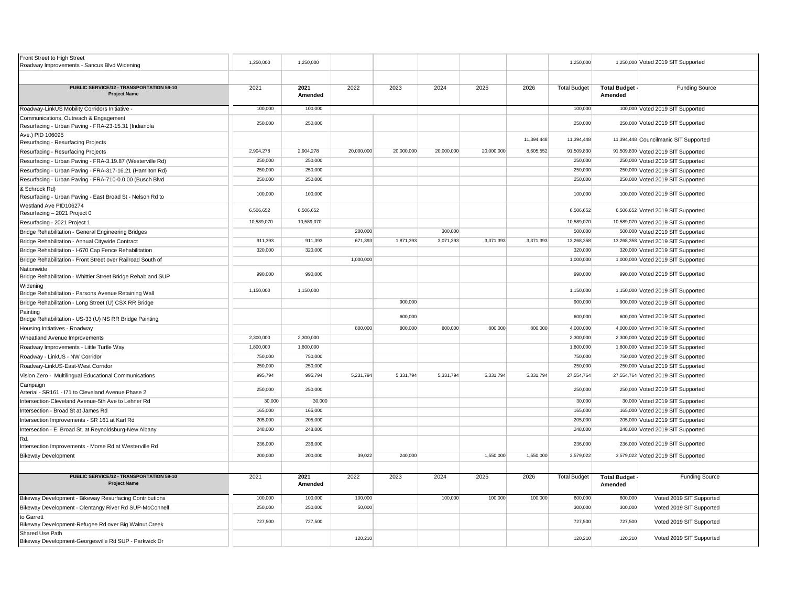| Front Street to High Street<br>Roadway Improvements - Sancus Blvd Widening                    | 1,250,000  | 1,250,000       |            |            |            |            |            | 1,250,000           |                                  | 1,250,000 Voted 2019 SIT Supported    |
|-----------------------------------------------------------------------------------------------|------------|-----------------|------------|------------|------------|------------|------------|---------------------|----------------------------------|---------------------------------------|
|                                                                                               |            |                 |            |            |            |            |            |                     |                                  |                                       |
| PUBLIC SERVICE/12 - TRANSPORTATION 59-10<br><b>Project Name</b>                               | 2021       | 2021<br>Amended | 2022       | 2023       | 2024       | 2025       | 2026       | <b>Total Budget</b> | <b>Total Budget -</b><br>Amended | <b>Funding Source</b>                 |
| Roadway-LinkUS Mobility Corridors Initiative -                                                | 100,000    | 100,000         |            |            |            |            |            | 100,000             |                                  | 100,000 Voted 2019 SIT Supported      |
| Communications, Outreach & Engagement<br>Resurfacing - Urban Paving - FRA-23-15.31 (Indianola | 250,000    | 250,000         |            |            |            |            |            | 250,000             |                                  | 250,000 Voted 2019 SIT Supported      |
| Ave.) PID 106095<br>Resurfacing - Resurfacing Projects                                        |            |                 |            |            |            |            | 11,394,448 | 11,394,448          |                                  | 11,394,448 Councilmanic SIT Supported |
| Resurfacing - Resurfacing Projects                                                            | 2,904,278  | 2,904,278       | 20,000,000 | 20,000,000 | 20,000,000 | 20,000,000 | 8,605,552  | 91,509,830          |                                  | 91,509,830 Voted 2019 SIT Supported   |
| Resurfacing - Urban Paving - FRA-3.19.87 (Westerville Rd)                                     | 250,000    | 250,000         |            |            |            |            |            | 250,000             |                                  | 250,000 Voted 2019 SIT Supported      |
| Resurfacing - Urban Paving - FRA-317-16.21 (Hamilton Rd)                                      | 250,000    | 250,000         |            |            |            |            |            | 250,000             |                                  | 250,000 Voted 2019 SIT Supported      |
| Resurfacing - Urban Paving - FRA-710-0.0.00 (Busch Blvd                                       | 250,000    | 250,000         |            |            |            |            |            | 250,000             |                                  | 250,000 Voted 2019 SIT Supported      |
| & Schrock Rd)<br>Resurfacing - Urban Paving - East Broad St - Nelson Rd to                    | 100,000    | 100,000         |            |            |            |            |            | 100,000             |                                  | 100,000 Voted 2019 SIT Supported      |
| Westland Ave PID106274<br>Resurfacing - 2021 Project 0                                        | 6,506,652  | 6,506,652       |            |            |            |            |            | 6,506,652           |                                  | 6,506,652 Voted 2019 SIT Supported    |
| Resurfacing - 2021 Project 1                                                                  | 10,589,070 | 10,589,070      |            |            |            |            |            | 10,589,070          |                                  | 10,589,070 Voted 2019 SIT Supported   |
| Bridge Rehabilitation - General Engineering Bridges                                           |            |                 | 200,000    |            | 300,000    |            |            | 500,000             |                                  | 500,000 Voted 2019 SIT Supported      |
| Bridge Rehabilitation - Annual Citywide Contract                                              | 911,393    | 911,393         | 671,393    | 1,871,393  | 3,071,393  | 3,371,393  | 3,371,393  | 13,268,358          |                                  | 13,268,358 Voted 2019 SIT Supported   |
| Bridge Rehabilitation - I-670 Cap Fence Rehabilitation                                        | 320,000    | 320,000         |            |            |            |            |            | 320,000             |                                  | 320,000 Voted 2019 SIT Supported      |
| Bridge Rehabilitation - Front Street over Railroad South of                                   |            |                 | 1,000,000  |            |            |            |            | 1,000,000           |                                  | 1,000,000 Voted 2019 SIT Supported    |
| Nationwide<br>Bridge Rehabilitation - Whittier Street Bridge Rehab and SUP                    | 990,000    | 990,000         |            |            |            |            |            | 990,000             |                                  | 990,000 Voted 2019 SIT Supported      |
| Widening<br>Bridge Rehabilitation - Parsons Avenue Retaining Wall                             | 1,150,000  | 1,150,000       |            |            |            |            |            | 1,150,000           |                                  | 1,150,000 Voted 2019 SIT Supported    |
| Bridge Rehabilitation - Long Street (U) CSX RR Bridge                                         |            |                 |            | 900,000    |            |            |            | 900,000             |                                  | 900,000 Voted 2019 SIT Supported      |
| Painting<br>Bridge Rehabilitation - US-33 (U) NS RR Bridge Painting                           |            |                 |            | 600,000    |            |            |            | 600,000             |                                  | 600,000 Voted 2019 SIT Supported      |
| Housing Initiatives - Roadway                                                                 |            |                 | 800,000    | 800,000    | 800,000    | 800,000    | 800,000    | 4,000,000           |                                  | 4,000,000 Voted 2019 SIT Supported    |
| Wheatland Avenue Improvements                                                                 | 2,300,000  | 2,300,000       |            |            |            |            |            | 2,300,000           |                                  | 2,300,000 Voted 2019 SIT Supported    |
| Roadway Improvements - Little Turtle Way                                                      | 1,800,000  | 1,800,000       |            |            |            |            |            | 1,800,000           |                                  | 1,800,000 Voted 2019 SIT Supported    |
| Roadway - LinkUS - NW Corridor                                                                | 750,000    | 750,000         |            |            |            |            |            | 750,000             |                                  | 750,000 Voted 2019 SIT Supported      |
| Roadway-LinkUS-East-West Corridor                                                             | 250,000    | 250,000         |            |            |            |            |            | 250,000             |                                  | 250,000 Voted 2019 SIT Supported      |
| Vision Zero - Multilingual Educational Communications                                         | 995,794    | 995,794         | 5,231,794  | 5,331,794  | 5,331,794  | 5,331,794  | 5,331,794  | 27,554,764          |                                  | 27,554,764 Voted 2019 SIT Supported   |
| Campaigr<br>Arterial - SR161 - I71 to Cleveland Avenue Phase 2                                | 250,000    | 250,000         |            |            |            |            |            | 250,000             |                                  | 250,000 Voted 2019 SIT Supported      |
| Intersection-Cleveland Avenue-5th Ave to Lehner Rd                                            | 30,000     | 30,000          |            |            |            |            |            | 30,000              |                                  | 30,000 Voted 2019 SIT Supported       |
| Intersection - Broad St at James Rd                                                           | 165,000    | 165,000         |            |            |            |            |            | 165,000             |                                  | 165,000 Voted 2019 SIT Supported      |
| Intersection Improvements - SR 161 at Karl Rd                                                 | 205,000    | 205,000         |            |            |            |            |            | 205,000             |                                  | 205,000 Voted 2019 SIT Supported      |
| Intersection - E. Broad St. at Reynoldsburg-New Albany                                        | 248,000    | 248,000         |            |            |            |            |            | 248,000             |                                  | 248,000 Voted 2019 SIT Supported      |
| Rd.<br>Intersection Improvements - Morse Rd at Westerville Rd                                 | 236,000    | 236,000         |            |            |            |            |            | 236,000             |                                  | 236,000 Voted 2019 SIT Supported      |
| <b>Bikeway Development</b>                                                                    | 200,000    | 200,000         | 39,022     | 240,000    |            | 1,550,000  | 1,550,000  | 3,579,022           |                                  | 3,579,022 Voted 2019 SIT Supported    |
|                                                                                               |            |                 |            |            |            |            |            |                     |                                  |                                       |
| PUBLIC SERVICE/12 - TRANSPORTATION 59-10<br><b>Project Name</b>                               | 2021       | 2021<br>Amended | 2022       | 2023       | 2024       | 2025       | 2026       | <b>Total Budget</b> | Total Budget -<br>Amended        | <b>Funding Source</b>                 |
| Bikeway Development - Bikeway Resurfacing Contributions                                       | 100,000    | 100,000         | 100,000    |            | 100,000    | 100,000    | 100,000    | 600,000             | 600,000                          | Voted 2019 SIT Supported              |
| Bikeway Development - Olentangy River Rd SUP-McConnell                                        | 250,000    | 250,000         | 50,000     |            |            |            |            | 300,000             | 300,000                          | Voted 2019 SIT Supported              |
| to Garrett<br>Bikeway Development-Refugee Rd over Big Walnut Creek                            | 727.500    | 727,500         |            |            |            |            |            | 727,500             | 727,500                          | Voted 2019 SIT Supported              |
| Shared Use Path<br>Bikeway Development-Georgesville Rd SUP - Parkwick Dr                      |            |                 | 120,210    |            |            |            |            | 120,210             | 120,210                          | Voted 2019 SIT Supported              |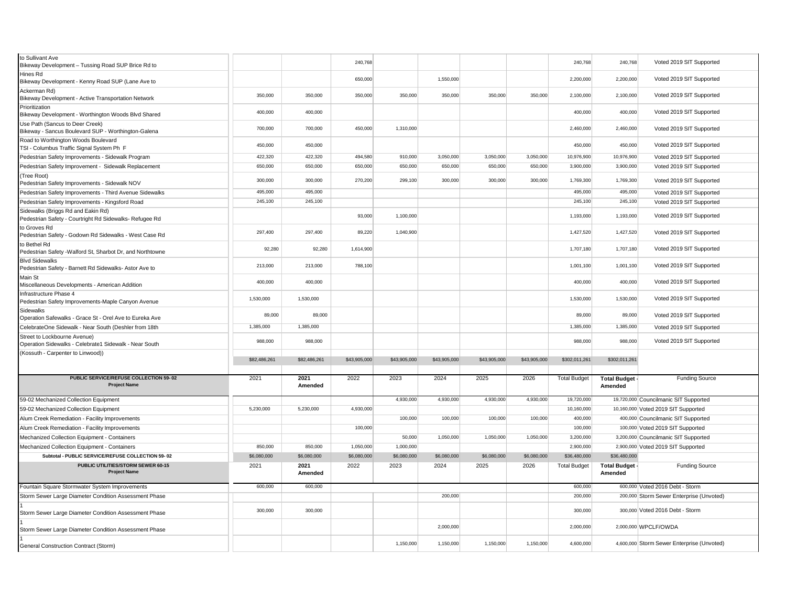| to Sullivant Ave<br>Bikeway Development - Tussing Road SUP Brice Rd to                 |              |                 | 240,768      |              |              |              |              | 240,768             | 240,768                        | Voted 2019 SIT Supported                   |
|----------------------------------------------------------------------------------------|--------------|-----------------|--------------|--------------|--------------|--------------|--------------|---------------------|--------------------------------|--------------------------------------------|
| Hines Rd<br>Bikeway Development - Kenny Road SUP (Lane Ave to                          |              |                 | 650,000      |              | 1,550,000    |              |              | 2,200,000           | 2,200,000                      | Voted 2019 SIT Supported                   |
| Ackerman Rd)<br>Bikeway Development - Active Transportation Network                    | 350,000      | 350,000         | 350,000      | 350,000      | 350,000      | 350,000      | 350,000      | 2,100,000           | 2,100,000                      | Voted 2019 SIT Supported                   |
| Prioritization<br>Bikeway Development - Worthington Woods Blvd Shared                  | 400,000      | 400,000         |              |              |              |              |              | 400,000             | 400,000                        | Voted 2019 SIT Supported                   |
| Use Path (Sancus to Deer Creek)<br>Bikeway - Sancus Boulevard SUP - Worthington-Galena | 700,000      | 700,000         | 450,000      | 1,310,000    |              |              |              | 2,460,000           | 2,460,000                      | Voted 2019 SIT Supported                   |
| Road to Worthington Woods Boulevard<br>TSI - Columbus Traffic Signal System Ph F       | 450,000      | 450,000         |              |              |              |              |              | 450,000             | 450,000                        | Voted 2019 SIT Supported                   |
| Pedestrian Safety Improvements - Sidewalk Program                                      | 422,320      | 422,320         | 494,580      | 910,000      | 3,050,000    | 3,050,000    | 3,050,000    | 10,976,900          | 10,976,900                     | Voted 2019 SIT Supported                   |
| Pedestrian Safety Improvement - Sidewalk Replacement                                   | 650,000      | 650,000         | 650,000      | 650,000      | 650,000      | 650,000      | 650,000      | 3,900,000           | 3,900,000                      | Voted 2019 SIT Supported                   |
| (Tree Root)<br>Pedestrian Safety Improvements - Sidewalk NOV                           | 300,000      | 300,000         | 270,200      | 299.100      | 300,000      | 300.000      | 300,000      | 1,769,300           | 1,769,300                      | Voted 2019 SIT Supported                   |
| Pedestrian Safety Improvements - Third Avenue Sidewalks                                | 495,000      | 495,000         |              |              |              |              |              | 495,000             | 495,000                        | Voted 2019 SIT Supported                   |
| Pedestrian Safety Improvements - Kingsford Road                                        | 245,100      | 245,100         |              |              |              |              |              | 245,100             | 245,100                        | Voted 2019 SIT Supported                   |
| Sidewalks (Briggs Rd and Eakin Rd)                                                     |              |                 |              |              |              |              |              |                     |                                |                                            |
| Pedestrian Safety - Courtright Rd Sidewalks- Refugee Rd                                |              |                 | 93,000       | 1,100,000    |              |              |              | 1,193,000           | 1,193,000                      | Voted 2019 SIT Supported                   |
| to Groves Rd<br>Pedestrian Safety - Godown Rd Sidewalks - West Case Rd                 | 297.400      | 297.400         | 89,220       | 1,040,900    |              |              |              | 1,427,520           | 1,427,520                      | Voted 2019 SIT Supported                   |
| to Bethel Rd<br>Pedestrian Safety - Walford St, Sharbot Dr, and Northtowne             | 92,280       | 92,280          | 1,614,900    |              |              |              |              | 1,707,180           | 1,707,180                      | Voted 2019 SIT Supported                   |
| <b>Blvd Sidewalks</b><br>Pedestrian Safety - Barnett Rd Sidewalks- Astor Ave to        | 213,000      | 213,000         | 788,100      |              |              |              |              | 1,001,100           | 1,001,100                      | Voted 2019 SIT Supported                   |
| Main St<br>Miscellaneous Developments - American Addition                              | 400,000      | 400,000         |              |              |              |              |              | 400,000             | 400,000                        | Voted 2019 SIT Supported                   |
| Infrastructure Phase 4<br>Pedestrian Safety Improvements-Maple Canyon Avenue           | 1,530,000    | 1,530,000       |              |              |              |              |              | 1,530,000           | 1,530,000                      | Voted 2019 SIT Supported                   |
| Sidewalks<br>Operation Safewalks - Grace St - Orel Ave to Eureka Ave                   | 89,000       | 89,000          |              |              |              |              |              | 89,000              | 89,000                         | Voted 2019 SIT Supported                   |
| CelebrateOne Sidewalk - Near South (Deshler from 18th                                  | 1,385,000    | 1,385,000       |              |              |              |              |              | 1,385,000           | 1,385,000                      | Voted 2019 SIT Supported                   |
| Street to Lockbourne Avenue)<br>Operation Sidewalks - Celebrate1 Sidewalk - Near South | 988,000      | 988,000         |              |              |              |              |              | 988,000             | 988,000                        | Voted 2019 SIT Supported                   |
| (Kossuth - Carpenter to Linwood))                                                      |              |                 |              |              |              |              |              |                     |                                |                                            |
|                                                                                        | \$82,486,261 | \$82,486,261    | \$43,905,000 | \$43,905,000 | \$43,905,000 | \$43,905,000 | \$43,905,000 | \$302,011,261       | \$302,011,261                  |                                            |
| PUBLIC SERVICE/REFUSE COLLECTION 59-02<br><b>Project Name</b>                          | 2021         | 2021<br>Amended | 2022         | 2023         | 2024         | 2025         | 2026         | <b>Total Budget</b> | <b>Total Budget</b><br>Amended | <b>Funding Source</b>                      |
| 59-02 Mechanized Collection Equipment                                                  |              |                 |              | 4,930,000    | 4,930,000    | 4,930,000    | 4,930,000    | 19,720,000          |                                | 19,720,000 Councilmanic SIT Supported      |
| 59-02 Mechanized Collection Equipment                                                  | 5,230,000    | 5,230,000       | 4,930,000    |              |              |              |              | 10,160,000          |                                | 10,160,000 Voted 2019 SIT Supported        |
| Alum Creek Remediation - Facility Improvements                                         |              |                 |              | 100,000      | 100,000      | 100,000      | 100,000      | 400,000             |                                | 400,000 Councilmanic SIT Supported         |
| Alum Creek Remediation - Facility Improvements                                         |              |                 | 100,000      |              |              |              |              | 100,000             |                                | 100,000 Voted 2019 SIT Supported           |
| Mechanized Collection Equipment - Containers                                           |              |                 |              | 50,000       | 1,050,000    | 1,050,000    | 1,050,000    | 3,200,000           |                                | 3,200,000 Councilmanic SIT Supported       |
| Mechanized Collection Equipment - Containers                                           | 850,000      | 850,000         | 1,050,000    | 1,000,000    |              |              |              | 2,900,000           |                                | 2,900,000 Voted 2019 SIT Supported         |
| Subtotal - PUBLIC SERVICE/REFUSE COLLECTION 59-02                                      | \$6,080,000  | \$6,080,000     | \$6,080,000  | \$6,080,000  | \$6,080,000  | \$6,080,000  | \$6,080,000  | \$36,480,000        | \$36,480,000                   |                                            |
| PUBLIC UTILITIES/STORM SEWER 60-15<br><b>Project Name</b>                              | 2021         | 2021<br>Amended | 2022         | 2023         | 2024         | 2025         | 2026         | <b>Total Budget</b> | <b>Total Budget</b><br>Amended | <b>Funding Source</b>                      |
|                                                                                        | 600,000      | 600,000         |              |              |              |              |              |                     |                                |                                            |
| Fountain Square Stormwater System Improvements                                         |              |                 |              |              |              |              |              | 600,000             |                                | 600,000 Voted 2016 Debt - Storm            |
| Storm Sewer Large Diameter Condition Assessment Phase                                  |              |                 |              |              | 200,000      |              |              | 200,000             |                                | 200,000 Storm Sewer Enterprise (Unvoted)   |
| Storm Sewer Large Diameter Condition Assessment Phase                                  | 300,000      | 300,000         |              |              |              |              |              | 300,000             |                                | 300,000 Voted 2016 Debt - Storm            |
| Storm Sewer Large Diameter Condition Assessment Phase                                  |              |                 |              |              | 2,000,000    |              |              | 2,000,000           |                                | 2,000,000 WPCLF/OWDA                       |
| General Construction Contract (Storm)                                                  |              |                 |              | 1,150,000    | 1,150,000    | 1,150,000    | 1,150,000    | 4,600,000           |                                | 4,600,000 Storm Sewer Enterprise (Unvoted) |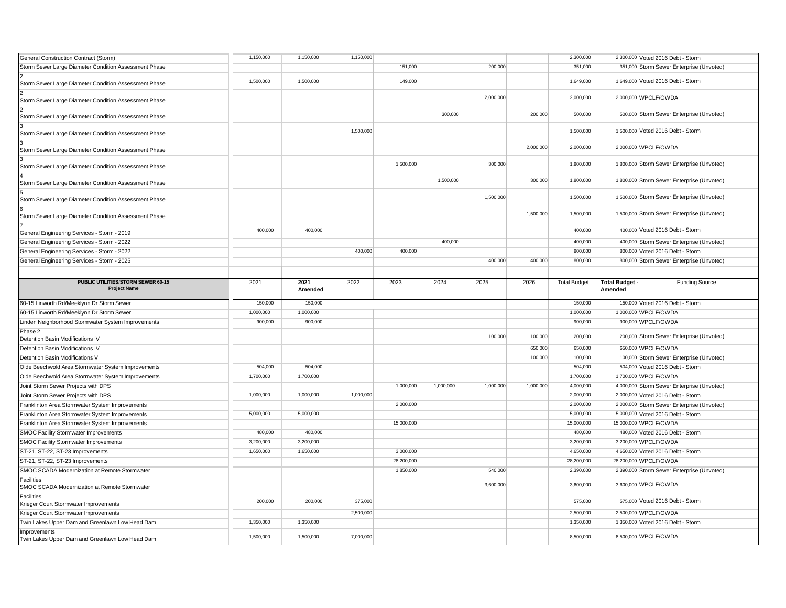| General Construction Contract (Storm)                              | 1,150,000 | 1,150,000       | 1,150,000 |            |           |           |           | 2,300,000           |                                | 2,300,000 Voted 2016 Debt - Storm          |
|--------------------------------------------------------------------|-----------|-----------------|-----------|------------|-----------|-----------|-----------|---------------------|--------------------------------|--------------------------------------------|
| Storm Sewer Large Diameter Condition Assessment Phase              |           |                 |           | 151,000    |           | 200,000   |           | 351,000             |                                | 351,000 Storm Sewer Enterprise (Unvoted)   |
| Storm Sewer Large Diameter Condition Assessment Phase              | 1,500,000 | 1,500,000       |           | 149,000    |           |           |           | 1,649,000           |                                | 1,649,000 Voted 2016 Debt - Storm          |
| Storm Sewer Large Diameter Condition Assessment Phase              |           |                 |           |            |           | 2,000,000 |           | 2,000,000           |                                | 2,000,000 WPCLF/OWDA                       |
| Storm Sewer Large Diameter Condition Assessment Phase              |           |                 |           |            | 300,000   |           | 200,000   | 500,000             |                                | 500,000 Storm Sewer Enterprise (Unvoted)   |
| Storm Sewer Large Diameter Condition Assessment Phase              |           |                 | 1,500,000 |            |           |           |           | 1,500,000           |                                | 1,500,000 Voted 2016 Debt - Storm          |
| Storm Sewer Large Diameter Condition Assessment Phase              |           |                 |           |            |           |           | 2,000,000 | 2,000,000           |                                | 2.000.000 WPCLF/OWDA                       |
| Storm Sewer Large Diameter Condition Assessment Phase              |           |                 |           | 1,500,000  |           | 300,000   |           | 1,800,000           |                                | 1,800,000 Storm Sewer Enterprise (Unvoted) |
| Storm Sewer Large Diameter Condition Assessment Phase              |           |                 |           |            | 1,500,000 |           | 300,000   | 1,800,000           |                                | 1,800,000 Storm Sewer Enterprise (Unvoted) |
| Storm Sewer Large Diameter Condition Assessment Phase              |           |                 |           |            |           | 1,500,000 |           | 1,500,000           |                                | 1,500,000 Storm Sewer Enterprise (Unvoted) |
| Storm Sewer Large Diameter Condition Assessment Phase              |           |                 |           |            |           |           | 1,500,000 | 1,500,000           |                                | 1,500,000 Storm Sewer Enterprise (Unvoted) |
| General Engineering Services - Storm - 2019                        | 400,000   | 400,000         |           |            |           |           |           | 400,000             |                                | 400,000 Voted 2016 Debt - Storm            |
| General Engineering Services - Storm - 2022                        |           |                 |           |            | 400,000   |           |           | 400,000             |                                | 400,000 Storm Sewer Enterprise (Unvoted)   |
| General Engineering Services - Storm - 2022                        |           |                 | 400,000   | 400,000    |           |           |           | 800,000             |                                | 800,000 Voted 2016 Debt - Storm            |
| General Engineering Services - Storm - 2025                        |           |                 |           |            |           | 400,000   | 400,000   | 800,000             |                                | 800,000 Storm Sewer Enterprise (Unvoted)   |
|                                                                    |           |                 |           |            |           |           |           |                     |                                |                                            |
| PUBLIC UTILITIES/STORM SEWER 60-15<br><b>Project Name</b>          | 2021      | 2021<br>Amended | 2022      | 2023       | 2024      | 2025      | 2026      | <b>Total Budget</b> | <b>Total Budget</b><br>Amended | Funding Source                             |
|                                                                    |           |                 |           |            |           |           |           |                     |                                |                                            |
| 60-15 Linworth Rd/Meeklynn Dr Storm Sewer                          | 150,000   | 150,000         |           |            |           |           |           | 150,000             |                                | 150,000 Voted 2016 Debt - Storm            |
| 60-15 Linworth Rd/Meeklynn Dr Storm Sewer                          | 1,000,000 | 1,000,000       |           |            |           |           |           | 1,000,000           |                                | 1,000,000 WPCLF/OWDA                       |
| Linden Neighborhood Stormwater System Improvements                 | 900,000   | 900,000         |           |            |           |           |           | 900,000             |                                | 900,000 WPCLF/OWDA                         |
| Phase 2<br>Detention Basin Modifications IV                        |           |                 |           |            |           | 100,000   | 100,000   | 200,000             |                                | 200,000 Storm Sewer Enterprise (Unvoted)   |
| Detention Basin Modifications IV                                   |           |                 |           |            |           |           | 650,000   | 650,000             |                                | 650,000 WPCLF/OWDA                         |
| Detention Basin Modifications V                                    |           |                 |           |            |           |           | 100,000   | 100,000             |                                | 100,000 Storm Sewer Enterprise (Unvoted)   |
| Olde Beechwold Area Stormwater System Improvements                 | 504,000   | 504,000         |           |            |           |           |           | 504,000             |                                | 504,000 Voted 2016 Debt - Storm            |
| Olde Beechwold Area Stormwater System Improvements                 | 1,700,000 | 1,700,000       |           |            |           |           |           | 1,700,000           |                                | 1,700,000 WPCLF/OWDA                       |
| Joint Storm Sewer Projects with DPS                                |           |                 |           | 1,000,000  | 1,000,000 | 1,000,000 | 1,000,000 | 4,000,000           |                                | 4,000,000 Storm Sewer Enterprise (Unvoted) |
| Joint Storm Sewer Projects with DPS                                | 1,000,000 | 1,000,000       | 1,000,000 |            |           |           |           | 2,000,000           |                                | 2,000,000 Voted 2016 Debt - Storm          |
| Franklinton Area Stormwater System Improvements                    |           |                 |           | 2,000,000  |           |           |           | 2,000,000           |                                | 2,000,000 Storm Sewer Enterprise (Unvoted) |
| Franklinton Area Stormwater System Improvements                    | 5,000,000 | 5,000,000       |           |            |           |           |           | 5,000,000           |                                | 5,000,000 Voted 2016 Debt - Storm          |
| Franklinton Area Stormwater System Improvements                    |           |                 |           | 15,000,000 |           |           |           | 15,000,000          |                                | 15,000,000 WPCLF/OWDA                      |
| SMOC Facility Stormwater Improvements                              | 480,000   | 480,000         |           |            |           |           |           | 480,000             |                                | 480,000 Voted 2016 Debt - Storm            |
| SMOC Facility Stormwater Improvements                              | 3,200,000 | 3,200,000       |           |            |           |           |           | 3,200,000           |                                | 3,200,000 WPCLF/OWDA                       |
| ST-21, ST-22, ST-23 Improvements                                   | 1,650,000 | 1,650,000       |           | 3,000,000  |           |           |           | 4,650,000           |                                | 4,650,000 Voted 2016 Debt - Storm          |
| ST-21, ST-22, ST-23 Improvements                                   |           |                 |           | 28,200,000 |           |           |           | 28,200,000          |                                | 28,200,000 WPCLF/OWDA                      |
| SMOC SCADA Modernization at Remote Stormwater                      |           |                 |           | 1,850,000  |           | 540,000   |           | 2,390,000           |                                | 2,390,000 Storm Sewer Enterprise (Unvoted) |
| <b>Facilities</b><br>SMOC SCADA Modernization at Remote Stormwater |           |                 |           |            |           | 3,600,000 |           | 3,600,000           |                                | 3,600,000 WPCLF/OWDA                       |
| Facilities<br>Krieger Court Stormwater Improvements                | 200,000   | 200,000         | 375,000   |            |           |           |           | 575,000             |                                | 575,000 Voted 2016 Debt - Storm            |
| Krieger Court Stormwater Improvements                              |           |                 | 2,500,000 |            |           |           |           | 2,500,000           |                                | 2,500,000 WPCLF/OWDA                       |
| Twin Lakes Upper Dam and Greenlawn Low Head Dam                    | 1,350,000 | 1,350,000       |           |            |           |           |           | 1,350,000           |                                | 1,350,000 Voted 2016 Debt - Storm          |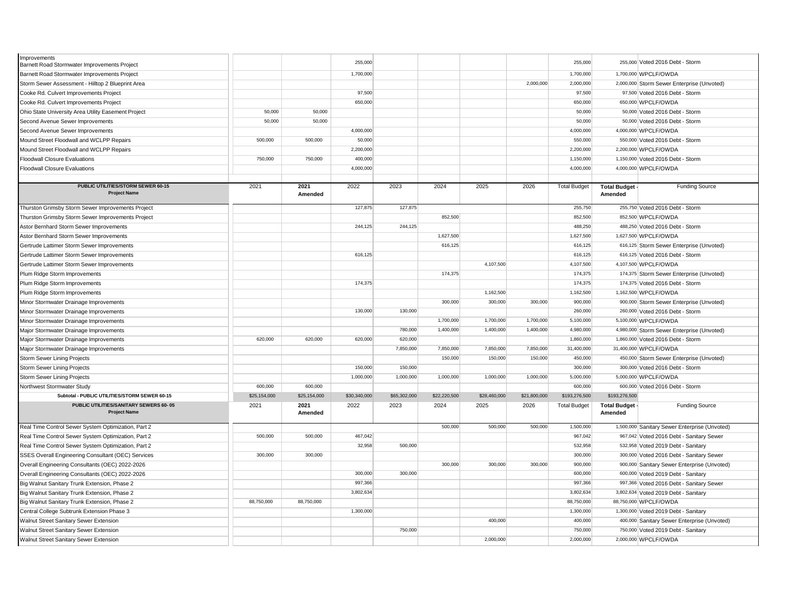| Improvements                                        |              |              |              |              |              |              |              |                     |                     |                                               |
|-----------------------------------------------------|--------------|--------------|--------------|--------------|--------------|--------------|--------------|---------------------|---------------------|-----------------------------------------------|
| Barnett Road Stormwater Improvements Project        |              |              | 255,000      |              |              |              |              | 255,000             |                     | 255,000 Voted 2016 Debt - Storm               |
| Barnett Road Stormwater Improvements Project        |              |              | 1,700,000    |              |              |              |              | 1,700,000           |                     | 1,700,000 WPCLF/OWDA                          |
| Storm Sewer Assessment - Hilltop 2 Blueprint Area   |              |              |              |              |              |              | 2,000,000    | 2,000,000           |                     | 2,000,000 Storm Sewer Enterprise (Unvoted)    |
| Cooke Rd. Culvert Improvements Project              |              |              | 97.500       |              |              |              |              | 97,500              |                     | 97,500 Voted 2016 Debt - Storm                |
| Cooke Rd. Culvert Improvements Project              |              |              | 650,000      |              |              |              |              | 650,000             |                     | 650,000 WPCLF/OWDA                            |
| Ohio State University Area Utility Easement Project | 50,000       | 50,000       |              |              |              |              |              | 50,000              |                     | 50,000 Voted 2016 Debt - Storm                |
| Second Avenue Sewer Improvements                    | 50,000       | 50,000       |              |              |              |              |              | 50,000              |                     | 50,000 Voted 2016 Debt - Storm                |
| Second Avenue Sewer Improvements                    |              |              | 4,000,000    |              |              |              |              | 4,000,000           |                     | 4,000,000 WPCLF/OWDA                          |
| Mound Street Floodwall and WCLPP Repairs            | 500,000      | 500,000      | 50,000       |              |              |              |              | 550,000             |                     | 550,000 Voted 2016 Debt - Storm               |
| Mound Street Floodwall and WCLPP Repairs            |              |              | 2,200,000    |              |              |              |              | 2,200,000           |                     | 2,200,000 WPCLF/OWDA                          |
| <b>Floodwall Closure Evaluations</b>                | 750,000      | 750,000      | 400,000      |              |              |              |              | 1,150,000           |                     | 1,150,000 Voted 2016 Debt - Storm             |
| <b>Floodwall Closure Evaluations</b>                |              |              | 4,000,000    |              |              |              |              | 4,000,000           |                     | 4,000,000 WPCLF/OWDA                          |
|                                                     |              |              |              |              |              |              |              |                     |                     |                                               |
| PUBLIC UTILITIES/STORM SEWER 60-15                  | 2021         | 2021         | 2022         | 2023         | 2024         | 2025         | 2026         | <b>Total Budget</b> | <b>Total Budget</b> | <b>Funding Source</b>                         |
| <b>Project Name</b>                                 |              | Amended      |              |              |              |              |              |                     | Amended             |                                               |
| Thurston Grimsby Storm Sewer Improvements Project   |              |              | 127,875      | 127,875      |              |              |              | 255,750             |                     | 255,750 Voted 2016 Debt - Storm               |
| Thurston Grimsby Storm Sewer Improvements Project   |              |              |              |              | 852,500      |              |              | 852,500             |                     | 852,500 WPCLF/OWDA                            |
| Astor Bernhard Storm Sewer Improvements             |              |              | 244,125      | 244,125      |              |              |              | 488,250             |                     | 488,250 Voted 2016 Debt - Storm               |
| Astor Bernhard Storm Sewer Improvements             |              |              |              |              | 1,627,500    |              |              | 1,627,500           |                     | 1,627,500 WPCLF/OWDA                          |
| Gertrude Lattimer Storm Sewer Improvements          |              |              |              |              | 616,125      |              |              | 616,125             |                     | 616,125 Storm Sewer Enterprise (Unvoted)      |
| Gertrude Lattimer Storm Sewer Improvements          |              |              | 616,125      |              |              |              |              | 616,125             |                     | 616,125 Voted 2016 Debt - Storm               |
| Gertrude Lattimer Storm Sewer Improvements          |              |              |              |              |              | 4,107,500    |              | 4,107,500           |                     | 4,107,500 WPCLF/OWDA                          |
| Plum Ridge Storm Improvements                       |              |              |              |              | 174,375      |              |              | 174,375             |                     | 174,375 Storm Sewer Enterprise (Unvoted)      |
| Plum Ridge Storm Improvements                       |              |              | 174,375      |              |              |              |              | 174,375             |                     | 174,375 Voted 2016 Debt - Storm               |
| Plum Ridge Storm Improvements                       |              |              |              |              |              | 1,162,500    |              | 1,162,500           |                     | 1,162,500 WPCLF/OWDA                          |
| Minor Stormwater Drainage Improvements              |              |              |              |              | 300,000      | 300,000      | 300,000      | 900,000             |                     | 900,000 Storm Sewer Enterprise (Unvoted)      |
| Minor Stormwater Drainage Improvements              |              |              | 130,000      | 130,000      |              |              |              | 260,000             |                     | 260,000 Voted 2016 Debt - Storm               |
| Minor Stormwater Drainage Improvements              |              |              |              |              | 1,700,000    | 1,700,000    | 1,700,000    | 5,100,000           |                     | 5,100,000 WPCLF/OWDA                          |
| Major Stormwater Drainage Improvements              |              |              |              | 780,000      | 1,400,000    | 1,400,000    | 1,400,000    | 4,980,000           |                     | 4,980,000 Storm Sewer Enterprise (Unvoted)    |
| Major Stormwater Drainage Improvements              | 620,000      | 620,000      | 620,000      | 620,000      |              |              |              | 1,860,000           |                     | 1,860,000 Voted 2016 Debt - Storm             |
| Major Stormwater Drainage Improvements              |              |              |              | 7,850,000    | 7,850,000    | 7,850,000    | 7,850,000    | 31,400,000          |                     | 31,400,000 WPCLF/OWDA                         |
| <b>Storm Sewer Lining Projects</b>                  |              |              |              |              | 150,000      | 150,000      | 150,000      | 450,000             |                     | 450,000 Storm Sewer Enterprise (Unvoted)      |
| Storm Sewer Lining Projects                         |              |              | 150,000      | 150,000      |              |              |              | 300,000             |                     | 300,000 Voted 2016 Debt - Storm               |
| <b>Storm Sewer Lining Projects</b>                  |              |              | 1,000,000    | 1,000,000    | 1,000,000    | 1,000,000    | 1,000,000    | 5,000,000           |                     | 5,000,000 WPCLF/OWDA                          |
| Northwest Stormwater Study                          | 600,000      | 600,000      |              |              |              |              |              | 600,000             |                     | 600,000 Voted 2016 Debt - Storm               |
| Subtotal - PUBLIC UTILITIES/STORM SEWER 60-15       | \$25,154,000 | \$25,154,000 | \$30,340,000 | \$65,302,000 | \$22,220,500 | \$28,460,000 | \$21,800,000 | \$193,276,500       | \$193,276,500       |                                               |
| PUBLIC UTILITIES/SANITARY SEWERS 60-05              | 2021         | 2021         | 2022         | 2023         | 2024         | 2025         | 2026         | <b>Total Budget</b> | <b>Total Budget</b> | <b>Funding Source</b>                         |
| <b>Project Name</b>                                 |              | Amended      |              |              |              |              |              |                     | Amended             |                                               |
| Real Time Control Sewer System Optimization, Part 2 |              |              |              |              | 500,000      | 500,000      | 500,000      | 1,500,000           |                     | 1,500,000 Sanitary Sewer Enterprise (Unvoted) |
| Real Time Control Sewer System Optimization, Part 2 | 500,000      | 500,000      | 467,042      |              |              |              |              | 967,042             |                     | 967,042 Voted 2016 Debt - Sanitary Sewer      |
| Real Time Control Sewer System Optimization, Part 2 |              |              | 32,958       | 500,000      |              |              |              | 532,958             |                     | 532,958 Voted 2019 Debt - Sanitary            |
| SSES Overall Engineering Consultant (OEC) Services  | 300,000      | 300,000      |              |              |              |              |              | 300,000             |                     | 300,000 Voted 2016 Debt - Sanitary Sewer      |
| Overall Engineering Consultants (OEC) 2022-2026     |              |              |              |              | 300,000      | 300,000      | 300,000      | 900,000             |                     | 900,000 Sanitary Sewer Enterprise (Unvoted)   |
| Overall Engineering Consultants (OEC) 2022-2026     |              |              | 300,000      | 300,000      |              |              |              | 600,000             |                     | 600,000 Voted 2019 Debt - Sanitary            |
| Big Walnut Sanitary Trunk Extension, Phase 2        |              |              | 997,366      |              |              |              |              | 997,366             |                     | 997,366 Voted 2016 Debt - Sanitary Sewer      |
| Big Walnut Sanitary Trunk Extension, Phase 2        |              |              | 3,802,634    |              |              |              |              | 3,802,634           |                     | 3,802,634 Voted 2019 Debt - Sanitary          |
| Big Walnut Sanitary Trunk Extension, Phase 2        | 88,750,000   | 88,750,000   |              |              |              |              |              | 88,750,000          |                     | 88,750,000 WPCLF/OWDA                         |
|                                                     |              |              | 1,300,000    |              |              |              |              | 1,300,000           |                     | 1,300,000 Voted 2019 Debt - Sanitary          |
| Central College Subtrunk Extension Phase 3          |              |              |              |              |              | 400,000      |              | 400,000             |                     |                                               |
| Walnut Street Sanitary Sewer Extension              |              |              |              | 750,000      |              |              |              | 750,000             |                     | 400,000 Sanitary Sewer Enterprise (Unvoted)   |
| Walnut Street Sanitary Sewer Extension              |              |              |              |              |              | 2,000,000    |              | 2,000,000           |                     | 750,000 Voted 2019 Debt - Sanitary            |
| Walnut Street Sanitary Sewer Extension              |              |              |              |              |              |              |              |                     |                     | 2,000,000 WPCLF/OWDA                          |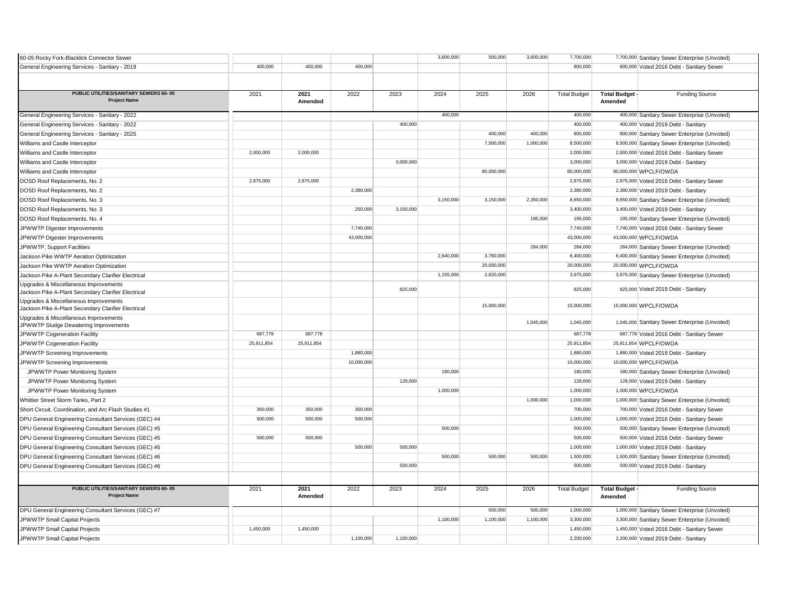| 60-05 Rocky Fork-Blacklick Connector Sewer                                                   |            |                 |            |           | 3,600,000 | 500,000    | 3,600,000 | 7,700,000           |                                  | 7,700,000 Sanitary Sewer Enterprise (Unvoted) |
|----------------------------------------------------------------------------------------------|------------|-----------------|------------|-----------|-----------|------------|-----------|---------------------|----------------------------------|-----------------------------------------------|
| General Engineering Services - Sanitary - 2019                                               | 400,000    | 400.000         | 400,000    |           |           |            |           | 800,000             |                                  | 800,000 Voted 2016 Debt - Sanitary Sewer      |
|                                                                                              |            |                 |            |           |           |            |           |                     |                                  |                                               |
| PUBLIC UTILITIES/SANITARY SEWERS 60-05<br><b>Project Name</b>                                | 2021       | 2021<br>Amended | 2022       | 2023      | 2024      | 2025       | 2026      | <b>Total Budget</b> | <b>Total Budget -</b><br>Amended | <b>Funding Source</b>                         |
| General Engineering Services - Sanitary - 2022                                               |            |                 |            |           | 400.000   |            |           | 400,000             |                                  | 400,000 Sanitary Sewer Enterprise (Unvoted)   |
| General Engineering Services - Sanitary - 2022                                               |            |                 |            | 400,000   |           |            |           | 400,000             |                                  | 400,000 Voted 2019 Debt - Sanitary            |
| General Engineering Services - Sanitary - 2025                                               |            |                 |            |           |           | 400,000    | 400,000   | 800,000             |                                  | 800,000 Sanitary Sewer Enterprise (Unvoted)   |
| Williams and Castle Interceptor                                                              |            |                 |            |           |           | 7,500,000  | 1,000,000 | 8,500,000           |                                  | 8,500,000 Sanitary Sewer Enterprise (Unvoted) |
| Williams and Castle Interceptor                                                              | 2,000,000  | 2,000,000       |            |           |           |            |           | 2,000,000           |                                  | 2,000,000 Voted 2016 Debt - Sanitary Sewer    |
| Williams and Castle Interceptor                                                              |            |                 |            | 3,000,000 |           |            |           | 3,000,000           |                                  | 3,000,000 Voted 2019 Debt - Sanitary          |
| Williams and Castle Interceptor                                                              |            |                 |            |           |           | 80,000,000 |           | 80,000,000          |                                  | 80,000,000 WPCLF/OWDA                         |
| DOSD Roof Replacements, No. 2                                                                | 2,875,000  | 2,875,000       |            |           |           |            |           | 2,875,000           |                                  | 2,875,000 Voted 2016 Debt - Sanitary Sewer    |
| DOSD Roof Replacements, No. 2                                                                |            |                 | 2,380,000  |           |           |            |           | 2,380,000           |                                  | 2,380,000 Voted 2019 Debt - Sanitary          |
| DOSD Roof Replacements, No. 3                                                                |            |                 |            |           | 3,150,000 | 3,150,000  | 2,350,000 | 8,650,000           |                                  | 8,650,000 Sanitary Sewer Enterprise (Unvoted) |
| DOSD Roof Replacements, No. 3                                                                |            |                 | 250,000    | 3,150,000 |           |            |           | 3,400,000           |                                  | 3,400,000 Voted 2019 Debt - Sanitary          |
| DOSD Roof Replacements, No. 4                                                                |            |                 |            |           |           |            | 195,000   | 195,000             |                                  | 195,000 Sanitary Sewer Enterprise (Unvoted)   |
| JPWWTP Digester Improvements                                                                 |            |                 | 7,740,000  |           |           |            |           | 7,740,000           |                                  | 7,740,000 Voted 2016 Debt - Sanitary Sewer    |
| JPWWTP Digester Improvements                                                                 |            |                 | 43,000,000 |           |           |            |           | 43,000,000          |                                  | 43,000,000 WPCLF/OWDA                         |
| JPWWTP, Support Facilities                                                                   |            |                 |            |           |           |            | 284,000   | 284,000             |                                  | 284,000 Sanitary Sewer Enterprise (Unvoted)   |
| Jackson Pike WWTP Aeration Optimization                                                      |            |                 |            |           | 2,640,000 | 3,760,000  |           | 6,400,000           |                                  | 6,400,000 Sanitary Sewer Enterprise (Unvoted) |
| Jackson Pike WWTP Aeration Optimization                                                      |            |                 |            |           |           | 20,000,000 |           | 20,000,000          |                                  | 20,000,000 WPCLF/OWDA                         |
| Jackson Pike A-Plant Secondary Clarifier Electrical                                          |            |                 |            |           | 1,155,000 | 2,820,000  |           | 3,975,000           |                                  | 3,975,000 Sanitary Sewer Enterprise (Unvoted) |
| Upgrades & Miscellaneous Improvements<br>Jackson Pike A-Plant Secondary Clarifier Electrical |            |                 |            | 825,000   |           |            |           | 825,000             |                                  | 825,000 Voted 2019 Debt - Sanitary            |
| Upgrades & Miscellaneous Improvements<br>Jackson Pike A-Plant Secondary Clarifier Electrical |            |                 |            |           |           | 15,000,000 |           | 15,000,000          |                                  | 15,000,000 WPCLF/OWDA                         |
| Upgrades & Miscellaneous Improvements<br>JPWWTP Sludge Dewatering Improvements               |            |                 |            |           |           |            | 1,045,000 | 1,045,000           |                                  | 1,045,000 Sanitary Sewer Enterprise (Unvoted) |
| JPWWTP Cogeneration Facility                                                                 | 687,778    | 687,778         |            |           |           |            |           | 687,778             |                                  | 687,778 Voted 2016 Debt - Sanitary Sewer      |
| JPWWTP Cogeneration Facility                                                                 | 25,911,854 | 25,911,854      |            |           |           |            |           | 25,911,854          |                                  | 25,911,854 WPCLF/OWDA                         |
| JPWWTP Screening Improvements                                                                |            |                 | 1,880,000  |           |           |            |           | 1,880,000           |                                  | 1,880,000 Voted 2019 Debt - Sanitary          |
| <b>JPWWTP Screening Improvements</b>                                                         |            |                 | 10,000,000 |           |           |            |           | 10,000,000          |                                  | 10,000,000 WPCLF/OWDA                         |
| JPWWTP Power Monitoring System                                                               |            |                 |            |           | 180,000   |            |           | 180,000             |                                  | 180,000 Sanitary Sewer Enterprise (Unvoted)   |
| JPWWTP Power Monitoring System                                                               |            |                 |            | 128,000   |           |            |           | 128,000             |                                  | 128,000 Voted 2019 Debt - Sanitary            |
| JPWWTP Power Monitoring System                                                               |            |                 |            |           | 1,000,000 |            |           | 1,000,000           |                                  | 1,000,000 WPCLF/OWDA                          |
| Whittier Street Storm Tanks, Part 2                                                          |            |                 |            |           |           |            | 1,000,000 | 1,000,000           |                                  | 1,000,000 Sanitary Sewer Enterprise (Unvoted) |
| Short Circuit. Coordination, and Arc Flash Studies #1                                        | 350,000    | 350,000         | 350,000    |           |           |            |           | 700,000             |                                  | 700,000 Voted 2016 Debt - Sanitary Sewer      |
| DPU General Engineering Consultant Services (GEC) #4                                         | 500,000    | 500,000         | 500,000    |           |           |            |           | 1,000,000           |                                  | 1,000,000 Voted 2016 Debt - Sanitary Sewer    |
| DPU General Engineering Consultant Services (GEC) #5                                         |            |                 |            |           | 500,000   |            |           | 500,000             |                                  | 500,000 Sanitary Sewer Enterprise (Unvoted)   |
| DPU General Engineering Consultant Services (GEC) #5                                         | 500,000    | 500,000         |            |           |           |            |           | 500,000             |                                  | 500,000 Voted 2016 Debt - Sanitary Sewer      |
| DPU General Engineering Consultant Services (GEC) #5                                         |            |                 | 500,000    | 500,000   |           |            |           | 1,000,000           |                                  | 1,000,000 Voted 2019 Debt - Sanitary          |
| DPU General Engineering Consultant Services (GEC) #6                                         |            |                 |            |           | 500,000   | 500,000    | 500,000   | 1,500,000           |                                  | 1,500,000 Sanitary Sewer Enterprise (Unvoted) |
| DPU General Engineering Consultant Services (GEC) #6                                         |            |                 |            | 500,000   |           |            |           | 500,000             |                                  | 500,000 Voted 2019 Debt - Sanitary            |
|                                                                                              |            |                 |            |           |           |            |           |                     |                                  |                                               |
| <b>PUBLIC UTILITIES/SANITARY SEWERS 60-05</b><br><b>Project Name</b>                         | 2021       | 2021<br>Amended | 2022       | 2023      | 2024      | 2025       | 2026      | <b>Total Budget</b> | <b>Total Budget</b><br>Amended   | <b>Funding Source</b>                         |
| DPU General Engineering Consultant Services (GEC) #7                                         |            |                 |            |           |           | 500,000    | 500,000   | 1,000,000           |                                  | 1,000,000 Sanitary Sewer Enterprise (Unvoted) |
| JPWWTP Small Capital Projects                                                                |            |                 |            |           | 1,100,000 | 1,100,000  | 1,100,000 | 3,300,000           |                                  | 3,300,000 Sanitary Sewer Enterprise (Unvoted) |
| JPWWTP Small Capital Projects                                                                | 1,450,000  | 1,450,000       |            |           |           |            |           | 1,450,000           |                                  | 1,450,000 Voted 2016 Debt - Sanitary Sewer    |
| JPWWTP Small Capital Projects                                                                |            |                 | 1,100,000  | 1,100,000 |           |            |           | 2,200,000           |                                  | 2,200,000 Voted 2019 Debt - Sanitary          |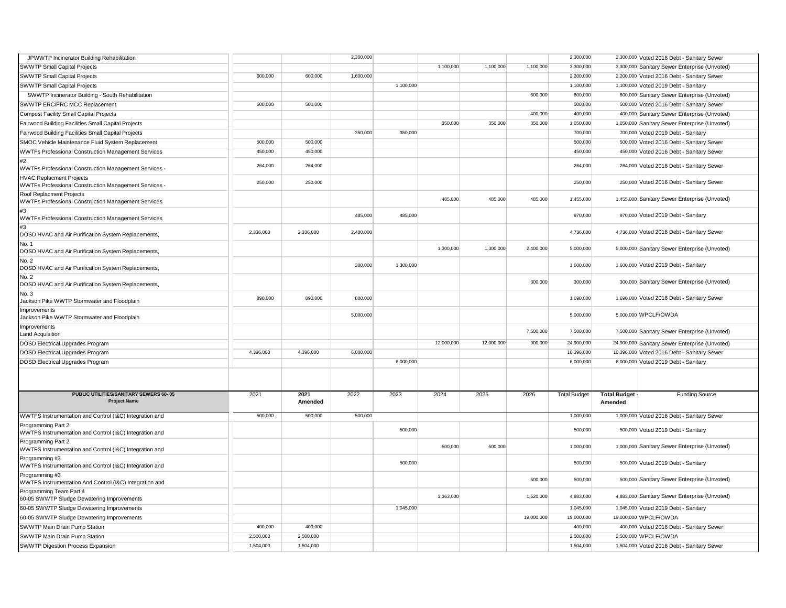| JPWWTP Incinerator Building Rehabilitation                                               |           |                 | 2,300,000 |           |            |            |            | 2,300,000           |                                | 2,300,000 Voted 2016 Debt - Sanitary Sewer     |
|------------------------------------------------------------------------------------------|-----------|-----------------|-----------|-----------|------------|------------|------------|---------------------|--------------------------------|------------------------------------------------|
| SWWTP Small Capital Projects                                                             |           |                 |           |           | 1,100,000  | 1,100,000  | 1,100,000  | 3,300,000           |                                | 3,300,000 Sanitary Sewer Enterprise (Unvoted)  |
| <b>SWWTP Small Capital Projects</b>                                                      | 600,000   | 600,000         | 1,600,000 |           |            |            |            | 2,200,000           |                                | 2,200,000 Voted 2016 Debt - Sanitary Sewer     |
| SWWTP Small Capital Projects                                                             |           |                 |           | 1,100,000 |            |            |            | 1,100,000           |                                | 1,100,000 Voted 2019 Debt - Sanitary           |
| SWWTP Incinerator Building - South Rehabilitation                                        |           |                 |           |           |            |            | 600,000    | 600,000             |                                | 600,000 Sanitary Sewer Enterprise (Unvoted)    |
| SWWTP ERC/FRC MCC Replacement                                                            | 500,000   | 500,000         |           |           |            |            |            | 500,000             |                                | 500,000 Voted 2016 Debt - Sanitary Sewer       |
| <b>Compost Facility Small Capital Projects</b>                                           |           |                 |           |           |            |            | 400,000    | 400,000             |                                | 400,000 Sanitary Sewer Enterprise (Unvoted)    |
| Fairwood Building Facilities Small Capital Projects                                      |           |                 |           |           | 350,000    | 350,000    | 350,000    | 1,050,000           |                                | 1,050,000 Sanitary Sewer Enterprise (Unvoted)  |
| Fairwood Building Facilities Small Capital Projects                                      |           |                 | 350,000   | 350,000   |            |            |            | 700,000             |                                | 700,000 Voted 2019 Debt - Sanitary             |
| SMOC Vehicle Maintenance Fluid System Replacement                                        | 500,000   | 500,000         |           |           |            |            |            | 500,000             |                                | 500,000 Voted 2016 Debt - Sanitary Sewer       |
| <b>WWTFs Professional Construction Management Services</b>                               | 450,000   | 450,000         |           |           |            |            |            | 450,000             |                                | 450,000 Voted 2016 Debt - Sanitary Sewer       |
| #2                                                                                       |           |                 |           |           |            |            |            |                     |                                |                                                |
| WWTFs Professional Construction Management Services -                                    | 264,000   | 264,000         |           |           |            |            |            | 264,000             |                                | 264,000 Voted 2016 Debt - Sanitary Sewer       |
| <b>HVAC Replacment Projects</b><br>WWTFs Professional Construction Management Services - | 250,000   | 250,000         |           |           |            |            |            | 250,000             |                                | 250,000 Voted 2016 Debt - Sanitary Sewer       |
| Roof Replacment Projects<br>WWTFs Professional Construction Management Services          |           |                 |           |           | 485,000    | 485,000    | 485,000    | 1,455,000           |                                | 1,455,000 Sanitary Sewer Enterprise (Unvoted)  |
| #3<br>WWTFs Professional Construction Management Services                                |           |                 | 485,000   | 485,000   |            |            |            | 970,000             |                                | 970,000 Voted 2019 Debt - Sanitary             |
| #3<br>DOSD HVAC and Air Purification System Replacements,                                | 2.336.000 | 2.336.000       | 2,400,000 |           |            |            |            | 4,736,000           |                                | 4,736,000 Voted 2016 Debt - Sanitary Sewer     |
| No. 1<br>DOSD HVAC and Air Purification System Replacements,                             |           |                 |           |           | 1,300,000  | 1,300,000  | 2,400,000  | 5,000,000           |                                | 5,000,000 Sanitary Sewer Enterprise (Unvoted)  |
| No. 2<br>DOSD HVAC and Air Purification System Replacements,                             |           |                 | 300,000   | 1,300,000 |            |            |            | 1,600,000           |                                | 1,600,000 Voted 2019 Debt - Sanitary           |
| No. 2<br>DOSD HVAC and Air Purification System Replacements,                             |           |                 |           |           |            |            | 300,000    | 300,000             |                                | 300,000 Sanitary Sewer Enterprise (Unvoted)    |
| No. 3<br>Jackson Pike WWTP Stormwater and Floodplain                                     | 890,000   | 890,000         | 800,000   |           |            |            |            | 1,690,000           |                                | 1,690,000 Voted 2016 Debt - Sanitary Sewer     |
| Improvements<br>Jackson Pike WWTP Stormwater and Floodplain                              |           |                 | 5,000,000 |           |            |            |            | 5,000,000           |                                | 5,000,000 WPCLF/OWDA                           |
| Improvements<br><b>Land Acquisition</b>                                                  |           |                 |           |           |            |            | 7,500,000  | 7,500,000           |                                | 7,500,000 Sanitary Sewer Enterprise (Unvoted)  |
| <b>DOSD Electrical Upgrades Program</b>                                                  |           |                 |           |           | 12,000,000 | 12,000,000 | 900,000    | 24,900,000          |                                | 24,900,000 Sanitary Sewer Enterprise (Unvoted) |
| <b>DOSD Electrical Upgrades Program</b>                                                  | 4,396,000 | 4,396,000       | 6,000,000 |           |            |            |            | 10,396,000          |                                | 10,396,000 Voted 2016 Debt - Sanitary Sewer    |
| DOSD Electrical Upgrades Program                                                         |           |                 |           | 6,000,000 |            |            |            | 6,000,000           |                                | 6,000,000 Voted 2019 Debt - Sanitary           |
|                                                                                          |           |                 |           |           |            |            |            |                     |                                |                                                |
| PUBLIC UTILITIES/SANITARY SEWERS 60-05<br><b>Project Name</b>                            | 2021      | 2021<br>Amended | 2022      | 2023      | 2024       | 2025       | 2026       | <b>Total Budget</b> | <b>Total Budget</b><br>Amended | <b>Funding Source</b>                          |
| WWTFS Instrumentation and Control (I&C) Integration and                                  | 500,000   | 500,000         | 500,000   |           |            |            |            | 1,000,000           |                                | 1,000,000 Voted 2016 Debt - Sanitary Sewer     |
| Programming Part 2<br>WWTFS Instrumentation and Control (I&C) Integration and            |           |                 |           | 500,000   |            |            |            | 500,000             |                                | 500,000 Voted 2019 Debt - Sanitary             |
| Programming Part 2<br>WWTFS Instrumentation and Control (I&C) Integration and            |           |                 |           |           | 500,000    | 500,000    |            | 1,000,000           |                                | 1,000,000 Sanitary Sewer Enterprise (Unvoted)  |
| Programming #3<br>WWTFS Instrumentation and Control (I&C) Integration and                |           |                 |           | 500,000   |            |            |            | 500,000             |                                | 500,000 Voted 2019 Debt - Sanitary             |
| Programming #3<br>WWTFS Instrumentation And Control (I&C) Integration and                |           |                 |           |           |            |            | 500,000    | 500,000             |                                | 500,000 Sanitary Sewer Enterprise (Unvoted)    |
| Programming Team Part 4<br>60-05 SWWTP Sludge Dewatering Improvements                    |           |                 |           |           | 3,363,000  |            | 1,520,000  | 4,883,000           |                                | 4,883,000 Sanitary Sewer Enterprise (Unvoted)  |
| 60-05 SWWTP Sludge Dewatering Improvements                                               |           |                 |           | 1,045,000 |            |            |            | 1,045,000           |                                | 1,045,000 Voted 2019 Debt - Sanitary           |
| 60-05 SWWTP Sludge Dewatering Improvements                                               |           |                 |           |           |            |            | 19,000,000 | 19,000,000          |                                | 19,000,000 WPCLF/OWDA                          |
| SWWTP Main Drain Pump Station                                                            |           |                 |           |           |            |            |            |                     |                                |                                                |
|                                                                                          | 400,000   | 400,000         |           |           |            |            |            | 400,000             |                                | 400,000 Voted 2016 Debt - Sanitary Sewer       |
| SWWTP Main Drain Pump Station                                                            | 2,500,000 | 2,500,000       |           |           |            |            |            | 2,500,000           |                                | 2,500,000 WPCLF/OWDA                           |
| SWWTP Digestion Process Expansion                                                        | 1,504,000 | 1,504,000       |           |           |            |            |            | 1,504,000           |                                | 1,504,000 Voted 2016 Debt - Sanitary Sewer     |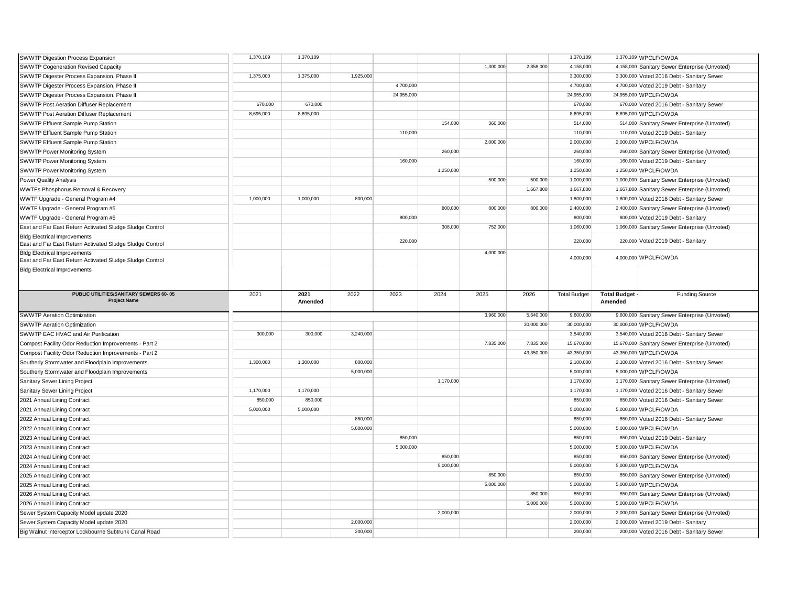| SWWTP Digestion Process Expansion                                                               | 1,370,109 | 1,370,109 |           |            |           |           |            | 1,370,109           |              | 1,370,109 WPCLF/OWDA                           |
|-------------------------------------------------------------------------------------------------|-----------|-----------|-----------|------------|-----------|-----------|------------|---------------------|--------------|------------------------------------------------|
| <b>SWWTP Cogeneration Revised Capacity</b>                                                      |           |           |           |            |           | 1,300,000 | 2,858,000  | 4,158,000           |              | 4,158,000 Sanitary Sewer Enterprise (Unvoted)  |
| SWWTP Digester Process Expansion, Phase II                                                      | 1,375,000 | 1,375,000 | 1,925,000 |            |           |           |            | 3,300,000           |              | 3,300,000 Voted 2016 Debt - Sanitary Sewer     |
| SWWTP Digester Process Expansion, Phase II                                                      |           |           |           | 4,700,000  |           |           |            | 4,700,000           |              | 4,700,000 Voted 2019 Debt - Sanitary           |
| SWWTP Digester Process Expansion, Phase II                                                      |           |           |           | 24,955,000 |           |           |            | 24,955,000          |              | 24,955,000 WPCLF/OWDA                          |
| SWWTP Post Aeration Diffuser Replacement                                                        | 670,000   | 670,000   |           |            |           |           |            | 670,000             |              | 670,000 Voted 2016 Debt - Sanitary Sewer       |
| SWWTP Post Aeration Diffuser Replacement                                                        | 8,695,000 | 8,695,000 |           |            |           |           |            | 8,695,000           |              | 8,695,000 WPCLF/OWDA                           |
| SWWTP Effluent Sample Pump Station                                                              |           |           |           |            | 154,000   | 360,000   |            | 514,000             |              | 514,000 Sanitary Sewer Enterprise (Unvoted)    |
| SWWTP Effluent Sample Pump Station                                                              |           |           |           | 110,000    |           |           |            | 110,000             |              | 110,000 Voted 2019 Debt - Sanitary             |
| SWWTP Effluent Sample Pump Station                                                              |           |           |           |            |           | 2.000.000 |            | 2,000,000           |              | 2,000,000 WPCLF/OWDA                           |
| SWWTP Power Monitoring System                                                                   |           |           |           |            | 260,000   |           |            | 260,000             |              | 260,000 Sanitary Sewer Enterprise (Unvoted)    |
| SWWTP Power Monitoring System                                                                   |           |           |           | 160,000    |           |           |            | 160,000             |              | 160,000 Voted 2019 Debt - Sanitary             |
| SWWTP Power Monitoring System                                                                   |           |           |           |            | 1,250,000 |           |            | 1,250,000           |              | 1,250,000 WPCLF/OWDA                           |
| Power Quality Analysis                                                                          |           |           |           |            |           | 500,000   | 500,000    | 1,000,000           |              | 1,000,000 Sanitary Sewer Enterprise (Unvoted)  |
| WWTFs Phosphorus Removal & Recovery                                                             |           |           |           |            |           |           | 1,667,800  | 1,667,800           |              | 1,667,800 Sanitary Sewer Enterprise (Unvoted)  |
| WWTF Upgrade - General Program #4                                                               | 1,000,000 | 1,000,000 | 800,000   |            |           |           |            | 1,800,000           |              | 1,800,000 Voted 2016 Debt - Sanitary Sewer     |
| WWTF Upgrade - General Program #5                                                               |           |           |           |            | 800,000   | 800,000   | 800,000    | 2,400,000           |              | 2,400,000 Sanitary Sewer Enterprise (Unvoted)  |
| WWTF Upgrade - General Program #5                                                               |           |           |           | 800,000    |           |           |            | 800,000             |              | 800,000 Voted 2019 Debt - Sanitary             |
|                                                                                                 |           |           |           |            | 308,000   | 752,000   |            | 1,060,000           |              |                                                |
| East and Far East Return Activated Sludge Sludge Control                                        |           |           |           |            |           |           |            |                     |              | 1,060,000 Sanitary Sewer Enterprise (Unvoted)  |
| <b>Bldg Electrical Improvements</b><br>East and Far East Return Activated Sludge Sludge Control |           |           |           | 220,000    |           |           |            | 220,000             |              | 220,000 Voted 2019 Debt - Sanitary             |
| <b>Bldg Electrical Improvements</b>                                                             |           |           |           |            |           | 4,000,000 |            | 4,000,000           |              | 4,000,000 WPCLF/OWDA                           |
| East and Far East Return Activated Sludge Sludge Control                                        |           |           |           |            |           |           |            |                     |              |                                                |
| <b>Bldg Electrical Improvements</b>                                                             |           |           |           |            |           |           |            |                     |              |                                                |
|                                                                                                 |           |           |           |            |           |           |            |                     |              |                                                |
| PUBLIC UTILITIES/SANITARY SEWERS 60-05                                                          | 2021      | 2021      | 2022      | 2023       | 2024      | 2025      | 2026       | <b>Total Budget</b> | Total Budget | <b>Funding Source</b>                          |
|                                                                                                 |           |           |           |            |           |           |            |                     |              |                                                |
| <b>Project Name</b>                                                                             |           | Amended   |           |            |           |           |            |                     | Amended      |                                                |
|                                                                                                 |           |           |           |            |           |           |            |                     |              |                                                |
| SWWTP Aeration Optimization                                                                     |           |           |           |            |           | 3,960,000 | 5,640,000  | 9,600,000           |              | 9,600,000 Sanitary Sewer Enterprise (Unvoted)  |
| <b>SWWTP Aeration Optimization</b>                                                              |           |           |           |            |           |           | 30,000,000 | 30,000,000          |              | 30,000,000 WPCLF/OWDA                          |
| SWWTP EAC HVAC and Air Purification                                                             | 300,000   | 300,000   | 3,240,000 |            |           |           |            | 3,540,000           |              | 3,540,000 Voted 2016 Debt - Sanitary Sewer     |
| Compost Facility Odor Reduction Improvements - Part 2                                           |           |           |           |            |           | 7,835,000 | 7,835,000  | 15,670,000          |              | 15,670,000 Sanitary Sewer Enterprise (Unvoted) |
| Compost Facility Odor Reduction Improvements - Part 2                                           |           |           |           |            |           |           | 43,350,000 | 43,350,000          |              | 43,350,000 WPCLF/OWDA                          |
| Southerly Stormwater and Floodplain Improvements                                                | 1,300,000 | 1,300,000 | 800,000   |            |           |           |            | 2,100,000           |              | 2,100,000 Voted 2016 Debt - Sanitary Sewer     |
| Southerly Stormwater and Floodplain Improvements                                                |           |           | 5,000,000 |            |           |           |            | 5,000,000           |              | 5,000,000 WPCLF/OWDA                           |
| <b>Sanitary Sewer Lining Project</b>                                                            |           |           |           |            | 1,170,000 |           |            | 1,170,000           |              | 1,170,000 Sanitary Sewer Enterprise (Unvoted)  |
| <b>Sanitary Sewer Lining Project</b>                                                            | 1,170,000 | 1,170,000 |           |            |           |           |            | 1,170,000           |              | 1,170,000 Voted 2016 Debt - Sanitary Sewer     |
| 2021 Annual Lining Contract                                                                     | 850,000   | 850,000   |           |            |           |           |            | 850,000             |              | 850,000 Voted 2016 Debt - Sanitary Sewer       |
| 2021 Annual Lining Contract                                                                     | 5,000,000 | 5,000,000 |           |            |           |           |            | 5,000,000           |              | 5,000,000 WPCLF/OWDA                           |
| 2022 Annual Lining Contract                                                                     |           |           | 850,000   |            |           |           |            | 850,000             |              | 850,000 Voted 2016 Debt - Sanitary Sewer       |
| 2022 Annual Lining Contract                                                                     |           |           | 5,000,000 |            |           |           |            | 5,000,000           |              | 5,000,000 WPCLF/OWDA                           |
| 2023 Annual Lining Contract                                                                     |           |           |           | 850,000    |           |           |            | 850,000             |              | 850,000 Voted 2019 Debt - Sanitary             |
| 2023 Annual Lining Contract                                                                     |           |           |           | 5,000,000  |           |           |            | 5,000,000           |              | 5,000,000 WPCLF/OWDA                           |
| 2024 Annual Lining Contract                                                                     |           |           |           |            | 850,000   |           |            | 850,000             |              | 850,000 Sanitary Sewer Enterprise (Unvoted)    |
| 2024 Annual Lining Contract                                                                     |           |           |           |            | 5,000,000 |           |            | 5,000,000           |              | 5,000,000 WPCLF/OWDA                           |
| 2025 Annual Lining Contract                                                                     |           |           |           |            |           | 850,000   |            | 850,000             |              | 850,000 Sanitary Sewer Enterprise (Unvoted)    |
| 2025 Annual Lining Contract                                                                     |           |           |           |            |           | 5,000,000 |            | 5,000,000           |              | 5,000,000 WPCLF/OWDA                           |
| 2026 Annual Lining Contract                                                                     |           |           |           |            |           |           | 850,000    | 850,000             |              | 850,000 Sanitary Sewer Enterprise (Unvoted)    |
| 2026 Annual Lining Contract                                                                     |           |           |           |            |           |           | 5,000,000  | 5,000,000           |              | 5,000,000 WPCLF/OWDA                           |
| Sewer System Capacity Model update 2020                                                         |           |           |           |            | 2.000.000 |           |            | 2.000.000           |              | 2,000,000 Sanitary Sewer Enterprise (Unvoted)  |
| Sewer System Capacity Model update 2020                                                         |           |           | 2,000,000 |            |           |           |            | 2,000,000           |              | 2,000,000 Voted 2019 Debt - Sanitary           |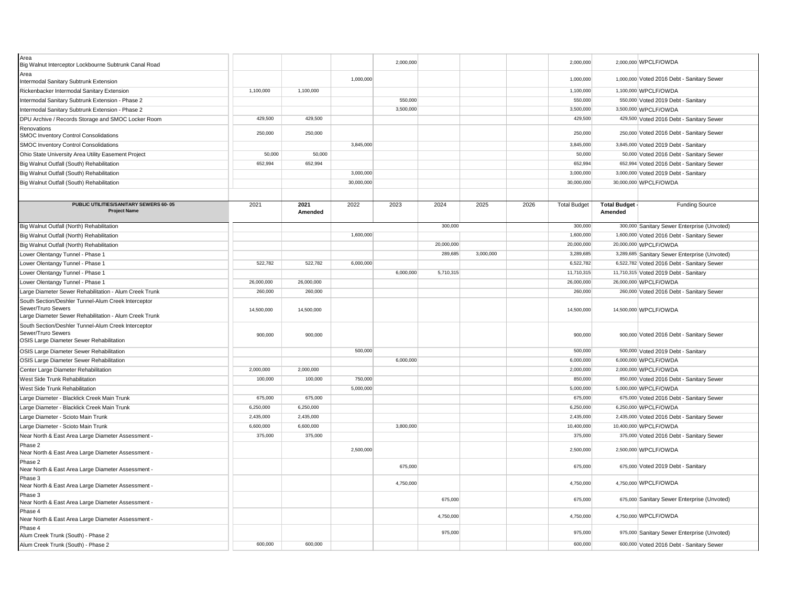| Area<br>Big Walnut Interceptor Lockbourne Subtrunk Canal Road                                                                       |            |                 |            | 2,000,000 |            |           |      | 2,000,000           |                                | 2,000,000 WPCLF/OWDA                          |
|-------------------------------------------------------------------------------------------------------------------------------------|------------|-----------------|------------|-----------|------------|-----------|------|---------------------|--------------------------------|-----------------------------------------------|
| Area<br>Intermodal Sanitary Subtrunk Extension                                                                                      |            |                 | 1,000,000  |           |            |           |      | 1,000,000           |                                | 1,000,000 Voted 2016 Debt - Sanitary Sewer    |
| Rickenbacker Intermodal Sanitary Extension                                                                                          | 1,100,000  | 1,100,000       |            |           |            |           |      | 1,100,000           |                                | 1,100,000 WPCLF/OWDA                          |
| Intermodal Sanitary Subtrunk Extension - Phase 2                                                                                    |            |                 |            | 550,000   |            |           |      | 550,000             |                                | 550,000 Voted 2019 Debt - Sanitary            |
| Intermodal Sanitary Subtrunk Extension - Phase 2                                                                                    |            |                 |            | 3,500,000 |            |           |      | 3,500,000           |                                | 3,500,000 WPCLF/OWDA                          |
| DPU Archive / Records Storage and SMOC Locker Room                                                                                  | 429,500    | 429,500         |            |           |            |           |      | 429,500             |                                | 429,500 Voted 2016 Debt - Sanitary Sewer      |
| Renovations<br>SMOC Inventory Control Consolidations                                                                                | 250,000    | 250,000         |            |           |            |           |      | 250,000             |                                | 250,000 Voted 2016 Debt - Sanitary Sewer      |
| <b>SMOC Inventory Control Consolidations</b>                                                                                        |            |                 | 3,845,000  |           |            |           |      | 3,845,000           |                                | 3,845,000 Voted 2019 Debt - Sanitary          |
| Ohio State University Area Utility Easement Project                                                                                 | 50,000     | 50,000          |            |           |            |           |      | 50,000              |                                | 50,000 Voted 2016 Debt - Sanitary Sewer       |
| Big Walnut Outfall (South) Rehabilitation                                                                                           | 652,994    | 652,994         |            |           |            |           |      | 652,994             |                                | 652,994 Voted 2016 Debt - Sanitary Sewer      |
| Big Walnut Outfall (South) Rehabilitation                                                                                           |            |                 | 3,000,000  |           |            |           |      | 3,000,000           |                                | 3,000,000 Voted 2019 Debt - Sanitary          |
| Big Walnut Outfall (South) Rehabilitation                                                                                           |            |                 | 30,000,000 |           |            |           |      | 30,000,000          |                                | 30,000,000 WPCLF/OWDA                         |
|                                                                                                                                     |            |                 |            |           |            |           |      |                     |                                |                                               |
| PUBLIC UTILITIES/SANITARY SEWERS 60-05<br><b>Project Name</b>                                                                       | 2021       | 2021<br>Amended | 2022       | 2023      | 2024       | 2025      | 2026 | <b>Total Budget</b> | <b>Total Budget</b><br>Amended | <b>Funding Source</b>                         |
| Big Walnut Outfall (North) Rehabilitation                                                                                           |            |                 |            |           | 300,000    |           |      | 300,000             |                                | 300,000 Sanitary Sewer Enterprise (Unvoted)   |
| Big Walnut Outfall (North) Rehabilitation                                                                                           |            |                 | 1,600,000  |           |            |           |      | 1,600,000           |                                | 1,600,000 Voted 2016 Debt - Sanitary Sewer    |
| Big Walnut Outfall (North) Rehabilitation                                                                                           |            |                 |            |           | 20,000,000 |           |      | 20,000,000          |                                | 20,000,000 WPCLF/OWDA                         |
| Lower Olentangy Tunnel - Phase 1                                                                                                    |            |                 |            |           | 289,685    | 3,000,000 |      | 3,289,685           |                                | 3,289,685 Sanitary Sewer Enterprise (Unvoted) |
| Lower Olentangy Tunnel - Phase 1                                                                                                    | 522,782    | 522,782         | 6,000,000  |           |            |           |      | 6,522,782           |                                | 6,522,782 Voted 2016 Debt - Sanitary Sewer    |
| Lower Olentangy Tunnel - Phase 1                                                                                                    |            |                 |            | 6,000,000 | 5,710,315  |           |      | 11,710,315          |                                | 11,710,315 Voted 2019 Debt - Sanitary         |
| Lower Olentangy Tunnel - Phase 1                                                                                                    | 26,000,000 | 26,000,000      |            |           |            |           |      | 26,000,000          |                                | 26,000,000 WPCLF/OWDA                         |
| Large Diameter Sewer Rehabilitation - Alum Creek Trunk                                                                              | 260,000    | 260,000         |            |           |            |           |      | 260,000             |                                | 260,000 Voted 2016 Debt - Sanitary Sewer      |
| South Section/Deshler Tunnel-Alum Creek Interceptor<br>Sewer/Truro Sewers<br>Large Diameter Sewer Rehabilitation - Alum Creek Trunk | 14,500,000 | 14,500,000      |            |           |            |           |      | 14,500,000          |                                | 14,500,000 WPCLF/OWDA                         |
| South Section/Deshler Tunnel-Alum Creek Interceptor<br>Sewer/Truro Sewers<br>OSIS Large Diameter Sewer Rehabilitation               | 900,000    | 900,000         |            |           |            |           |      | 900,000             |                                | 900,000 Voted 2016 Debt - Sanitary Sewer      |
| OSIS Large Diameter Sewer Rehabilitation                                                                                            |            |                 | 500,000    |           |            |           |      | 500,000             |                                | 500,000 Voted 2019 Debt - Sanitary            |
| OSIS Large Diameter Sewer Rehabilitation                                                                                            |            |                 |            | 6,000,000 |            |           |      | 6,000,000           |                                | 6,000,000 WPCLF/OWDA                          |
| Center Large Diameter Rehabilitation                                                                                                | 2,000,000  | 2,000,000       |            |           |            |           |      | 2,000,000           |                                | 2,000,000 WPCLF/OWDA                          |
| West Side Trunk Rehabilitation                                                                                                      | 100,000    | 100,000         | 750,000    |           |            |           |      | 850,000             |                                | 850,000 Voted 2016 Debt - Sanitary Sewer      |
| West Side Trunk Rehabilitation                                                                                                      |            |                 | 5,000,000  |           |            |           |      | 5,000,000           |                                | 5,000,000 WPCLF/OWDA                          |
| Large Diameter - Blacklick Creek Main Trunk                                                                                         | 675,000    | 675,000         |            |           |            |           |      | 675,000             |                                | 675,000 Voted 2016 Debt - Sanitary Sewer      |
| Large Diameter - Blacklick Creek Main Trunk                                                                                         | 6,250,000  | 6,250,000       |            |           |            |           |      | 6,250,000           |                                | 6,250,000 WPCLF/OWDA                          |
| Large Diameter - Scioto Main Trunk                                                                                                  | 2,435,000  | 2,435,000       |            |           |            |           |      | 2,435,000           |                                | 2,435,000 Voted 2016 Debt - Sanitary Sewer    |
| Large Diameter - Scioto Main Trunk                                                                                                  | 6.600.000  | 6.600.000       |            | 3,800,000 |            |           |      | 10,400,000          |                                | 10,400,000 WPCLF/OWDA                         |
| Near North & East Area Large Diameter Assessment -                                                                                  | 375,000    | 375,000         |            |           |            |           |      | 375,000             |                                | 375,000 Voted 2016 Debt - Sanitary Sewer      |
| Phase 2<br>Near North & East Area Large Diameter Assessment -                                                                       |            |                 | 2,500,000  |           |            |           |      | 2,500,000           |                                | 2,500,000 WPCLF/OWDA                          |
| Phase 2<br>Near North & East Area Large Diameter Assessment -                                                                       |            |                 |            | 675,000   |            |           |      | 675,000             |                                | 675,000 Voted 2019 Debt - Sanitary            |
| Phase 3<br>Near North & East Area Large Diameter Assessment -                                                                       |            |                 |            | 4,750,000 |            |           |      | 4,750,000           |                                | 4,750,000 WPCLF/OWDA                          |
| Phase 3<br>Near North & East Area Large Diameter Assessment -                                                                       |            |                 |            |           | 675,000    |           |      | 675,000             |                                | 675,000 Sanitary Sewer Enterprise (Unvoted)   |
| Phase 4<br>Near North & East Area Large Diameter Assessment -                                                                       |            |                 |            |           | 4,750,000  |           |      | 4,750,000           |                                | 4,750,000 WPCLF/OWDA                          |
| Phase 4<br>Alum Creek Trunk (South) - Phase 2                                                                                       |            |                 |            |           | 975,000    |           |      | 975,000             |                                | 975,000 Sanitary Sewer Enterprise (Unvoted)   |
| Alum Creek Trunk (South) - Phase 2                                                                                                  | 600,000    | 600.000         |            |           |            |           |      | 600,000             |                                | 600,000 Voted 2016 Debt - Sanitary Sewer      |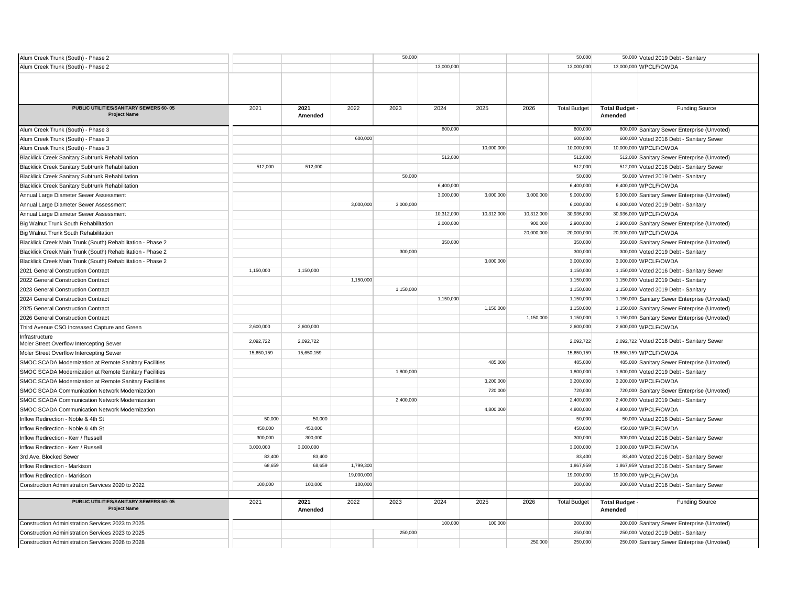| Alum Creek Trunk (South) - Phase 2                                                 |            |            |                       | 50,000    |            |            |            | 50,000                |                     | 50,000 Voted 2019 Debt - Sanitary             |
|------------------------------------------------------------------------------------|------------|------------|-----------------------|-----------|------------|------------|------------|-----------------------|---------------------|-----------------------------------------------|
| Alum Creek Trunk (South) - Phase 2                                                 |            |            |                       |           | 13,000,000 |            |            | 13,000,000            |                     | 13,000,000 WPCLF/OWDA                         |
|                                                                                    |            |            |                       |           |            |            |            |                       |                     |                                               |
|                                                                                    |            |            |                       |           |            |            |            |                       |                     |                                               |
|                                                                                    |            |            |                       |           |            |            |            |                       |                     |                                               |
| PUBLIC UTILITIES/SANITARY SEWERS 60-05                                             | 2021       | 2021       | 2022                  | 2023      | 2024       | 2025       | 2026       | <b>Total Budget</b>   | <b>Total Budget</b> | <b>Funding Source</b>                         |
| <b>Project Name</b>                                                                |            | Amended    |                       |           |            |            |            |                       | Amended             |                                               |
| Alum Creek Trunk (South) - Phase 3                                                 |            |            |                       |           | 800,000    |            |            | 800,000               |                     | 800,000 Sanitary Sewer Enterprise (Unvoted)   |
| Alum Creek Trunk (South) - Phase 3                                                 |            |            | 600,000               |           |            |            |            | 600,000               |                     | 600,000 Voted 2016 Debt - Sanitary Sewer      |
| Alum Creek Trunk (South) - Phase 3                                                 |            |            |                       |           |            | 10,000,000 |            | 10,000,000            |                     | 10,000,000 WPCLF/OWDA                         |
| <b>Blacklick Creek Sanitary Subtrunk Rehabilitation</b>                            |            |            |                       |           | 512,000    |            |            | 512,000               |                     | 512,000 Sanitary Sewer Enterprise (Unvoted)   |
| <b>Blacklick Creek Sanitary Subtrunk Rehabilitation</b>                            | 512,000    | 512,000    |                       |           |            |            |            | 512,000               |                     | 512,000 Voted 2016 Debt - Sanitary Sewer      |
| Blacklick Creek Sanitary Subtrunk Rehabilitation                                   |            |            |                       | 50,000    |            |            |            | 50,000                |                     | 50,000 Voted 2019 Debt - Sanitary             |
| Blacklick Creek Sanitary Subtrunk Rehabilitation                                   |            |            |                       |           | 6,400,000  |            |            | 6,400,000             |                     | 6,400,000 WPCLF/OWDA                          |
| Annual Large Diameter Sewer Assessment                                             |            |            |                       |           | 3,000,000  | 3,000,000  | 3,000,000  | 9,000,000             |                     | 9,000,000 Sanitary Sewer Enterprise (Unvoted) |
| Annual Large Diameter Sewer Assessment                                             |            |            | 3,000,000             | 3,000,000 |            |            |            | 6,000,000             |                     | 6,000,000 Voted 2019 Debt - Sanitary          |
| Annual Large Diameter Sewer Assessment                                             |            |            |                       |           | 10,312,000 | 10.312.000 | 10,312,000 | 30,936,000            |                     | 30,936,000 WPCLF/OWDA                         |
| Big Walnut Trunk South Rehabilitation                                              |            |            |                       |           | 2,000,000  |            | 900,000    | 2,900,000             |                     | 2,900,000 Sanitary Sewer Enterprise (Unvoted) |
| Big Walnut Trunk South Rehabilitation                                              |            |            |                       |           |            |            | 20,000,000 | 20,000,000            |                     | 20,000,000 WPCLF/OWDA                         |
| Blacklick Creek Main Trunk (South) Rehabilitation - Phase 2                        |            |            |                       |           | 350,000    |            |            | 350,000               |                     | 350,000 Sanitary Sewer Enterprise (Unvoted)   |
| Blacklick Creek Main Trunk (South) Rehabilitation - Phase 2                        |            |            |                       | 300,000   |            |            |            | 300,000               |                     | 300,000 Voted 2019 Debt - Sanitary            |
| Blacklick Creek Main Trunk (South) Rehabilitation - Phase 2                        |            |            |                       |           |            | 3,000,000  |            | 3,000,000             |                     | 3,000,000 WPCLF/OWDA                          |
| 2021 General Construction Contract                                                 | 1,150,000  | 1,150,000  |                       |           |            |            |            | 1,150,000             |                     | 1,150,000 Voted 2016 Debt - Sanitary Sewer    |
| 2022 General Construction Contract                                                 |            |            | 1,150,000             |           |            |            |            | 1,150,000             |                     | 1,150,000 Voted 2019 Debt - Sanitary          |
| 2023 General Construction Contract                                                 |            |            |                       | 1,150,000 |            |            |            | 1,150,000             |                     | 1,150,000 Voted 2019 Debt - Sanitary          |
| 2024 General Construction Contract                                                 |            |            |                       |           | 1,150,000  |            |            | 1,150,000             |                     | 1,150,000 Sanitary Sewer Enterprise (Unvoted) |
| 2025 General Construction Contract                                                 |            |            |                       |           |            | 1,150,000  |            | 1,150,000             |                     | 1,150,000 Sanitary Sewer Enterprise (Unvoted) |
| 2026 General Construction Contract                                                 |            |            |                       |           |            |            | 1,150,000  | 1,150,000             |                     | 1,150,000 Sanitary Sewer Enterprise (Unvoted) |
| Third Avenue CSO Increased Capture and Green                                       | 2,600,000  | 2,600,000  |                       |           |            |            |            | 2,600,000             |                     | 2,600,000 WPCLF/OWDA                          |
| Infrastructure                                                                     | 2,092,722  | 2,092,722  |                       |           |            |            |            | 2,092,722             |                     |                                               |
| Moler Street Overflow Intercepting Sewer                                           |            |            |                       |           |            |            |            |                       |                     | 2,092,722 Voted 2016 Debt - Sanitary Sewer    |
| Moler Street Overflow Intercepting Sewer                                           | 15,650,159 | 15,650,159 |                       |           |            |            |            | 15,650,159            |                     | 15,650,159 WPCLF/OWDA                         |
| SMOC SCADA Modernization at Remote Sanitary Facilities                             |            |            |                       |           |            | 485,000    |            | 485,000               |                     | 485,000 Sanitary Sewer Enterprise (Unvoted)   |
| SMOC SCADA Modernization at Remote Sanitary Facilities                             |            |            |                       | 1,800,000 |            |            |            | 1,800,000             |                     | 1,800,000 Voted 2019 Debt - Sanitary          |
| SMOC SCADA Modernization at Remote Sanitary Facilities                             |            |            |                       |           |            | 3,200,000  |            | 3,200,000             |                     | 3,200,000 WPCLF/OWDA                          |
| SMOC SCADA Communication Network Modernization                                     |            |            |                       |           |            | 720,000    |            | 720,000               |                     | 720,000 Sanitary Sewer Enterprise (Unvoted)   |
| SMOC SCADA Communication Network Modernization                                     |            |            |                       | 2,400,000 |            |            |            | 2,400,000             |                     | 2,400,000 Voted 2019 Debt - Sanitary          |
| SMOC SCADA Communication Network Modernization                                     |            |            |                       |           |            | 4,800,000  |            | 4,800,000             |                     | 4,800,000 WPCLF/OWDA                          |
| Inflow Redirection - Noble & 4th St                                                | 50,000     | 50,000     |                       |           |            |            |            | 50,000                |                     | 50,000 Voted 2016 Debt - Sanitary Sewer       |
| Inflow Redirection - Noble & 4th St                                                | 450,000    | 450,000    |                       |           |            |            |            | 450,000               |                     | 450,000 WPCLF/OWDA                            |
| Inflow Redirection - Kerr / Russell                                                | 300,000    | 300,000    |                       |           |            |            |            | 300,000               |                     | 300,000 Voted 2016 Debt - Sanitary Sewer      |
| Inflow Redirection - Kerr / Russell                                                | 3,000,000  | 3,000,000  |                       |           |            |            |            | 3,000,000             |                     | 3,000,000 WPCLF/OWDA                          |
| 3rd Ave. Blocked Sewer                                                             | 83,400     | 83,400     |                       |           |            |            |            | 83,400                |                     | 83,400 Voted 2016 Debt - Sanitary Sewer       |
| Inflow Redirection - Markison                                                      | 68,659     | 68,659     | 1,799,300             |           |            |            |            | 1,867,959             |                     | 1,867,959 Voted 2016 Debt - Sanitary Sewer    |
| Inflow Redirection - Markison<br>Construction Administration Services 2020 to 2022 | 100,000    | 100,000    | 19,000,000<br>100,000 |           |            |            |            | 19,000,000<br>200,000 |                     | 19,000,000 WPCLF/OWDA                         |
|                                                                                    |            |            |                       |           |            |            |            |                       |                     | 200,000 Voted 2016 Debt - Sanitary Sewer      |
| PUBLIC UTILITIES/SANITARY SEWERS 60-05                                             | 2021       | 2021       | 2022                  | 2023      | 2024       | 2025       | 2026       | <b>Total Budget</b>   | <b>Total Budget</b> | Funding Source                                |
| <b>Project Name</b>                                                                |            | Amended    |                       |           |            |            |            |                       | Amended             |                                               |
| Construction Administration Services 2023 to 2025                                  |            |            |                       |           | 100,000    | 100,000    |            | 200,000               |                     | 200,000 Sanitary Sewer Enterprise (Unvoted)   |
| Construction Administration Services 2023 to 2025                                  |            |            |                       | 250,000   |            |            |            | 250,000               |                     | 250,000 Voted 2019 Debt - Sanitary            |
| Construction Administration Services 2026 to 2028                                  |            |            |                       |           |            |            | 250,000    | 250,000               |                     | 250,000 Sanitary Sewer Enterprise (Unvoted)   |
|                                                                                    |            |            |                       |           |            |            |            |                       |                     |                                               |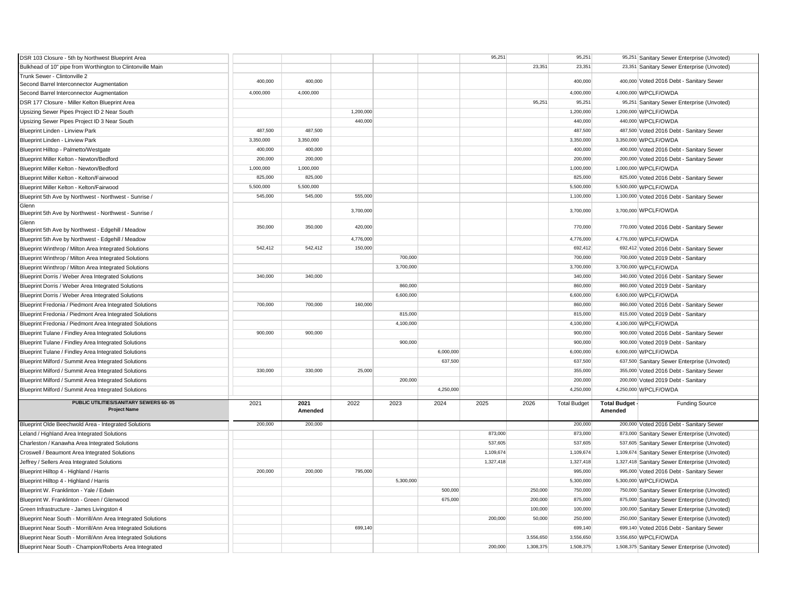| DSR 103 Closure - 5th by Northwest Blueprint Area                         |           |           |           |           |           | 95,251    |           | 95,251              |                     | 95,251 Sanitary Sewer Enterprise (Unvoted)    |
|---------------------------------------------------------------------------|-----------|-----------|-----------|-----------|-----------|-----------|-----------|---------------------|---------------------|-----------------------------------------------|
| Bulkhead of 10" pipe from Worthington to Clintonville Main                |           |           |           |           |           |           | 23,351    | 23,351              |                     | 23,351 Sanitary Sewer Enterprise (Unvoted)    |
| Trunk Sewer - Clintonville 2<br>Second Barrel Interconnector Augmentation | 400,000   | 400,000   |           |           |           |           |           | 400,000             |                     | 400,000 Voted 2016 Debt - Sanitary Sewer      |
| Second Barrel Interconnector Augmentation                                 | 4.000.000 | 4.000.000 |           |           |           |           |           | 4,000,000           |                     | 4,000,000 WPCLF/OWDA                          |
| DSR 177 Closure - Miller Kelton Blueprint Area                            |           |           |           |           |           |           | 95,251    | 95,251              |                     | 95,251 Sanitary Sewer Enterprise (Unvoted)    |
| Upsizing Sewer Pipes Project ID 2 Near South                              |           |           | 1,200,000 |           |           |           |           | 1,200,000           |                     | 1,200,000 WPCLF/OWDA                          |
| Upsizing Sewer Pipes Project ID 3 Near South                              |           |           | 440.000   |           |           |           |           | 440.000             |                     | 440,000 WPCLF/OWDA                            |
| Blueprint Linden - Linview Park                                           | 487,500   | 487,500   |           |           |           |           |           | 487,500             |                     | 487,500 Voted 2016 Debt - Sanitary Sewer      |
| Blueprint Linden - Linview Park                                           | 3,350,000 | 3,350,000 |           |           |           |           |           | 3,350,000           |                     | 3,350,000 WPCLF/OWDA                          |
| Blueprint Hilltop - Palmetto/Westgate                                     | 400,000   | 400,000   |           |           |           |           |           | 400,000             |                     | 400,000 Voted 2016 Debt - Sanitary Sewer      |
| Blueprint Miller Kelton - Newton/Bedford                                  | 200,000   | 200,000   |           |           |           |           |           | 200,000             |                     | 200,000 Voted 2016 Debt - Sanitary Sewer      |
| Blueprint Miller Kelton - Newton/Bedford                                  | 1,000,000 | 1,000,000 |           |           |           |           |           | 1,000,000           |                     | 1,000,000 WPCLF/OWDA                          |
| Blueprint Miller Kelton - Kelton/Fairwood                                 | 825,000   | 825,000   |           |           |           |           |           | 825,000             |                     | 825,000 Voted 2016 Debt - Sanitary Sewer      |
| Blueprint Miller Kelton - Kelton/Fairwood                                 | 5,500,000 | 5,500,000 |           |           |           |           |           | 5,500,000           |                     | 5,500,000 WPCLF/OWDA                          |
| Blueprint 5th Ave by Northwest - Northwest - Sunrise /                    | 545,000   | 545,000   | 555,000   |           |           |           |           | 1,100,000           |                     | 1,100,000 Voted 2016 Debt - Sanitary Sewer    |
| Glenn<br>Blueprint 5th Ave by Northwest - Northwest - Sunrise /           |           |           | 3,700,000 |           |           |           |           | 3,700,000           |                     | 3,700,000 WPCLF/OWDA                          |
| Glenn<br>Blueprint 5th Ave by Northwest - Edgehill / Meadow               | 350,000   | 350,000   | 420,000   |           |           |           |           | 770,000             |                     | 770,000 Voted 2016 Debt - Sanitary Sewer      |
| Blueprint 5th Ave by Northwest - Edgehill / Meadow                        |           |           | 4,776,000 |           |           |           |           | 4,776,000           |                     | 4,776,000 WPCLF/OWDA                          |
| Blueprint Winthrop / Milton Area Integrated Solutions                     | 542,412   | 542,412   | 150,000   |           |           |           |           | 692,412             |                     | 692,412 Voted 2016 Debt - Sanitary Sewer      |
| Blueprint Winthrop / Milton Area Integrated Solutions                     |           |           |           | 700,000   |           |           |           | 700,000             |                     | 700,000 Voted 2019 Debt - Sanitary            |
| Blueprint Winthrop / Milton Area Integrated Solutions                     |           |           |           | 3,700,000 |           |           |           | 3,700,000           |                     | 3,700,000 WPCLF/OWDA                          |
| Blueprint Dorris / Weber Area Integrated Solutions                        | 340,000   | 340,000   |           |           |           |           |           | 340,000             |                     | 340,000 Voted 2016 Debt - Sanitary Sewer      |
| Blueprint Dorris / Weber Area Integrated Solutions                        |           |           |           | 860,000   |           |           |           | 860,000             |                     | 860,000 Voted 2019 Debt - Sanitary            |
| Blueprint Dorris / Weber Area Integrated Solutions                        |           |           |           | 6,600,000 |           |           |           | 6,600,000           |                     | 6,600,000 WPCLF/OWDA                          |
| Blueprint Fredonia / Piedmont Area Integrated Solutions                   | 700,000   | 700,000   | 160,000   |           |           |           |           | 860,000             |                     | 860,000 Voted 2016 Debt - Sanitary Sewer      |
| Blueprint Fredonia / Piedmont Area Integrated Solutions                   |           |           |           | 815,000   |           |           |           | 815,000             |                     | 815,000 Voted 2019 Debt - Sanitary            |
| Blueprint Fredonia / Piedmont Area Integrated Solutions                   |           |           |           | 4,100,000 |           |           |           | 4,100,000           |                     | 4,100,000 WPCLF/OWDA                          |
| Blueprint Tulane / Findley Area Integrated Solutions                      | 900,000   | 900.000   |           |           |           |           |           | 900,000             |                     | 900,000 Voted 2016 Debt - Sanitary Sewer      |
| Blueprint Tulane / Findley Area Integrated Solutions                      |           |           |           | 900,000   |           |           |           | 900,000             |                     | 900,000 Voted 2019 Debt - Sanitary            |
| Blueprint Tulane / Findley Area Integrated Solutions                      |           |           |           |           | 6,000,000 |           |           | 6,000,000           |                     | 6,000,000 WPCLF/OWDA                          |
| Blueprint Milford / Summit Area Integrated Solutions                      |           |           |           |           | 637,500   |           |           | 637,500             |                     | 637,500 Sanitary Sewer Enterprise (Unvoted)   |
| Blueprint Milford / Summit Area Integrated Solutions                      | 330,000   | 330,000   | 25,000    |           |           |           |           | 355,000             |                     | 355,000 Voted 2016 Debt - Sanitary Sewer      |
| Blueprint Milford / Summit Area Integrated Solutions                      |           |           |           | 200,000   |           |           |           | 200,000             |                     | 200,000 Voted 2019 Debt - Sanitary            |
| Blueprint Milford / Summit Area Integrated Solutions                      |           |           |           |           | 4,250,000 |           |           | 4,250,000           |                     | 4,250,000 WPCLF/OWDA                          |
| PUBLIC UTILITIES/SANITARY SEWERS 60-05                                    | 2021      | 2021      | 2022      | 2023      | 2024      | 2025      | 2026      | <b>Total Budget</b> | <b>Total Budget</b> | <b>Funding Source</b>                         |
| <b>Project Name</b>                                                       |           | Amended   |           |           |           |           |           |                     | Amended             |                                               |
| Blueprint Olde Beechwold Area - Integrated Solutions                      | 200,000   | 200,000   |           |           |           |           |           | 200,000             |                     | 200,000 Voted 2016 Debt - Sanitary Sewer      |
| Leland / Highland Area Integrated Solutions                               |           |           |           |           |           | 873,000   |           | 873,000             |                     | 873,000 Sanitary Sewer Enterprise (Unvoted)   |
| Charleston / Kanawha Area Integrated Solutions                            |           |           |           |           |           | 537,605   |           | 537,605             |                     | 537,605 Sanitary Sewer Enterprise (Unvoted)   |
| Croswell / Beaumont Area Integrated Solutions                             |           |           |           |           |           | 1,109,674 |           | 1,109,674           |                     | 1,109,674 Sanitary Sewer Enterprise (Unvoted) |
| Jeffrey / Sellers Area Integrated Solutions                               |           |           |           |           |           | 1,327,418 |           | 1,327,418           |                     | 1,327,418 Sanitary Sewer Enterprise (Unvoted) |
| Blueprint Hilltop 4 - Highland / Harris                                   | 200,000   | 200,000   | 795,000   |           |           |           |           | 995,000             |                     | 995,000 Voted 2016 Debt - Sanitary Sewer      |
| Blueprint Hilltop 4 - Highland / Harris                                   |           |           |           | 5,300,000 |           |           |           | 5,300,000           |                     | 5,300,000 WPCLF/OWDA                          |
| Blueprint W. Franklinton - Yale / Edwin                                   |           |           |           |           | 500,000   |           | 250,000   | 750,000             |                     | 750,000 Sanitary Sewer Enterprise (Unvoted)   |
| Blueprint W. Franklinton - Green / Glenwood                               |           |           |           |           | 675,000   |           | 200,000   | 875,000             |                     | 875,000 Sanitary Sewer Enterprise (Unvoted)   |
| Green Infrastructure - James Livingston 4                                 |           |           |           |           |           |           | 100,000   | 100,000             |                     | 100,000 Sanitary Sewer Enterprise (Unvoted)   |
| Blueprint Near South - Morrill/Ann Area Integrated Solutions              |           |           |           |           |           | 200,000   | 50,000    | 250,000             |                     | 250,000 Sanitary Sewer Enterprise (Unvoted)   |
| Blueprint Near South - Morrill/Ann Area Integrated Solutions              |           |           | 699.140   |           |           |           |           | 699,140             |                     | 699,140 Voted 2016 Debt - Sanitary Sewer      |
| Blueprint Near South - Morrill/Ann Area Integrated Solutions              |           |           |           |           |           |           | 3,556,650 | 3,556,650           |                     | 3,556,650 WPCLF/OWDA                          |
| Blueprint Near South - Champion/Roberts Area Integrated                   |           |           |           |           |           | 200,000   | 1,308,375 | 1,508,375           |                     | 1,508,375 Sanitary Sewer Enterprise (Unvoted) |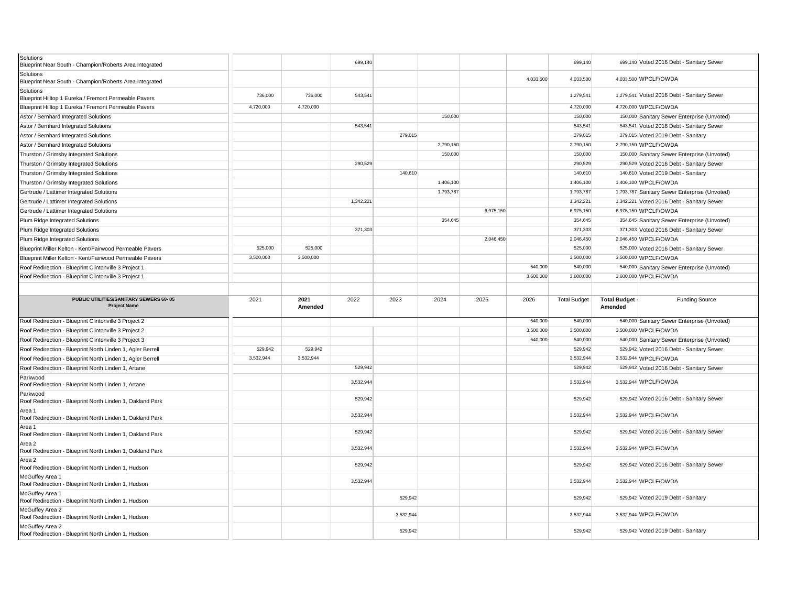| Solutions<br>Blueprint Near South - Champion/Roberts Area Integrated                      |           |                 | 699,140   |           |           |           |           | 699,140             |                                | 699,140 Voted 2016 Debt - Sanitary Sewer                            |
|-------------------------------------------------------------------------------------------|-----------|-----------------|-----------|-----------|-----------|-----------|-----------|---------------------|--------------------------------|---------------------------------------------------------------------|
| Solutions<br>Blueprint Near South - Champion/Roberts Area Integrated                      |           |                 |           |           |           |           | 4,033,500 | 4,033,500           |                                | 4,033,500 WPCLF/OWDA                                                |
| Solutions<br>Blueprint Hilltop 1 Eureka / Fremont Permeable Pavers                        | 736,000   | 736,000         | 543,541   |           |           |           |           | 1,279,541           |                                | 1,279,541 Voted 2016 Debt - Sanitary Sewer                          |
| Blueprint Hilltop 1 Eureka / Fremont Permeable Pavers                                     | 4,720,000 | 4,720,000       |           |           |           |           |           | 4,720,000           |                                | 4,720,000 WPCLF/OWDA                                                |
| Astor / Bernhard Integrated Solutions                                                     |           |                 |           |           | 150,000   |           |           | 150,000             |                                | 150,000 Sanitary Sewer Enterprise (Unvoted)                         |
| Astor / Bernhard Integrated Solutions                                                     |           |                 | 543,541   |           |           |           |           | 543,541             |                                | 543,541 Voted 2016 Debt - Sanitary Sewer                            |
| Astor / Bernhard Integrated Solutions                                                     |           |                 |           | 279,015   |           |           |           | 279,015             |                                | 279,015 Voted 2019 Debt - Sanitary                                  |
| Astor / Bernhard Integrated Solutions                                                     |           |                 |           |           | 2,790,150 |           |           | 2,790,150           |                                | 2,790,150 WPCLF/OWDA                                                |
| Thurston / Grimsby Integrated Solutions                                                   |           |                 |           |           | 150,000   |           |           | 150,000             |                                | 150,000 Sanitary Sewer Enterprise (Unvoted)                         |
| Thurston / Grimsby Integrated Solutions                                                   |           |                 | 290,529   |           |           |           |           | 290,529             |                                | 290,529 Voted 2016 Debt - Sanitary Sewer                            |
| Thurston / Grimsby Integrated Solutions                                                   |           |                 |           | 140,610   |           |           |           | 140,610             |                                | 140,610 Voted 2019 Debt - Sanitary                                  |
| Thurston / Grimsby Integrated Solutions                                                   |           |                 |           |           | 1,406,100 |           |           | 1,406,100           |                                | 1,406,100 WPCLF/OWDA                                                |
| Gertrude / Lattimer Integrated Solutions                                                  |           |                 |           |           | 1,793,787 |           |           | 1,793,787           |                                | 1,793,787 Sanitary Sewer Enterprise (Unvoted)                       |
| Gertrude / Lattimer Integrated Solutions                                                  |           |                 | 1,342,221 |           |           |           |           | 1,342,221           |                                | 1,342,221 Voted 2016 Debt - Sanitary Sewer                          |
| Gertrude / Lattimer Integrated Solutions                                                  |           |                 |           |           |           | 6,975,150 |           | 6,975,150           |                                | 6,975,150 WPCLF/OWDA                                                |
| Plum Ridge Integrated Solutions                                                           |           |                 |           |           | 354,645   |           |           | 354,645             |                                | 354,645 Sanitary Sewer Enterprise (Unvoted)                         |
| Plum Ridge Integrated Solutions                                                           |           |                 | 371.303   |           |           |           |           | 371,303             |                                | 371,303 Voted 2016 Debt - Sanitary Sewer                            |
| Plum Ridge Integrated Solutions                                                           |           |                 |           |           |           | 2,046,450 |           | 2,046,450           |                                | 2,046,450 WPCLF/OWDA                                                |
| Blueprint Miller Kelton - Kent/Fairwood Permeable Pavers                                  | 525,000   | 525,000         |           |           |           |           |           | 525,000             |                                | 525,000 Voted 2016 Debt - Sanitary Sewer                            |
| Blueprint Miller Kelton - Kent/Fairwood Permeable Pavers                                  | 3,500,000 | 3,500,000       |           |           |           |           |           | 3,500,000           |                                | 3,500,000 WPCLF/OWDA                                                |
|                                                                                           |           |                 |           |           |           |           | 540,000   | 540,000             |                                |                                                                     |
| Roof Redirection - Blueprint Clintonville 3 Project 1                                     |           |                 |           |           |           |           | 3,600,000 | 3,600,000           |                                | 540,000 Sanitary Sewer Enterprise (Unvoted)<br>3,600,000 WPCLF/OWDA |
| Roof Redirection - Blueprint Clintonville 3 Project 1                                     |           |                 |           |           |           |           |           |                     |                                |                                                                     |
|                                                                                           |           |                 |           |           |           |           |           |                     |                                |                                                                     |
|                                                                                           |           |                 |           |           |           |           |           |                     |                                |                                                                     |
| PUBLIC UTILITIES/SANITARY SEWERS 60-05<br><b>Project Name</b>                             | 2021      | 2021<br>Amended | 2022      | 2023      | 2024      | 2025      | 2026      | <b>Total Budget</b> | <b>Total Budget</b><br>Amended | <b>Funding Source</b>                                               |
| Roof Redirection - Blueprint Clintonville 3 Project 2                                     |           |                 |           |           |           |           | 540,000   | 540,000             |                                | 540,000 Sanitary Sewer Enterprise (Unvoted)                         |
| Roof Redirection - Blueprint Clintonville 3 Project 2                                     |           |                 |           |           |           |           | 3,500,000 | 3,500,000           |                                | 3,500,000 WPCLF/OWDA                                                |
| Roof Redirection - Blueprint Clintonville 3 Project 3                                     |           |                 |           |           |           |           | 540,000   | 540,000             |                                | 540,000 Sanitary Sewer Enterprise (Unvoted)                         |
| Roof Redirection - Blueprint North Linden 1, Agler Berrell                                | 529,942   | 529,942         |           |           |           |           |           | 529,942             |                                | 529,942 Voted 2016 Debt - Sanitary Sewer                            |
| Roof Redirection - Blueprint North Linden 1, Agler Berrell                                | 3,532,944 | 3,532,944       |           |           |           |           |           | 3,532,944           |                                | 3,532,944 WPCLF/OWDA                                                |
| Roof Redirection - Blueprint North Linden 1, Artane                                       |           |                 | 529,942   |           |           |           |           | 529,942             |                                | 529,942 Voted 2016 Debt - Sanitary Sewer                            |
| Parkwood<br>Roof Redirection - Blueprint North Linden 1, Artane                           |           |                 | 3,532,944 |           |           |           |           | 3,532,944           |                                | 3,532,944 WPCLF/OWDA                                                |
| Parkwood<br>Roof Redirection - Blueprint North Linden 1, Oakland Park                     |           |                 | 529,942   |           |           |           |           | 529,942             |                                | 529,942 Voted 2016 Debt - Sanitary Sewer                            |
| Area 1<br>Roof Redirection - Blueprint North Linden 1, Oakland Park                       |           |                 | 3,532,944 |           |           |           |           | 3,532,944           |                                | 3,532,944 WPCLF/OWDA                                                |
| Area 1<br>Roof Redirection - Blueprint North Linden 1, Oakland Park                       |           |                 | 529,942   |           |           |           |           | 529,942             |                                | 529,942 Voted 2016 Debt - Sanitary Sewer                            |
| Area 2<br>Roof Redirection - Blueprint North Linden 1, Oakland Park                       |           |                 | 3,532,944 |           |           |           |           | 3,532,944           |                                | 3,532,944 WPCLF/OWDA                                                |
| Area 2<br>Roof Redirection - Blueprint North Linden 1, Hudson                             |           |                 | 529,942   |           |           |           |           | 529,942             |                                | 529,942 Voted 2016 Debt - Sanitary Sewer                            |
| McGuffey Area 1<br>Roof Redirection - Blueprint North Linden 1, Hudson                    |           |                 | 3,532,944 |           |           |           |           | 3,532,944           |                                | 3,532,944 WPCLF/OWDA                                                |
| McGuffey Area 1<br>Roof Redirection - Blueprint North Linden 1, Hudson                    |           |                 |           | 529,942   |           |           |           | 529,942             |                                | 529,942 Voted 2019 Debt - Sanitary                                  |
| McGuffey Area 2<br>Roof Redirection - Blueprint North Linden 1, Hudson<br>McGuffey Area 2 |           |                 |           | 3,532,944 |           |           |           | 3,532,944           |                                | 3,532,944 WPCLF/OWDA                                                |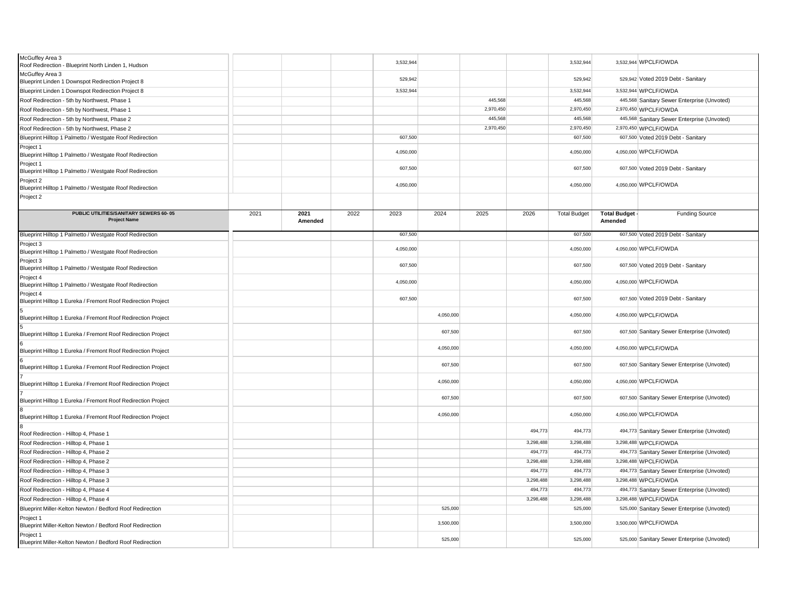| McGuffey Area 3<br>Roof Redirection - Blueprint North Linden 1, Hudson     |      |                 |      | 3,532,944 |           |           |           | 3,532,944           |                         | 3,532,944 WPCLF/OWDA                        |
|----------------------------------------------------------------------------|------|-----------------|------|-----------|-----------|-----------|-----------|---------------------|-------------------------|---------------------------------------------|
| McGuffey Area 3<br>Blueprint Linden 1 Downspot Redirection Project 8       |      |                 |      | 529,942   |           |           |           | 529,942             |                         | 529,942 Voted 2019 Debt - Sanitary          |
| Blueprint Linden 1 Downspot Redirection Project 8                          |      |                 |      | 3,532,944 |           |           |           | 3,532,944           |                         | 3,532,944 WPCLF/OWDA                        |
| Roof Redirection - 5th by Northwest, Phase 1                               |      |                 |      |           |           | 445.568   |           | 445,568             |                         | 445,568 Sanitary Sewer Enterprise (Unvoted) |
| Roof Redirection - 5th by Northwest, Phase 1                               |      |                 |      |           |           | 2,970,450 |           | 2,970,450           |                         | 2,970,450 WPCLF/OWDA                        |
| Roof Redirection - 5th by Northwest, Phase 2                               |      |                 |      |           |           | 445,568   |           | 445,568             |                         | 445,568 Sanitary Sewer Enterprise (Unvoted) |
| Roof Redirection - 5th by Northwest, Phase 2                               |      |                 |      |           |           | 2,970,450 |           | 2,970,450           |                         | 2,970,450 WPCLF/OWDA                        |
| Blueprint Hilltop 1 Palmetto / Westgate Roof Redirection                   |      |                 |      | 607,500   |           |           |           | 607,500             |                         | 607,500 Voted 2019 Debt - Sanitary          |
| Project 1<br>Blueprint Hilltop 1 Palmetto / Westgate Roof Redirection      |      |                 |      | 4,050,000 |           |           |           | 4,050,000           |                         | 4,050,000 WPCLF/OWDA                        |
| Project 1<br>Blueprint Hilltop 1 Palmetto / Westgate Roof Redirection      |      |                 |      | 607,500   |           |           |           | 607,500             |                         | 607,500 Voted 2019 Debt - Sanitary          |
| Project 2<br>Blueprint Hilltop 1 Palmetto / Westgate Roof Redirection      |      |                 |      | 4,050,000 |           |           |           | 4,050,000           |                         | 4,050,000 WPCLF/OWDA                        |
| Project 2                                                                  |      |                 |      |           |           |           |           |                     |                         |                                             |
| PUBLIC UTILITIES/SANITARY SEWERS 60-05<br><b>Project Name</b>              | 2021 | 2021<br>Amended | 2022 | 2023      | 2024      | 2025      | 2026      | <b>Total Budget</b> | Total Budget<br>Amended | <b>Funding Source</b>                       |
| Blueprint Hilltop 1 Palmetto / Westgate Roof Redirection                   |      |                 |      | 607,500   |           |           |           | 607,500             |                         | 607,500 Voted 2019 Debt - Sanitary          |
| Project 3<br>Blueprint Hilltop 1 Palmetto / Westgate Roof Redirection      |      |                 |      | 4,050,000 |           |           |           | 4,050,000           |                         | 4,050,000 WPCLF/OWDA                        |
| Project 3<br>Blueprint Hilltop 1 Palmetto / Westgate Roof Redirection      |      |                 |      | 607,500   |           |           |           | 607,500             |                         | 607,500 Voted 2019 Debt - Sanitary          |
| Project 4<br>Blueprint Hilltop 1 Palmetto / Westgate Roof Redirection      |      |                 |      | 4,050,000 |           |           |           | 4,050,000           |                         | 4,050,000 WPCLF/OWDA                        |
| Project 4<br>Blueprint Hilltop 1 Eureka / Fremont Roof Redirection Project |      |                 |      | 607,500   |           |           |           | 607,500             |                         | 607,500 Voted 2019 Debt - Sanitary          |
| Blueprint Hilltop 1 Eureka / Fremont Roof Redirection Project              |      |                 |      |           | 4,050,000 |           |           | 4,050,000           |                         | 4,050,000 WPCLF/OWDA                        |
| Blueprint Hilltop 1 Eureka / Fremont Roof Redirection Project              |      |                 |      |           | 607,500   |           |           | 607,500             |                         | 607,500 Sanitary Sewer Enterprise (Unvoted) |
| Blueprint Hilltop 1 Eureka / Fremont Roof Redirection Project              |      |                 |      |           | 4,050,000 |           |           | 4,050,000           |                         | 4,050,000 WPCLF/OWDA                        |
| Blueprint Hilltop 1 Eureka / Fremont Roof Redirection Project              |      |                 |      |           | 607,500   |           |           | 607,500             |                         | 607,500 Sanitary Sewer Enterprise (Unvoted) |
| Blueprint Hilltop 1 Eureka / Fremont Roof Redirection Project              |      |                 |      |           | 4,050,000 |           |           | 4,050,000           |                         | 4,050,000 WPCLF/OWDA                        |
| Blueprint Hilltop 1 Eureka / Fremont Roof Redirection Project              |      |                 |      |           | 607,500   |           |           | 607,500             |                         | 607,500 Sanitary Sewer Enterprise (Unvoted) |
| Blueprint Hilltop 1 Eureka / Fremont Roof Redirection Project              |      |                 |      |           | 4,050,000 |           |           | 4,050,000           |                         | 4,050,000 WPCLF/OWDA                        |
| Roof Redirection - Hilltop 4, Phase 1                                      |      |                 |      |           |           |           | 494,773   | 494,773             |                         | 494,773 Sanitary Sewer Enterprise (Unvoted) |
| Roof Redirection - Hilltop 4, Phase 1                                      |      |                 |      |           |           |           | 3,298,488 | 3,298,488           |                         | 3,298,488 WPCLF/OWDA                        |
| Roof Redirection - Hilltop 4, Phase 2                                      |      |                 |      |           |           |           | 494,773   | 494,773             |                         | 494,773 Sanitary Sewer Enterprise (Unvoted) |
| Roof Redirection - Hilltop 4, Phase 2                                      |      |                 |      |           |           |           | 3,298,488 | 3,298,488           |                         | 3,298,488 WPCLF/OWDA                        |
| Roof Redirection - Hilltop 4, Phase 3                                      |      |                 |      |           |           |           | 494,773   | 494,773             |                         | 494,773 Sanitary Sewer Enterprise (Unvoted) |
| Roof Redirection - Hilltop 4, Phase 3                                      |      |                 |      |           |           |           | 3,298,488 | 3,298,488           |                         | 3,298,488 WPCLF/OWDA                        |
| Roof Redirection - Hilltop 4, Phase 4                                      |      |                 |      |           |           |           | 494,773   | 494,773             |                         | 494,773 Sanitary Sewer Enterprise (Unvoted) |
| Roof Redirection - Hilltop 4, Phase 4                                      |      |                 |      |           |           |           | 3,298,488 | 3,298,488           |                         | 3,298,488 WPCLF/OWDA                        |
| Blueprint Miller-Kelton Newton / Bedford Roof Redirection                  |      |                 |      |           | 525,000   |           |           | 525,000             |                         | 525,000 Sanitary Sewer Enterprise (Unvoted) |
| Project 1<br>Blueprint Miller-Kelton Newton / Bedford Roof Redirection     |      |                 |      |           | 3,500,000 |           |           | 3,500,000           |                         | 3,500,000 WPCLF/OWDA                        |
| Project 1<br>Blueprint Miller-Kelton Newton / Bedford Roof Redirection     |      |                 |      |           | 525,000   |           |           | 525,000             |                         | 525,000 Sanitary Sewer Enterprise (Unvoted) |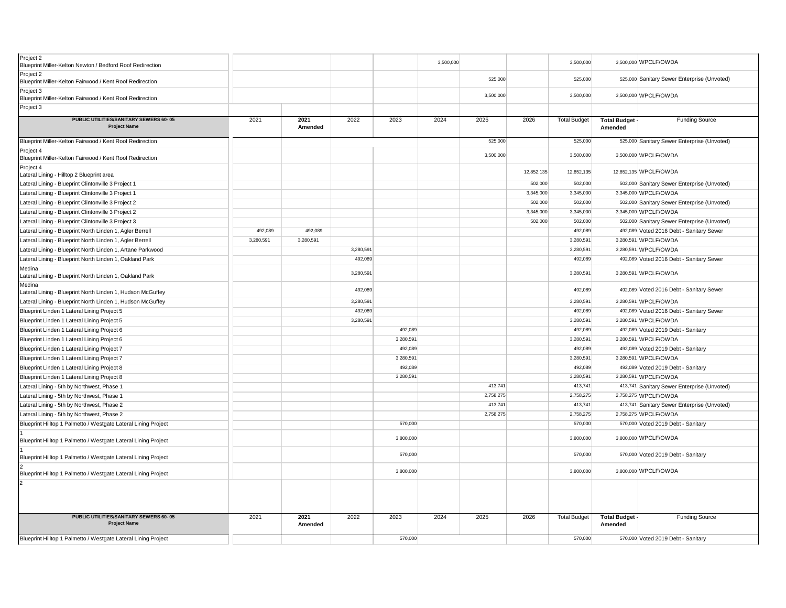| Project 2<br>Blueprint Miller-Kelton Newton / Bedford Roof Redirection |           |                 |           |           | 3,500,000 |           |            | 3,500,000           |                                  | 3,500,000 WPCLF/OWDA                        |
|------------------------------------------------------------------------|-----------|-----------------|-----------|-----------|-----------|-----------|------------|---------------------|----------------------------------|---------------------------------------------|
| Project 2<br>Blueprint Miller-Kelton Fairwood / Kent Roof Redirection  |           |                 |           |           |           | 525,000   |            | 525,000             |                                  | 525,000 Sanitary Sewer Enterprise (Unvoted) |
| Project 3<br>Blueprint Miller-Kelton Fairwood / Kent Roof Redirection  |           |                 |           |           |           | 3,500,000 |            | 3,500,000           |                                  | 3,500,000 WPCLF/OWDA                        |
| Project 3                                                              |           |                 |           |           |           |           |            |                     |                                  |                                             |
| PUBLIC UTILITIES/SANITARY SEWERS 60-05<br><b>Project Name</b>          | 2021      | 2021<br>Amended | 2022      | 2023      | 2024      | 2025      | 2026       | <b>Total Budget</b> | <b>Total Budget -</b><br>Amended | <b>Funding Source</b>                       |
| Blueprint Miller-Kelton Fairwood / Kent Roof Redirection               |           |                 |           |           |           | 525,000   |            | 525,000             |                                  | 525,000 Sanitary Sewer Enterprise (Unvoted) |
| Project 4<br>Blueprint Miller-Kelton Fairwood / Kent Roof Redirection  |           |                 |           |           |           | 3,500,000 |            | 3,500,000           |                                  | 3,500,000 WPCLF/OWDA                        |
| Project 4<br>Lateral Lining - Hilltop 2 Blueprint area                 |           |                 |           |           |           |           | 12,852,135 | 12,852,135          |                                  | 12,852,135 WPCLF/OWDA                       |
| Lateral Lining - Blueprint Clintonville 3 Project 1                    |           |                 |           |           |           |           | 502,000    | 502,000             |                                  | 502,000 Sanitary Sewer Enterprise (Unvoted) |
| Lateral Lining - Blueprint Clintonville 3 Project 1                    |           |                 |           |           |           |           | 3,345,000  | 3,345,000           |                                  | 3,345,000 WPCLF/OWDA                        |
| Lateral Lining - Blueprint Clintonville 3 Project 2                    |           |                 |           |           |           |           | 502,000    | 502,000             |                                  | 502,000 Sanitary Sewer Enterprise (Unvoted) |
| Lateral Lining - Blueprint Clintonville 3 Project 2                    |           |                 |           |           |           |           | 3,345,000  | 3,345,000           |                                  | 3,345,000 WPCLF/OWDA                        |
| Lateral Lining - Blueprint Clintonville 3 Project 3                    |           |                 |           |           |           |           | 502,000    | 502,000             |                                  | 502,000 Sanitary Sewer Enterprise (Unvoted) |
| Lateral Lining - Blueprint North Linden 1, Agler Berrell               | 492,089   | 492,089         |           |           |           |           |            | 492,089             |                                  | 492,089 Voted 2016 Debt - Sanitary Sewer    |
| Lateral Lining - Blueprint North Linden 1, Agler Berrell               | 3,280,591 | 3,280,591       |           |           |           |           |            | 3,280,591           |                                  | 3,280,591 WPCLF/OWDA                        |
| Lateral Lining - Blueprint North Linden 1, Artane Parkwood             |           |                 | 3,280,591 |           |           |           |            | 3,280,591           |                                  | 3,280,591 WPCLF/OWDA                        |
| Lateral Lining - Blueprint North Linden 1, Oakland Park                |           |                 | 492,089   |           |           |           |            | 492,089             |                                  | 492,089 Voted 2016 Debt - Sanitary Sewer    |
| Medina<br>Lateral Lining - Blueprint North Linden 1, Oakland Park      |           |                 | 3,280,591 |           |           |           |            | 3,280,591           |                                  | 3,280,591 WPCLF/OWDA                        |
| Medina<br>Lateral Lining - Blueprint North Linden 1, Hudson McGuffey   |           |                 | 492,089   |           |           |           |            | 492,089             |                                  | 492,089 Voted 2016 Debt - Sanitary Sewer    |
| Lateral Lining - Blueprint North Linden 1, Hudson McGuffey             |           |                 | 3,280,591 |           |           |           |            | 3,280,591           |                                  | 3,280,591 WPCLF/OWDA                        |
| Blueprint Linden 1 Lateral Lining Project 5                            |           |                 | 492,089   |           |           |           |            | 492,089             |                                  | 492,089 Voted 2016 Debt - Sanitary Sewer    |
| Blueprint Linden 1 Lateral Lining Project 5                            |           |                 | 3,280,591 |           |           |           |            | 3,280,591           |                                  | 3,280,591 WPCLF/OWDA                        |
| Blueprint Linden 1 Lateral Lining Project 6                            |           |                 |           | 492,089   |           |           |            | 492,089             |                                  | 492,089 Voted 2019 Debt - Sanitary          |
| Blueprint Linden 1 Lateral Lining Project 6                            |           |                 |           | 3,280,591 |           |           |            | 3,280,591           |                                  | 3,280,591 WPCLF/OWDA                        |
| Blueprint Linden 1 Lateral Lining Project 7                            |           |                 |           | 492,089   |           |           |            | 492,089             |                                  | 492,089 Voted 2019 Debt - Sanitary          |
| Blueprint Linden 1 Lateral Lining Project 7                            |           |                 |           | 3,280,591 |           |           |            | 3,280,591           |                                  | 3,280,591 WPCLF/OWDA                        |
| Blueprint Linden 1 Lateral Lining Project 8                            |           |                 |           | 492,089   |           |           |            | 492,089             |                                  | 492,089 Voted 2019 Debt - Sanitary          |
| Blueprint Linden 1 Lateral Lining Project 8                            |           |                 |           | 3,280,591 |           |           |            | 3,280,591           |                                  | 3,280,591 WPCLF/OWDA                        |
| Lateral Lining - 5th by Northwest, Phase 1                             |           |                 |           |           |           | 413,741   |            | 413,741             |                                  | 413,741 Sanitary Sewer Enterprise (Unvoted) |
| Lateral Lining - 5th by Northwest, Phase 1                             |           |                 |           |           |           | 2,758,275 |            | 2,758,275           |                                  | 2,758,275 WPCLF/OWDA                        |
| Lateral Lining - 5th by Northwest, Phase 2                             |           |                 |           |           |           | 413,741   |            | 413,741             |                                  | 413,741 Sanitary Sewer Enterprise (Unvoted) |
| Lateral Lining - 5th by Northwest, Phase 2                             |           |                 |           |           |           | 2,758,275 |            | 2,758,275           |                                  | 2,758,275 WPCLF/OWDA                        |
| Blueprint Hilltop 1 Palmetto / Westgate Lateral Lining Project         |           |                 |           | 570,000   |           |           |            | 570,000             |                                  | 570,000 Voted 2019 Debt - Sanitary          |
| Blueprint Hilltop 1 Palmetto / Westgate Lateral Lining Project         |           |                 |           | 3,800,000 |           |           |            | 3,800,000           |                                  | 3,800,000 WPCLF/OWDA                        |
| Blueprint Hilltop 1 Palmetto / Westgate Lateral Lining Project         |           |                 |           | 570,000   |           |           |            | 570,000             |                                  | 570,000 Voted 2019 Debt - Sanitary          |
| Blueprint Hilltop 1 Palmetto / Westgate Lateral Lining Project         |           |                 |           | 3,800,000 |           |           |            | 3,800,000           |                                  | 3,800,000 WPCLF/OWDA                        |
|                                                                        |           |                 |           |           |           |           |            |                     |                                  |                                             |
| PUBLIC UTILITIES/SANITARY SEWERS 60-05<br><b>Project Name</b>          | 2021      | 2021<br>Amended | 2022      | 2023      | 2024      | 2025      | 2026       | <b>Total Budget</b> | Total Budget<br>Amended          | <b>Funding Source</b>                       |
| Blueprint Hilltop 1 Palmetto / Westgate Lateral Lining Project         |           |                 |           | 570,000   |           |           |            | 570,000             |                                  | 570,000 Voted 2019 Debt - Sanitary          |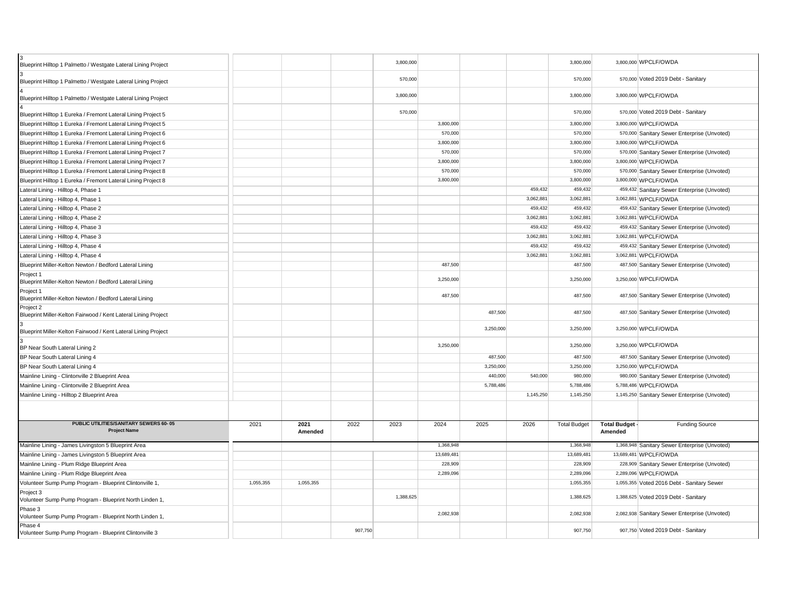| Blueprint Hilltop 1 Palmetto / Westgate Lateral Lining Project              |           |                 |      | 3,800,000 |            |           |           | 3,800,000           |                                | 3,800,000 WPCLF/OWDA                          |
|-----------------------------------------------------------------------------|-----------|-----------------|------|-----------|------------|-----------|-----------|---------------------|--------------------------------|-----------------------------------------------|
| Blueprint Hilltop 1 Palmetto / Westgate Lateral Lining Project              |           |                 |      | 570,000   |            |           |           | 570,000             |                                | 570,000 Voted 2019 Debt - Sanitary            |
| Blueprint Hilltop 1 Palmetto / Westgate Lateral Lining Project              |           |                 |      | 3,800,000 |            |           |           | 3,800,000           |                                | 3,800,000 WPCLF/OWDA                          |
| Blueprint Hilltop 1 Eureka / Fremont Lateral Lining Project 5               |           |                 |      | 570,000   |            |           |           | 570,000             |                                | 570,000 Voted 2019 Debt - Sanitary            |
| Blueprint Hilltop 1 Eureka / Fremont Lateral Lining Project 5               |           |                 |      |           | 3,800,000  |           |           | 3,800,000           |                                | 3,800,000 WPCLF/OWDA                          |
| Blueprint Hilltop 1 Eureka / Fremont Lateral Lining Project 6               |           |                 |      |           | 570,000    |           |           | 570,000             |                                | 570,000 Sanitary Sewer Enterprise (Unvoted)   |
| Blueprint Hilltop 1 Eureka / Fremont Lateral Lining Project 6               |           |                 |      |           | 3,800,000  |           |           | 3,800,000           |                                | 3,800,000 WPCLF/OWDA                          |
| Blueprint Hilltop 1 Eureka / Fremont Lateral Lining Project 7               |           |                 |      |           | 570,000    |           |           | 570,000             |                                | 570,000 Sanitary Sewer Enterprise (Unvoted)   |
| Blueprint Hilltop 1 Eureka / Fremont Lateral Lining Project 7               |           |                 |      |           | 3,800,000  |           |           | 3,800,000           |                                | 3,800,000 WPCLF/OWDA                          |
| Blueprint Hilltop 1 Eureka / Fremont Lateral Lining Project 8               |           |                 |      |           | 570,000    |           |           | 570,000             |                                | 570,000 Sanitary Sewer Enterprise (Unvoted)   |
| Blueprint Hilltop 1 Eureka / Fremont Lateral Lining Project 8               |           |                 |      |           | 3,800,000  |           |           | 3,800,000           |                                | 3,800,000 WPCLF/OWDA                          |
| Lateral Lining - Hilltop 4, Phase 1                                         |           |                 |      |           |            |           | 459,432   | 459,432             |                                | 459,432 Sanitary Sewer Enterprise (Unvoted)   |
| Lateral Lining - Hilltop 4, Phase 1                                         |           |                 |      |           |            |           | 3,062,881 | 3.062.881           |                                | 3,062,881 WPCLF/OWDA                          |
| Lateral Lining - Hilltop 4, Phase 2                                         |           |                 |      |           |            |           | 459,432   | 459,432             |                                | 459,432 Sanitary Sewer Enterprise (Unvoted)   |
| Lateral Lining - Hilltop 4, Phase 2                                         |           |                 |      |           |            |           | 3,062,881 | 3,062,881           |                                | 3,062,881 WPCLF/OWDA                          |
| Lateral Lining - Hilltop 4, Phase 3                                         |           |                 |      |           |            |           | 459,432   | 459,432             |                                | 459,432 Sanitary Sewer Enterprise (Unvoted)   |
| Lateral Lining - Hilltop 4, Phase 3                                         |           |                 |      |           |            |           | 3,062,881 | 3,062,881           |                                | 3,062,881 WPCLF/OWDA                          |
| Lateral Lining - Hilltop 4, Phase 4                                         |           |                 |      |           |            |           | 459,432   | 459,432             |                                | 459,432 Sanitary Sewer Enterprise (Unvoted)   |
| Lateral Lining - Hilltop 4, Phase 4                                         |           |                 |      |           |            |           | 3,062,881 | 3,062,881           |                                | 3,062,881 WPCLF/OWDA                          |
| Blueprint Miller-Kelton Newton / Bedford Lateral Lining                     |           |                 |      |           | 487,500    |           |           | 487,500             |                                | 487,500 Sanitary Sewer Enterprise (Unvoted)   |
| Project 1<br>Blueprint Miller-Kelton Newton / Bedford Lateral Lining        |           |                 |      |           | 3,250,000  |           |           | 3,250,000           |                                | 3,250,000 WPCLF/OWDA                          |
| Project 1<br>Blueprint Miller-Kelton Newton / Bedford Lateral Lining        |           |                 |      |           | 487,500    |           |           | 487,500             |                                | 487,500 Sanitary Sewer Enterprise (Unvoted)   |
| Project 2<br>Blueprint Miller-Kelton Fairwood / Kent Lateral Lining Project |           |                 |      |           |            | 487,500   |           | 487.500             |                                | 487,500 Sanitary Sewer Enterprise (Unvoted)   |
| Blueprint Miller-Kelton Fairwood / Kent Lateral Lining Project              |           |                 |      |           |            | 3,250,000 |           | 3,250,000           |                                | 3,250,000 WPCLF/OWDA                          |
| BP Near South Lateral Lining 2                                              |           |                 |      |           | 3,250,000  |           |           | 3,250,000           |                                | 3,250,000 WPCLF/OWDA                          |
| BP Near South Lateral Lining 4                                              |           |                 |      |           |            | 487,500   |           | 487,500             |                                | 487,500 Sanitary Sewer Enterprise (Unvoted)   |
| BP Near South Lateral Lining 4                                              |           |                 |      |           |            | 3,250,000 |           | 3,250,000           |                                | 3,250,000 WPCLF/OWDA                          |
| Mainline Lining - Clintonville 2 Blueprint Area                             |           |                 |      |           |            | 440,000   | 540,000   | 980,000             |                                | 980,000 Sanitary Sewer Enterprise (Unvoted)   |
| Mainline Lining - Clintonville 2 Blueprint Area                             |           |                 |      |           |            | 5,788,486 |           | 5.788.486           |                                | 5,788,486 WPCLF/OWDA                          |
| Mainline Lining - Hilltop 2 Blueprint Area                                  |           |                 |      |           |            |           | 1,145,250 | 1,145,250           |                                | 1,145,250 Sanitary Sewer Enterprise (Unvoted) |
|                                                                             |           |                 |      |           |            |           |           |                     |                                |                                               |
| PUBLIC UTILITIES/SANITARY SEWERS 60-05<br><b>Project Name</b>               | 2021      | 2021<br>Amended | 2022 | 2023      | 2024       | 2025      | 2026      | <b>Total Budget</b> | <b>Total Budget</b><br>Amended | <b>Funding Source</b>                         |
| Mainline Lining - James Livingston 5 Blueprint Area                         |           |                 |      |           | 1,368,948  |           |           | 1,368,948           |                                | 1,368,948 Sanitary Sewer Enterprise (Unvoted) |
| Mainline Lining - James Livingston 5 Blueprint Area                         |           |                 |      |           | 13,689,481 |           |           | 13,689,481          |                                | 13,689,481 WPCLF/OWDA                         |
| Mainline Lining - Plum Ridge Blueprint Area                                 |           |                 |      |           | 228,909    |           |           | 228,909             |                                | 228,909 Sanitary Sewer Enterprise (Unvoted)   |
| Mainline Lining - Plum Ridge Blueprint Area                                 |           |                 |      |           | 2,289,096  |           |           | 2,289,096           |                                | 2,289,096 WPCLF/OWDA                          |
| Volunteer Sump Pump Program - Blueprint Clintonville 1,                     | 1.055.355 | 1.055.355       |      |           |            |           |           | 1,055,355           |                                | 1,055,355 Voted 2016 Debt - Sanitary Sewer    |
| Project 3<br>Volunteer Sump Pump Program - Blueprint North Linden 1,        |           |                 |      | 1.388.625 |            |           |           | 1.388.625           |                                | 1,388,625 Voted 2019 Debt - Sanitary          |
| Phase 3<br>Volunteer Sump Pump Program - Blueprint North Linden 1,          |           |                 |      |           | 2,082,938  |           |           | 2,082,938           |                                | 2,082,938 Sanitary Sewer Enterprise (Unvoted) |
| Phase 4                                                                     |           |                 |      |           |            |           |           |                     |                                |                                               |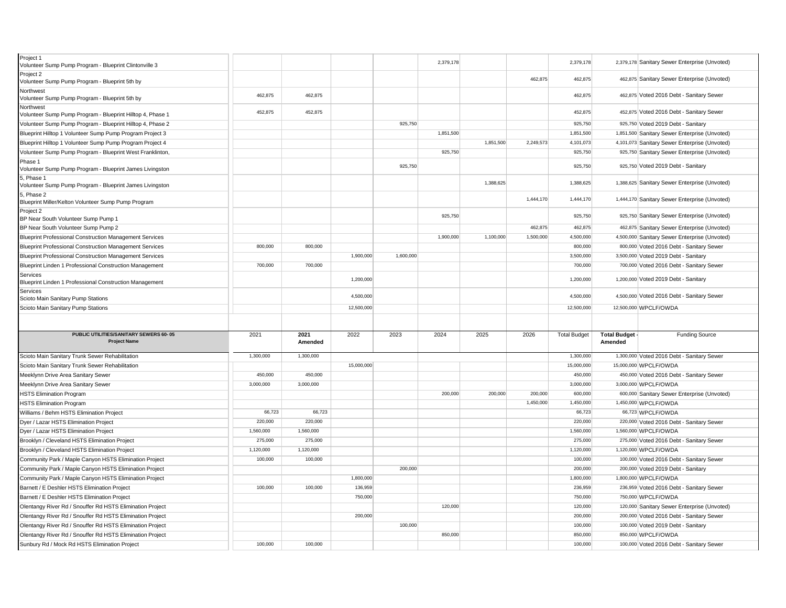| Project 1<br>Volunteer Sump Pump Program - Blueprint Clintonville 3                                              |           |                 |            |           | 2,379,178 |           |           | 2,379,178           |                           | 2,379,178 Sanitary Sewer Enterprise (Unvoted)                  |
|------------------------------------------------------------------------------------------------------------------|-----------|-----------------|------------|-----------|-----------|-----------|-----------|---------------------|---------------------------|----------------------------------------------------------------|
| Project 2<br>Volunteer Sump Pump Program - Blueprint 5th by                                                      |           |                 |            |           |           |           | 462,875   | 462,875             |                           | 462,875 Sanitary Sewer Enterprise (Unvoted)                    |
| Northwest<br>Volunteer Sump Pump Program - Blueprint 5th by                                                      | 462,875   | 462,875         |            |           |           |           |           | 462,875             |                           | 462,875 Voted 2016 Debt - Sanitary Sewer                       |
| Northwest<br>Volunteer Sump Pump Program - Blueprint Hilltop 4, Phase 1                                          | 452,875   | 452,875         |            |           |           |           |           | 452,875             |                           | 452,875 Voted 2016 Debt - Sanitary Sewer                       |
| Volunteer Sump Pump Program - Blueprint Hilltop 4, Phase 2                                                       |           |                 |            | 925,750   |           |           |           | 925,750             |                           | 925,750 Voted 2019 Debt - Sanitary                             |
| Blueprint Hilltop 1 Volunteer Sump Pump Program Project 3                                                        |           |                 |            |           | 1,851,500 |           |           | 1,851,500           |                           | 1,851,500 Sanitary Sewer Enterprise (Unvoted)                  |
| Blueprint Hilltop 1 Volunteer Sump Pump Program Project 4                                                        |           |                 |            |           |           | 1,851,500 | 2,249,573 | 4,101,073           |                           | 4,101,073 Sanitary Sewer Enterprise (Unvoted)                  |
| Volunteer Sump Pump Program - Blueprint West Franklinton,                                                        |           |                 |            |           | 925,750   |           |           | 925,750             |                           | 925,750 Sanitary Sewer Enterprise (Unvoted)                    |
| Phase 1<br>Volunteer Sump Pump Program - Blueprint James Livingston                                              |           |                 |            | 925,750   |           |           |           | 925,750             |                           | 925,750 Voted 2019 Debt - Sanitary                             |
| 5, Phase 1<br>Volunteer Sump Pump Program - Blueprint James Livingston                                           |           |                 |            |           |           | 1,388,625 |           | 1,388,625           |                           | 1,388,625 Sanitary Sewer Enterprise (Unvoted)                  |
| 5, Phase 2<br>Blueprint Miller/Kelton Volunteer Sump Pump Program                                                |           |                 |            |           |           |           | 1,444,170 | 1,444,170           |                           | 1,444,170 Sanitary Sewer Enterprise (Unvoted)                  |
| Project 2<br>BP Near South Volunteer Sump Pump 1                                                                 |           |                 |            |           | 925,750   |           |           | 925,750             |                           | 925,750 Sanitary Sewer Enterprise (Unvoted)                    |
| BP Near South Volunteer Sump Pump 2                                                                              |           |                 |            |           |           |           | 462,875   | 462,875             |                           | 462,875 Sanitary Sewer Enterprise (Unvoted)                    |
| <b>Blueprint Professional Construction Management Services</b>                                                   |           |                 |            |           | 1,900,000 | 1,100,000 | 1,500,000 | 4,500,000           |                           | 4,500,000 Sanitary Sewer Enterprise (Unvoted)                  |
| <b>Blueprint Professional Construction Management Services</b>                                                   | 800,000   | 800,000         |            |           |           |           |           | 800,000             |                           | 800,000 Voted 2016 Debt - Sanitary Sewer                       |
| <b>Blueprint Professional Construction Management Services</b>                                                   |           |                 | 1,900,000  | 1,600,000 |           |           |           | 3,500,000           |                           | 3,500,000 Voted 2019 Debt - Sanitary                           |
| Blueprint Linden 1 Professional Construction Management                                                          | 700,000   | 700,000         |            |           |           |           |           | 700,000             |                           | 700,000 Voted 2016 Debt - Sanitary Sewer                       |
| Services<br>Blueprint Linden 1 Professional Construction Management                                              |           |                 | 1,200,000  |           |           |           |           | 1,200,000           |                           | 1,200,000 Voted 2019 Debt - Sanitary                           |
| Services<br>Scioto Main Sanitary Pump Stations                                                                   |           |                 | 4,500,000  |           |           |           |           | 4,500,000           |                           | 4,500,000 Voted 2016 Debt - Sanitary Sewer                     |
|                                                                                                                  |           |                 |            |           |           |           |           |                     |                           |                                                                |
| Scioto Main Sanitary Pump Stations                                                                               |           |                 | 12,500,000 |           |           |           |           | 12,500,000          |                           | 12,500,000 WPCLF/OWDA                                          |
|                                                                                                                  |           |                 |            |           |           |           |           |                     |                           |                                                                |
| PUBLIC UTILITIES/SANITARY SEWERS 60-05<br><b>Project Name</b>                                                    | 2021      | 2021<br>Amended | 2022       | 2023      | 2024      | 2025      | 2026      | <b>Total Budget</b> | Total Budget -<br>Amended | <b>Funding Source</b>                                          |
| Scioto Main Sanitary Trunk Sewer Rehabilitation                                                                  | 1,300,000 | 1,300,000       |            |           |           |           |           | 1,300,000           |                           | 1,300,000 Voted 2016 Debt - Sanitary Sewer                     |
| Scioto Main Sanitary Trunk Sewer Rehabilitation                                                                  |           |                 | 15,000,000 |           |           |           |           | 15,000,000          |                           | 15,000,000 WPCLF/OWDA                                          |
| Meeklynn Drive Area Sanitary Sewer                                                                               | 450,000   | 450,000         |            |           |           |           |           | 450,000             |                           | 450,000 Voted 2016 Debt - Sanitary Sewer                       |
| Meeklynn Drive Area Sanitary Sewer                                                                               | 3,000,000 | 3,000,000       |            |           |           |           |           | 3,000,000           |                           | 3,000,000 WPCLF/OWDA                                           |
| <b>HSTS Elimination Program</b>                                                                                  |           |                 |            |           | 200,000   | 200,000   | 200,000   | 600,000             |                           | 600,000 Sanitary Sewer Enterprise (Unvoted)                    |
| <b>HSTS Elimination Program</b>                                                                                  |           |                 |            |           |           |           | 1,450,000 | 1,450,000           |                           | 1,450,000 WPCLF/OWDA                                           |
| Williams / Behm HSTS Elimination Project                                                                         | 66,723    | 66,723          |            |           |           |           |           | 66,723              |                           | 66,723 WPCLF/OWDA                                              |
| Dyer / Lazar HSTS Elimination Project                                                                            | 220,000   | 220,000         |            |           |           |           |           | 220,000             |                           | 220,000 Voted 2016 Debt - Sanitary Sewer                       |
| Dyer / Lazar HSTS Elimination Project                                                                            | 1,560,000 | 1,560,000       |            |           |           |           |           | 1,560,000           |                           | 1,560,000 WPCLF/OWDA                                           |
| Brooklyn / Cleveland HSTS Elimination Project                                                                    | 275,000   | 275,000         |            |           |           |           |           | 275,000             |                           | 275,000 Voted 2016 Debt - Sanitary Sewer                       |
| Brooklyn / Cleveland HSTS Elimination Project                                                                    | 1,120,000 | 1,120,000       |            |           |           |           |           | 1,120,000           |                           | 1,120,000 WPCLF/OWDA                                           |
|                                                                                                                  | 100,000   | 100,000         |            |           |           |           |           | 100,000             |                           | 100,000 Voted 2016 Debt - Sanitary Sewer                       |
| Community Park / Maple Canyon HSTS Elimination Project<br>Community Park / Maple Canyon HSTS Elimination Project |           |                 |            | 200,000   |           |           |           | 200,000             |                           | 200,000 Voted 2019 Debt - Sanitary                             |
| Community Park / Maple Canyon HSTS Elimination Project                                                           |           |                 | 1,800,000  |           |           |           |           | 1,800,000           |                           | 1,800,000 WPCLF/OWDA                                           |
| Barnett / E Deshler HSTS Elimination Project                                                                     | 100,000   | 100,000         | 136,959    |           |           |           |           | 236,959             |                           | 236,959 Voted 2016 Debt - Sanitary Sewer                       |
|                                                                                                                  |           |                 | 750,000    |           |           |           |           | 750,000             |                           | 750,000 WPCLF/OWDA                                             |
| Barnett / E Deshler HSTS Elimination Project                                                                     |           |                 |            |           | 120,000   |           |           | 120,000             |                           |                                                                |
| Olentangy River Rd / Snouffer Rd HSTS Elimination Project                                                        |           |                 |            |           |           |           |           |                     |                           | 120,000 Sanitary Sewer Enterprise (Unvoted)                    |
| Olentangy River Rd / Snouffer Rd HSTS Elimination Project                                                        |           |                 | 200,000    |           |           |           |           | 200,000             |                           | 200,000 Voted 2016 Debt - Sanitary Sewer                       |
| Olentangy River Rd / Snouffer Rd HSTS Elimination Project                                                        |           |                 |            | 100,000   |           |           |           | 100,000             |                           | 100,000 Voted 2019 Debt - Sanitary                             |
| Olentangy River Rd / Snouffer Rd HSTS Elimination Project<br>Sunbury Rd / Mock Rd HSTS Elimination Project       | 100,000   | 100.000         |            |           | 850,000   |           |           | 850,000<br>100,000  |                           | 850,000 WPCLF/OWDA<br>100,000 Voted 2016 Debt - Sanitary Sewer |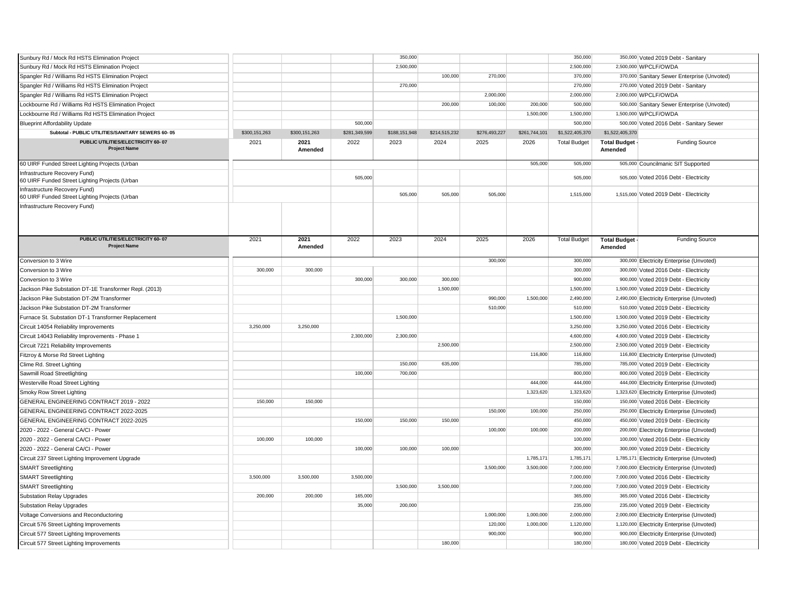| Sunbury Rd / Mock Rd HSTS Elimination Project                                   |               |                 |               | 350,000       |               |               |               | 350,000             |                         | 350,000 Voted 2019 Debt - Sanitary          |
|---------------------------------------------------------------------------------|---------------|-----------------|---------------|---------------|---------------|---------------|---------------|---------------------|-------------------------|---------------------------------------------|
| Sunbury Rd / Mock Rd HSTS Elimination Project                                   |               |                 |               | 2,500,000     |               |               |               | 2,500,000           |                         | 2,500,000 WPCLF/OWDA                        |
| Spangler Rd / Williams Rd HSTS Elimination Project                              |               |                 |               |               | 100,000       | 270,000       |               | 370,000             |                         | 370,000 Sanitary Sewer Enterprise (Unvoted) |
| Spangler Rd / Williams Rd HSTS Elimination Project                              |               |                 |               | 270,000       |               |               |               | 270,000             |                         | 270,000 Voted 2019 Debt - Sanitary          |
| Spangler Rd / Williams Rd HSTS Elimination Project                              |               |                 |               |               |               | 2,000,000     |               | 2,000,000           |                         | 2,000,000 WPCLF/OWDA                        |
| Lockbourne Rd / Williams Rd HSTS Elimination Project                            |               |                 |               |               | 200,000       | 100,000       | 200,000       | 500,000             |                         | 500,000 Sanitary Sewer Enterprise (Unvoted) |
| Lockbourne Rd / Williams Rd HSTS Elimination Project                            |               |                 |               |               |               |               | 1,500,000     | 1,500,000           |                         | 1,500,000 WPCLF/OWDA                        |
| <b>Blueprint Affordability Update</b>                                           |               |                 | 500,000       |               |               |               |               | 500,000             |                         | 500,000 Voted 2016 Debt - Sanitary Sewer    |
| Subtotal - PUBLIC UTILITIES/SANITARY SEWERS 60- 05                              | \$300,151,263 | \$300,151,263   | \$281,349,599 | \$188,151,948 | \$214,515,232 | \$276,493,227 | \$261,744,101 | \$1,522,405,370     | \$1,522,405,370         |                                             |
| PUBLIC UTILITIES/ELECTRICITY 60-07                                              | 2021          | 2021            | 2022          | 2023          | 2024          | 2025          | 2026          | <b>Total Budget</b> | <b>Total Budget</b>     | <b>Funding Source</b>                       |
| <b>Project Name</b>                                                             |               | Amended         |               |               |               |               |               |                     | Amended                 |                                             |
| 60 UIRF Funded Street Lighting Projects (Urban                                  |               |                 |               |               |               |               | 505,000       | 505,000             |                         | 505,000 Councilmanic SIT Supported          |
| Infrastructure Recovery Fund)<br>60 UIRF Funded Street Lighting Projects (Urban |               |                 | 505,000       |               |               |               |               | 505,000             |                         | 505,000 Voted 2016 Debt - Electricity       |
| Infrastructure Recovery Fund)<br>60 UIRF Funded Street Lighting Projects (Urban |               |                 |               | 505,000       | 505,000       | 505,000       |               | 1,515,000           |                         | 1,515,000 Voted 2019 Debt - Electricity     |
| Infrastructure Recovery Fund)                                                   |               |                 |               |               |               |               |               |                     |                         |                                             |
|                                                                                 |               |                 |               |               |               |               |               |                     |                         |                                             |
| PUBLIC UTILITIES/ELECTRICITY 60-07<br><b>Project Name</b>                       | 2021          | 2021<br>Amended | 2022          | 2023          | 2024          | 2025          | 2026          | <b>Total Budget</b> | Total Budget<br>Amended | <b>Funding Source</b>                       |
| Conversion to 3 Wire                                                            |               |                 |               |               |               | 300,000       |               | 300,000             |                         | 300,000 Electricity Enterprise (Unvoted)    |
| Conversion to 3 Wire                                                            | 300,000       | 300,000         |               |               |               |               |               | 300,000             |                         | 300,000 Voted 2016 Debt - Electricity       |
| Conversion to 3 Wire                                                            |               |                 | 300,000       | 300,000       | 300,000       |               |               | 900,000             |                         | 900,000 Voted 2019 Debt - Electricity       |
| Jackson Pike Substation DT-1E Transformer Repl. (2013)                          |               |                 |               |               | 1,500,000     |               |               | 1,500,000           |                         | 1,500,000 Voted 2019 Debt - Electricity     |
| Jackson Pike Substation DT-2M Transformer                                       |               |                 |               |               |               | 990,000       | 1,500,000     | 2,490,000           |                         | 2,490,000 Electricity Enterprise (Unvoted)  |
| Jackson Pike Substation DT-2M Transformer                                       |               |                 |               |               |               | 510,000       |               | 510,000             |                         | 510,000 Voted 2019 Debt - Electricity       |
| Furnace St. Substation DT-1 Transformer Replacement                             |               |                 |               | 1,500,000     |               |               |               | 1,500,000           |                         | 1,500,000 Voted 2019 Debt - Electricity     |
| Circuit 14054 Reliability Improvements                                          | 3,250,000     | 3,250,000       |               |               |               |               |               | 3,250,000           |                         | 3,250,000 Voted 2016 Debt - Electricity     |
| Circuit 14043 Reliability Improvements - Phase 1                                |               |                 | 2,300,000     | 2,300,000     |               |               |               | 4,600,000           |                         | 4,600,000 Voted 2019 Debt - Electricity     |
| Circuit 7221 Reliability Improvements                                           |               |                 |               |               | 2,500,000     |               |               | 2,500,000           |                         | 2,500,000 Voted 2019 Debt - Electricity     |
| Fitzroy & Morse Rd Street Lighting                                              |               |                 |               |               |               |               | 116,800       | 116,800             |                         | 116,800 Electricity Enterprise (Unvoted)    |
| Clime Rd. Street Lighting                                                       |               |                 |               | 150,000       | 635,000       |               |               | 785,000             |                         | 785,000 Voted 2019 Debt - Electricity       |
| Sawmill Road Streetlighting                                                     |               |                 | 100,000       | 700,000       |               |               |               | 800,000             |                         | 800,000 Voted 2019 Debt - Electricity       |
| Westerville Road Street Lighting                                                |               |                 |               |               |               |               | 444,000       | 444,000             |                         | 444,000 Electricity Enterprise (Unvoted)    |
| Smoky Row Street Lighting                                                       |               |                 |               |               |               |               | 1,323,620     | 1,323,620           |                         | 1,323,620 Electricity Enterprise (Unvoted)  |
| GENERAL ENGINEERING CONTRACT 2019 - 2022                                        | 150,000       | 150,000         |               |               |               |               |               | 150,000             |                         | 150,000 Voted 2016 Debt - Electricity       |
| GENERAL ENGINEERING CONTRACT 2022-2025                                          |               |                 |               |               |               | 150,000       | 100,000       | 250,000             |                         | 250,000 Electricity Enterprise (Unvoted)    |
| GENERAL ENGINEERING CONTRACT 2022-2025                                          |               |                 | 150,000       | 150,000       | 150,000       |               |               | 450,000             |                         | 450,000 Voted 2019 Debt - Electricity       |
| 2020 - 2022 - General CA/CI - Power                                             |               |                 |               |               |               | 100,000       | 100,000       | 200,000             |                         | 200,000 Electricity Enterprise (Unvoted)    |
| 2020 - 2022 - General CA/CI - Power                                             | 100,000       | 100,000         |               |               |               |               |               | 100,000             |                         | 100,000 Voted 2016 Debt - Electricity       |
| 2020 - 2022 - General CA/CI - Power                                             |               |                 | 100,000       | 100,000       | 100,000       |               |               | 300,000             |                         | 300,000 Voted 2019 Debt - Electricity       |
| Circuit 237 Street Lighting Improvement Upgrade                                 |               |                 |               |               |               |               | 1,785,171     | 1,785,171           |                         | 1,785,171 Electricity Enterprise (Unvoted)  |
| <b>SMART Streetlighting</b>                                                     |               |                 |               |               |               | 3,500,000     | 3,500,000     | 7,000,000           |                         | 7,000,000 Electricity Enterprise (Unvoted)  |
| <b>SMART Streetlighting</b>                                                     | 3.500.000     | 3.500.000       | 3,500,000     |               |               |               |               | 7,000,000           |                         | 7,000,000 Voted 2016 Debt - Electricity     |
| <b>SMART Streetlighting</b>                                                     |               |                 |               | 3,500,000     | 3,500,000     |               |               | 7,000,000           |                         | 7,000,000 Voted 2019 Debt - Electricity     |
| <b>Substation Relay Upgrades</b>                                                | 200,000       | 200,000         | 165,000       |               |               |               |               | 365,000             |                         | 365,000 Voted 2016 Debt - Electricity       |
| Substation Relay Upgrades                                                       |               |                 | 35,000        | 200,000       |               |               |               | 235,000             |                         | 235,000 Voted 2019 Debt - Electricity       |
| Voltage Conversions and Reconductoring                                          |               |                 |               |               |               | 1,000,000     | 1,000,000     | 2,000,000           |                         | 2,000,000 Electricity Enterprise (Unvoted)  |
| Circuit 576 Street Lighting Improvements                                        |               |                 |               |               |               | 120,000       | 1,000,000     | 1,120,000           |                         | 1,120,000 Electricity Enterprise (Unvoted)  |
|                                                                                 |               |                 |               |               |               |               |               |                     |                         |                                             |
| Circuit 577 Street Lighting Improvements                                        |               |                 |               |               |               | 900,000       |               | 900,000             |                         | 900,000 Electricity Enterprise (Unvoted)    |
| Circuit 577 Street Lighting Improvements                                        |               |                 |               |               | 180,000       |               |               | 180,000             |                         | 180,000 Voted 2019 Debt - Electricity       |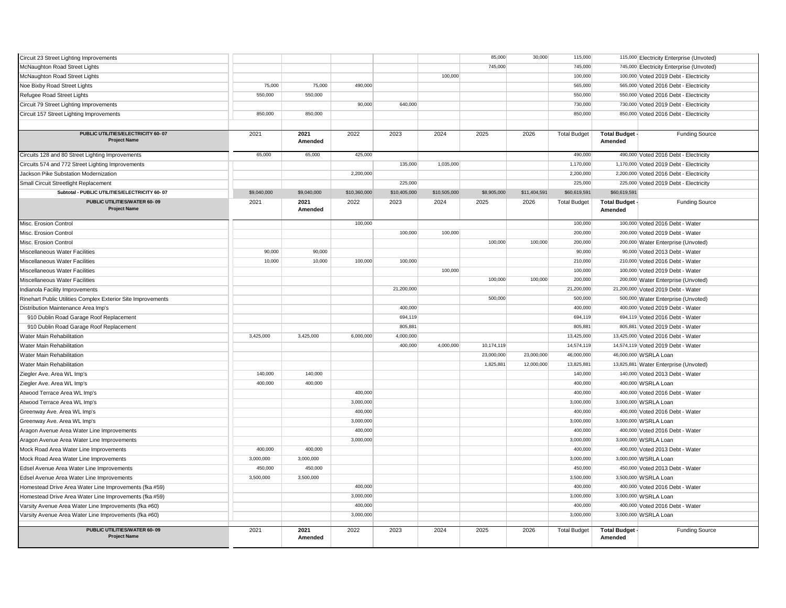| Circuit 23 Street Lighting Improvements                      |             |                 |              |              |              | 85,000      | 30,000       | 115,000             |                                | 115,000 Electricity Enterprise (Unvoted) |
|--------------------------------------------------------------|-------------|-----------------|--------------|--------------|--------------|-------------|--------------|---------------------|--------------------------------|------------------------------------------|
| McNaughton Road Street Lights                                |             |                 |              |              |              | 745,000     |              | 745,000             |                                | 745,000 Electricity Enterprise (Unvoted) |
| McNaughton Road Street Lights                                |             |                 |              |              | 100,000      |             |              | 100,000             |                                | 100,000 Voted 2019 Debt - Electricity    |
| Noe Bixby Road Street Lights                                 | 75,000      | 75,000          | 490,000      |              |              |             |              | 565,000             |                                | 565,000 Voted 2016 Debt - Electricity    |
| Refugee Road Street Lights                                   | 550,000     | 550,000         |              |              |              |             |              | 550,000             |                                | 550,000 Voted 2016 Debt - Electricity    |
| Circuit 79 Street Lighting Improvements                      |             |                 | 90,000       | 640,000      |              |             |              | 730,000             |                                | 730,000 Voted 2019 Debt - Electricity    |
| Circuit 157 Street Lighting Improvements                     | 850,000     | 850,000         |              |              |              |             |              | 850,000             |                                | 850,000 Voted 2016 Debt - Electricity    |
|                                                              |             |                 |              |              |              |             |              |                     |                                |                                          |
| PUBLIC UTILITIES/ELECTRICITY 60-07                           | 2021        | 2021            | 2022         | 2023         | 2024         | 2025        | 2026         |                     |                                |                                          |
| <b>Project Name</b>                                          |             | Amended         |              |              |              |             |              | <b>Total Budget</b> | <b>Total Budget</b><br>Amended | <b>Funding Source</b>                    |
| Circuits 128 and 80 Street Lighting Improvements             | 65,000      | 65,000          | 425,000      |              |              |             |              | 490,000             |                                | 490,000 Voted 2016 Debt - Electricity    |
| Circuits 574 and 772 Street Lighting Improvements            |             |                 |              | 135,000      | 1,035,000    |             |              | 1,170,000           |                                | 1,170,000 Voted 2019 Debt - Electricity  |
| Jackson Pike Substation Modernization                        |             |                 | 2,200,000    |              |              |             |              | 2,200,000           |                                | 2,200,000 Voted 2016 Debt - Electricity  |
| Small Circuit Streetlight Replacement                        |             |                 |              | 225,000      |              |             |              | 225,000             |                                | 225,000 Voted 2019 Debt - Electricity    |
| Subtotal - PUBLIC UTILITIES/ELECTRICITY 60- 07               | \$9,040,000 | \$9,040,000     | \$10,360,000 | \$10,405,000 | \$10,505,000 | \$8,905,000 | \$11,404,591 | \$60,619,591        | \$60,619,591                   |                                          |
| PUBLIC UTILITIES/WATER 60-09<br><b>Project Name</b>          | 2021        | 2021<br>Amended | 2022         | 2023         | 2024         | 2025        | 2026         | <b>Total Budget</b> | Total Budget<br>Amended        | <b>Funding Source</b>                    |
|                                                              |             |                 | 100,000      |              |              |             |              | 100,000             |                                | 100,000 Voted 2016 Debt - Water          |
| Misc. Erosion Control<br>Misc. Erosion Control               |             |                 |              |              | 100,000      |             |              | 200,000             |                                |                                          |
|                                                              |             |                 |              | 100,000      |              |             |              |                     |                                | 200,000 Voted 2019 Debt - Water          |
| Misc. Erosion Control                                        |             |                 |              |              |              | 100,000     | 100,000      | 200,000             |                                | 200,000 Water Enterprise (Unvoted)       |
| Miscellaneous Water Facilities                               | 90,000      | 90,000          |              |              |              |             |              | 90,000              |                                | 90,000 Voted 2013 Debt - Water           |
| Miscellaneous Water Facilities                               | 10,000      | 10,000          | 100,000      | 100,000      |              |             |              | 210,000             |                                | 210,000 Voted 2016 Debt - Water          |
| Miscellaneous Water Facilities                               |             |                 |              |              | 100,000      |             |              | 100,000             |                                | 100,000 Voted 2019 Debt - Water          |
| Miscellaneous Water Facilities                               |             |                 |              |              |              | 100,000     | 100,000      | 200,000             |                                | 200,000 Water Enterprise (Unvoted)       |
| ndianola Facility Improvements                               |             |                 |              | 21,200,000   |              |             |              | 21,200,000          |                                | 21,200,000 Voted 2019 Debt - Water       |
| Rinehart Public Utilities Complex Exterior Site Improvements |             |                 |              |              |              | 500,000     |              | 500,000             |                                | 500,000 Water Enterprise (Unvoted)       |
| Distribution Maintenance Area Imp's                          |             |                 |              | 400,000      |              |             |              | 400,000             |                                | 400,000 Voted 2019 Debt - Water          |
| 910 Dublin Road Garage Roof Replacement                      |             |                 |              | 694,119      |              |             |              | 694,119             |                                | 694,119 Voted 2016 Debt - Water          |
| 910 Dublin Road Garage Roof Replacement                      |             |                 |              | 805,881      |              |             |              | 805,881             |                                | 805,881 Voted 2019 Debt - Water          |
| Water Main Rehabilitation                                    | 3,425,000   | 3,425,000       | 6,000,000    | 4,000,000    |              |             |              | 13,425,000          |                                | 13,425,000 Voted 2016 Debt - Water       |
| Water Main Rehabilitation                                    |             |                 |              | 400,000      | 4,000,000    | 10,174,119  |              | 14,574,119          |                                | 14,574,119 Voted 2019 Debt - Water       |
| Water Main Rehabilitation                                    |             |                 |              |              |              | 23,000,000  | 23,000,000   | 46,000,000          |                                | 46,000,000 WSRLA Loan                    |
| Water Main Rehabilitation                                    |             |                 |              |              |              | 1,825,881   | 12,000,000   | 13,825,881          |                                | 13,825,881 Water Enterprise (Unvoted)    |
| Ziegler Ave. Area WL Imp's                                   | 140,000     | 140,000         |              |              |              |             |              | 140,000             |                                | 140,000 Voted 2013 Debt - Water          |
| Ziegler Ave. Area WL Imp's                                   | 400,000     | 400,000         |              |              |              |             |              | 400,000             |                                | 400,000 WSRLA Loan                       |
| Atwood Terrace Area WL Imp's                                 |             |                 | 400,000      |              |              |             |              | 400,000             |                                | 400,000 Voted 2016 Debt - Water          |
| Atwood Terrace Area WL Imp's                                 |             |                 | 3,000,000    |              |              |             |              | 3,000,000           |                                | 3,000,000 WSRLA Loan                     |
| Greenway Ave. Area WL Imp's                                  |             |                 | 400,000      |              |              |             |              | 400,000             |                                | 400,000 Voted 2016 Debt - Water          |
| Greenway Ave. Area WL Imp's                                  |             |                 | 3,000,000    |              |              |             |              | 3,000,000           |                                | 3,000,000 WSRLA Loan                     |
| Aragon Avenue Area Water Line Improvements                   |             |                 | 400,000      |              |              |             |              | 400,000             |                                | 400,000 Voted 2016 Debt - Water          |
| Aragon Avenue Area Water Line Improvements                   |             |                 | 3,000,000    |              |              |             |              | 3,000,000           |                                | 3,000,000 WSRLA Loan                     |
| Mock Road Area Water Line Improvements                       | 400,000     | 400,000         |              |              |              |             |              | 400,000             |                                | 400,000 Voted 2013 Debt - Water          |
| Mock Road Area Water Line Improvements                       | 3,000,000   | 3,000,000       |              |              |              |             |              | 3,000,000           |                                | 3,000,000 WSRLA Loan                     |
| Edsel Avenue Area Water Line Improvements                    | 450,000     | 450,000         |              |              |              |             |              | 450,000             |                                | 450,000 Voted 2013 Debt - Water          |
| Edsel Avenue Area Water Line Improvements                    | 3,500,000   | 3,500,000       |              |              |              |             |              | 3,500,000           |                                | 3,500,000 WSRLA Loan                     |
| Homestead Drive Area Water Line Improvements (fka #59)       |             |                 | 400,000      |              |              |             |              | 400,000             |                                | 400,000 Voted 2016 Debt - Water          |
| Homestead Drive Area Water Line Improvements (fka #59)       |             |                 | 3,000,000    |              |              |             |              | 3,000,000           |                                | 3,000,000 WSRLA Loan                     |
| Varsity Avenue Area Water Line Improvements (fka #60)        |             |                 | 400,000      |              |              |             |              | 400,000             |                                | 400,000 Voted 2016 Debt - Water          |
| Varsity Avenue Area Water Line Improvements (fka #60)        |             |                 | 3,000,000    |              |              |             |              | 3,000,000           |                                | 3,000,000 WSRLA Loan                     |
| PUBLIC UTILITIES/WATER 60-09<br><b>Project Name</b>          | 2021        | 2021<br>Amended | 2022         | 2023         | 2024         | 2025        | 2026         | <b>Total Budget</b> | <b>Total Budget</b><br>Amended | <b>Funding Source</b>                    |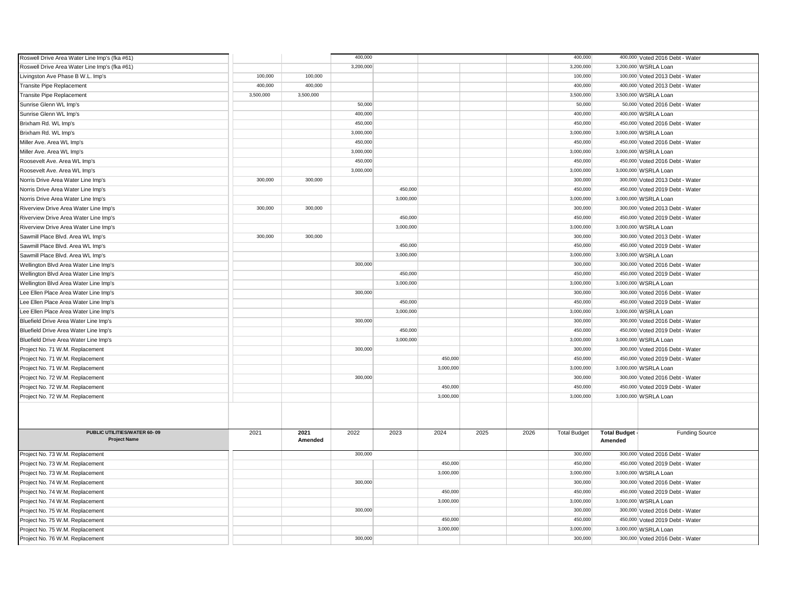| Roswell Drive Area Water Line Imp's (fka #61)       |           |                 | 400,000   |           |           |      |      | 400,000             |                                | 400,000 Voted 2016 Debt - Water |
|-----------------------------------------------------|-----------|-----------------|-----------|-----------|-----------|------|------|---------------------|--------------------------------|---------------------------------|
| Roswell Drive Area Water Line Imp's (fka #61)       |           |                 | 3,200,000 |           |           |      |      | 3,200,000           |                                | 3,200,000 WSRLA Loan            |
| Livingston Ave Phase B W.L. Imp's                   | 100,000   | 100,000         |           |           |           |      |      | 100,000             |                                | 100,000 Voted 2013 Debt - Water |
| <b>Transite Pipe Replacement</b>                    | 400,000   | 400,000         |           |           |           |      |      | 400,000             |                                | 400,000 Voted 2013 Debt - Water |
| <b>Transite Pipe Replacement</b>                    | 3,500,000 | 3,500,000       |           |           |           |      |      | 3,500,000           |                                | 3,500,000 WSRLA Loan            |
| Sunrise Glenn WL Imp's                              |           |                 | 50,000    |           |           |      |      | 50,000              |                                | 50,000 Voted 2016 Debt - Water  |
| Sunrise Glenn WL Imp's                              |           |                 | 400,000   |           |           |      |      | 400,000             |                                | 400,000 WSRLA Loan              |
| Brixham Rd. WL Imp's                                |           |                 | 450,000   |           |           |      |      | 450,000             |                                | 450,000 Voted 2016 Debt - Water |
| Brixham Rd. WL Imp's                                |           |                 | 3,000,000 |           |           |      |      | 3,000,000           |                                | 3,000,000 WSRLA Loan            |
| Miller Ave. Area WL Imp's                           |           |                 | 450,000   |           |           |      |      | 450,000             |                                | 450,000 Voted 2016 Debt - Water |
| Miller Ave. Area WL Imp's                           |           |                 | 3,000,000 |           |           |      |      | 3,000,000           |                                | 3,000,000 WSRLA Loan            |
| Roosevelt Ave. Area WL Imp's                        |           |                 | 450,000   |           |           |      |      | 450,000             |                                | 450,000 Voted 2016 Debt - Water |
| Roosevelt Ave. Area WL Imp's                        |           |                 | 3,000,000 |           |           |      |      | 3,000,000           |                                | 3,000,000 WSRLA Loan            |
| Norris Drive Area Water Line Imp's                  | 300,000   | 300,000         |           |           |           |      |      | 300,000             |                                | 300,000 Voted 2013 Debt - Water |
| Norris Drive Area Water Line Imp's                  |           |                 |           | 450,000   |           |      |      | 450,000             |                                | 450,000 Voted 2019 Debt - Water |
| Norris Drive Area Water Line Imp's                  |           |                 |           | 3,000,000 |           |      |      | 3,000,000           |                                | 3,000,000 WSRLA Loan            |
| Riverview Drive Area Water Line Imp's               | 300,000   | 300,000         |           |           |           |      |      | 300,000             |                                | 300,000 Voted 2013 Debt - Water |
| Riverview Drive Area Water Line Imp's               |           |                 |           | 450,000   |           |      |      | 450,000             |                                | 450,000 Voted 2019 Debt - Water |
| Riverview Drive Area Water Line Imp's               |           |                 |           | 3,000,000 |           |      |      | 3,000,000           |                                | 3,000,000 WSRLA Loan            |
| Sawmill Place Blvd. Area WL Imp's                   | 300,000   | 300,000         |           |           |           |      |      | 300,000             |                                | 300,000 Voted 2013 Debt - Water |
| Sawmill Place Blvd. Area WL Imp's                   |           |                 |           | 450,000   |           |      |      | 450,000             |                                | 450,000 Voted 2019 Debt - Water |
| Sawmill Place Blvd. Area WL Imp's                   |           |                 |           | 3,000,000 |           |      |      | 3,000,000           |                                | 3,000,000 WSRLA Loan            |
| Wellington Blvd Area Water Line Imp's               |           |                 | 300,000   |           |           |      |      | 300,000             |                                | 300,000 Voted 2016 Debt - Water |
| Wellington Blvd Area Water Line Imp's               |           |                 |           | 450,000   |           |      |      | 450,000             |                                | 450,000 Voted 2019 Debt - Water |
| Wellington Blvd Area Water Line Imp's               |           |                 |           | 3,000,000 |           |      |      | 3,000,000           |                                | 3,000,000 WSRLA Loan            |
| Lee Ellen Place Area Water Line Imp's               |           |                 | 300,000   |           |           |      |      | 300,000             |                                | 300,000 Voted 2016 Debt - Water |
| Lee Ellen Place Area Water Line Imp's               |           |                 |           | 450,000   |           |      |      | 450,000             |                                | 450,000 Voted 2019 Debt - Water |
| Lee Ellen Place Area Water Line Imp's               |           |                 |           | 3,000,000 |           |      |      | 3,000,000           |                                | 3,000,000 WSRLA Loan            |
| Bluefield Drive Area Water Line Imp's               |           |                 | 300,000   |           |           |      |      | 300,000             |                                | 300,000 Voted 2016 Debt - Water |
| Bluefield Drive Area Water Line Imp's               |           |                 |           | 450,000   |           |      |      | 450,000             |                                | 450,000 Voted 2019 Debt - Water |
| Bluefield Drive Area Water Line Imp's               |           |                 |           | 3,000,000 |           |      |      | 3,000,000           |                                | 3,000,000 WSRLA Loan            |
| Project No. 71 W.M. Replacement                     |           |                 | 300,000   |           |           |      |      | 300,000             |                                | 300,000 Voted 2016 Debt - Water |
| Project No. 71 W.M. Replacement                     |           |                 |           |           | 450,000   |      |      | 450,000             |                                | 450,000 Voted 2019 Debt - Water |
| Project No. 71 W.M. Replacement                     |           |                 |           |           | 3,000,000 |      |      | 3,000,000           |                                | 3,000,000 WSRLA Loan            |
| Project No. 72 W.M. Replacement                     |           |                 | 300,000   |           |           |      |      | 300,000             |                                | 300,000 Voted 2016 Debt - Water |
| Project No. 72 W.M. Replacement                     |           |                 |           |           | 450,000   |      |      | 450,000             |                                | 450,000 Voted 2019 Debt - Water |
| Project No. 72 W.M. Replacement                     |           |                 |           |           | 3,000,000 |      |      | 3,000,000           |                                | 3,000,000 WSRLA Loan            |
|                                                     |           |                 |           |           |           |      |      |                     |                                |                                 |
| PUBLIC UTILITIES/WATER 60-09<br><b>Project Name</b> | 2021      | 2021<br>Amended | 2022      | 2023      | 2024      | 2025 | 2026 | <b>Total Budget</b> | <b>Total Budget</b><br>Amended | <b>Funding Source</b>           |
| Project No. 73 W.M. Replacement                     |           |                 | 300,000   |           |           |      |      | 300,000             |                                | 300,000 Voted 2016 Debt - Water |
| Project No. 73 W.M. Replacement                     |           |                 |           |           | 450,000   |      |      | 450,000             |                                | 450,000 Voted 2019 Debt - Water |
| Project No. 73 W.M. Replacement                     |           |                 |           |           | 3,000,000 |      |      | 3,000,000           |                                | 3,000,000 WSRLA Loan            |
| Project No. 74 W.M. Replacement                     |           |                 | 300,000   |           |           |      |      | 300,000             |                                | 300,000 Voted 2016 Debt - Water |
| Project No. 74 W.M. Replacement                     |           |                 |           |           | 450,000   |      |      | 450,000             |                                | 450,000 Voted 2019 Debt - Water |
| Project No. 74 W.M. Replacement                     |           |                 |           |           | 3,000,000 |      |      | 3,000,000           |                                | 3,000,000 WSRLA Loan            |
| Project No. 75 W.M. Replacement                     |           |                 | 300,000   |           |           |      |      | 300,000             |                                | 300,000 Voted 2016 Debt - Water |
| Project No. 75 W.M. Replacement                     |           |                 |           |           | 450.000   |      |      | 450,000             |                                | 450,000 Voted 2019 Debt - Water |
| Project No. 75 W.M. Replacement                     |           |                 |           |           | 3,000,000 |      |      | 3,000,000           |                                | 3,000,000 WSRLA Loan            |
| Project No. 76 W.M. Replacement                     |           |                 | 300,000   |           |           |      |      | 300,000             |                                | 300,000 Voted 2016 Debt - Water |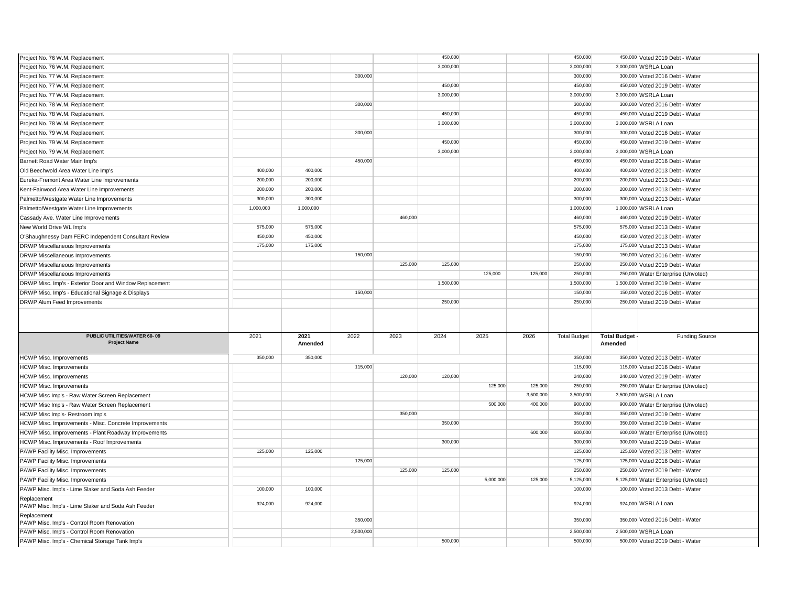| Project No. 76 W.M. Replacement                                                              |           |           |           |         | 450,000   |           |           | 450,000              |                     | 450,000 Voted 2019 Debt - Water                         |
|----------------------------------------------------------------------------------------------|-----------|-----------|-----------|---------|-----------|-----------|-----------|----------------------|---------------------|---------------------------------------------------------|
| Project No. 76 W.M. Replacement                                                              |           |           |           |         | 3,000,000 |           |           | 3,000,000            |                     | 3,000,000 WSRLA Loan                                    |
| Project No. 77 W.M. Replacement                                                              |           |           | 300,000   |         |           |           |           | 300,000              |                     | 300,000 Voted 2016 Debt - Water                         |
| Project No. 77 W.M. Replacement                                                              |           |           |           |         | 450,000   |           |           | 450,000              |                     | 450,000 Voted 2019 Debt - Water                         |
| Project No. 77 W.M. Replacement                                                              |           |           |           |         | 3,000,000 |           |           | 3,000,000            |                     | 3,000,000 WSRLA Loan                                    |
| Project No. 78 W.M. Replacement                                                              |           |           | 300,000   |         |           |           |           | 300,000              |                     | 300,000 Voted 2016 Debt - Water                         |
| Project No. 78 W.M. Replacement                                                              |           |           |           |         | 450,000   |           |           | 450,000              |                     | 450,000 Voted 2019 Debt - Water                         |
| Project No. 78 W.M. Replacement                                                              |           |           |           |         | 3,000,000 |           |           | 3,000,000            |                     | 3,000,000 WSRLA Loan                                    |
| Project No. 79 W.M. Replacement                                                              |           |           | 300,000   |         |           |           |           | 300,000              |                     | 300,000 Voted 2016 Debt - Water                         |
| Project No. 79 W.M. Replacement                                                              |           |           |           |         | 450,000   |           |           | 450,000              |                     | 450,000 Voted 2019 Debt - Water                         |
| Project No. 79 W.M. Replacement                                                              |           |           |           |         | 3,000,000 |           |           | 3,000,000            |                     | 3,000,000 WSRLA Loan                                    |
| Barnett Road Water Main Imp's                                                                |           |           | 450,000   |         |           |           |           | 450,000              |                     | 450,000 Voted 2016 Debt - Water                         |
| Old Beechwold Area Water Line Imp's                                                          | 400,000   | 400,000   |           |         |           |           |           | 400,000              |                     | 400,000 Voted 2013 Debt - Water                         |
| Eureka-Fremont Area Water Line Improvements                                                  | 200,000   | 200,000   |           |         |           |           |           | 200,000              |                     | 200,000 Voted 2013 Debt - Water                         |
| Kent-Fairwood Area Water Line Improvements                                                   | 200,000   | 200,000   |           |         |           |           |           | 200,000              |                     | 200,000 Voted 2013 Debt - Water                         |
| Palmetto/Westgate Water Line Improvements                                                    | 300,000   | 300,000   |           |         |           |           |           | 300,000              |                     | 300,000 Voted 2013 Debt - Water                         |
| Palmetto/Westgate Water Line Improvements                                                    | 1,000,000 | 1,000,000 |           |         |           |           |           | 1,000,000            |                     | 1,000,000 WSRLA Loan                                    |
| Cassady Ave. Water Line Improvements                                                         |           |           |           | 460,000 |           |           |           | 460,000              |                     | 460,000 Voted 2019 Debt - Water                         |
| New World Drive WL Imp's                                                                     | 575,000   | 575,000   |           |         |           |           |           | 575,000              |                     | 575,000 Voted 2013 Debt - Water                         |
| O'Shaughnessy Dam FERC Independent Consultant Review                                         | 450,000   | 450,000   |           |         |           |           |           | 450,000              |                     | 450,000 Voted 2013 Debt - Water                         |
| DRWP Miscellaneous Improvements                                                              | 175,000   | 175,000   |           |         |           |           |           | 175,000              |                     | 175,000 Voted 2013 Debt - Water                         |
| DRWP Miscellaneous Improvements                                                              |           |           | 150,000   |         |           |           |           | 150,000              |                     | 150,000 Voted 2016 Debt - Water                         |
| DRWP Miscellaneous Improvements                                                              |           |           |           | 125,000 | 125,000   |           |           | 250,000              |                     | 250,000 Voted 2019 Debt - Water                         |
| DRWP Miscellaneous Improvements                                                              |           |           |           |         |           | 125,000   | 125,000   | 250,000              |                     | 250,000 Water Enterprise (Unvoted)                      |
| DRWP Misc. Imp's - Exterior Door and Window Replacement                                      |           |           |           |         | 1,500,000 |           |           | 1,500,000            |                     | 1,500,000 Voted 2019 Debt - Water                       |
| DRWP Misc. Imp's - Educational Signage & Displays                                            |           |           | 150,000   |         |           |           |           | 150,000              |                     | 150,000 Voted 2016 Debt - Water                         |
|                                                                                              |           |           |           |         |           |           |           |                      |                     |                                                         |
|                                                                                              |           |           |           |         |           |           |           |                      |                     |                                                         |
| DRWP Alum Feed Improvements                                                                  |           |           |           |         | 250,000   |           |           | 250,000              |                     | 250,000 Voted 2019 Debt - Water                         |
|                                                                                              |           |           |           |         |           |           |           |                      |                     |                                                         |
|                                                                                              |           |           |           |         |           |           |           |                      |                     |                                                         |
| PUBLIC UTILITIES/WATER 60-09                                                                 | 2021      | 2021      | 2022      | 2023    | 2024      | 2025      | 2026      | <b>Total Budget</b>  | <b>Total Budget</b> | <b>Funding Source</b>                                   |
| <b>Project Name</b>                                                                          |           | Amended   |           |         |           |           |           |                      | Amended             |                                                         |
| <b>HCWP Misc. Improvements</b>                                                               | 350,000   | 350,000   |           |         |           |           |           | 350,000              |                     | 350,000 Voted 2013 Debt - Water                         |
| <b>HCWP Misc. Improvements</b>                                                               |           |           | 115,000   |         |           |           |           | 115,000              |                     | 115,000 Voted 2016 Debt - Water                         |
| <b>HCWP Misc. Improvements</b>                                                               |           |           |           | 120,000 | 120,000   |           |           | 240,000              |                     | 240,000 Voted 2019 Debt - Water                         |
| <b>HCWP Misc. Improvements</b>                                                               |           |           |           |         |           | 125,000   | 125,000   | 250,000              |                     | 250,000 Water Enterprise (Unvoted)                      |
| HCWP Misc Imp's - Raw Water Screen Replacement                                               |           |           |           |         |           |           | 3,500,000 | 3,500,000            |                     | 3,500,000 WSRLA Loan                                    |
| HCWP Misc Imp's - Raw Water Screen Replacement                                               |           |           |           |         |           | 500,000   | 400,000   | 900,000              |                     | 900,000 Water Enterprise (Unvoted)                      |
| HCWP Misc Imp's- Restroom Imp's                                                              |           |           |           | 350,000 |           |           |           | 350,000              |                     | 350,000 Voted 2019 Debt - Water                         |
| HCWP Misc. Improvements - Misc. Concrete Improvements                                        |           |           |           |         | 350,000   |           |           | 350,000              |                     | 350,000 Voted 2019 Debt - Water                         |
| HCWP Misc. Improvements - Plant Roadway Improvements                                         |           |           |           |         |           |           | 600,000   | 600,000              |                     | 600,000 Water Enterprise (Unvoted)                      |
| HCWP Misc. Improvements - Roof Improvements                                                  |           |           |           |         | 300,000   |           |           | 300,000              |                     | 300,000 Voted 2019 Debt - Water                         |
| PAWP Facility Misc. Improvements                                                             | 125,000   | 125,000   |           |         |           |           |           | 125,000              |                     | 125,000 Voted 2013 Debt - Water                         |
| PAWP Facility Misc. Improvements                                                             |           |           | 125,000   |         |           |           |           | 125,000              |                     | 125,000 Voted 2016 Debt - Water                         |
| PAWP Facility Misc. Improvements                                                             |           |           |           | 125,000 | 125,000   |           |           | 250,000              |                     | 250,000 Voted 2019 Debt - Water                         |
| PAWP Facility Misc. Improvements                                                             |           |           |           |         |           | 5,000,000 | 125,000   | 5,125,000            |                     | 5,125,000 Water Enterprise (Unvoted)                    |
| PAWP Misc. Imp's - Lime Slaker and Soda Ash Feeder                                           | 100,000   | 100,000   |           |         |           |           |           | 100,000              |                     | 100,000 Voted 2013 Debt - Water                         |
| Replacement                                                                                  |           |           |           |         |           |           |           |                      |                     |                                                         |
| PAWP Misc. Imp's - Lime Slaker and Soda Ash Feeder                                           | 924,000   | 924,000   |           |         |           |           |           | 924,000              |                     | 924,000 WSRLA Loan                                      |
| Replacement                                                                                  |           |           |           |         |           |           |           |                      |                     |                                                         |
| PAWP Misc. Imp's - Control Room Renovation                                                   |           |           | 350,000   |         |           |           |           | 350,000              |                     | 350,000 Voted 2016 Debt - Water                         |
| PAWP Misc. Imp's - Control Room Renovation<br>PAWP Misc. Imp's - Chemical Storage Tank Imp's |           |           | 2,500,000 |         | 500,000   |           |           | 2,500,000<br>500,000 |                     | 2,500,000 WSRLA Loan<br>500,000 Voted 2019 Debt - Water |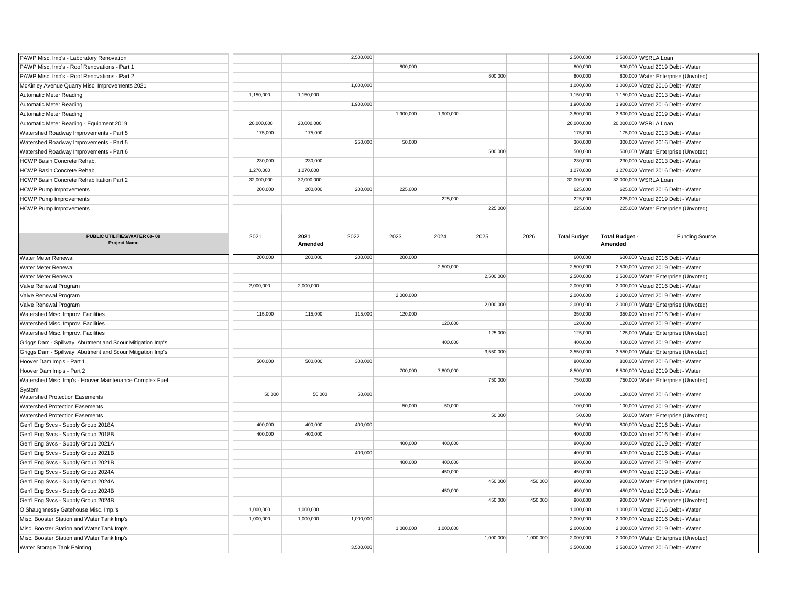| PAWP Misc. Imp's - Laboratory Renovation                   |            |            | 2,500,000 |           |           |           |           | 2,500,000            |                     | 2,500,000 WSRLA Loan                                                  |
|------------------------------------------------------------|------------|------------|-----------|-----------|-----------|-----------|-----------|----------------------|---------------------|-----------------------------------------------------------------------|
| PAWP Misc. Imp's - Roof Renovations - Part 1               |            |            |           | 800,000   |           |           |           | 800,000              |                     | 800,000 Voted 2019 Debt - Water                                       |
| PAWP Misc. Imp's - Roof Renovations - Part 2               |            |            |           |           |           | 800,000   |           | 800,000              |                     | 800,000 Water Enterprise (Unvoted)                                    |
| McKinley Avenue Quarry Misc. Improvements 2021             |            |            | 1,000,000 |           |           |           |           | 1,000,000            |                     | 1,000,000 Voted 2016 Debt - Water                                     |
| Automatic Meter Reading                                    | 1,150,000  | 1,150,000  |           |           |           |           |           | 1,150,000            |                     | 1,150,000 Voted 2013 Debt - Water                                     |
| <b>Automatic Meter Reading</b>                             |            |            | 1,900,000 |           |           |           |           | 1,900,000            |                     | 1,900,000 Voted 2016 Debt - Water                                     |
| Automatic Meter Reading                                    |            |            |           | 1,900,000 | 1,900,000 |           |           | 3,800,000            |                     | 3,800,000 Voted 2019 Debt - Water                                     |
| Automatic Meter Reading - Equipment 2019                   | 20,000,000 | 20,000,000 |           |           |           |           |           | 20,000,000           |                     | 20,000,000 WSRLA Loan                                                 |
| Watershed Roadway Improvements - Part 5                    | 175,000    | 175,000    |           |           |           |           |           | 175,000              |                     | 175,000 Voted 2013 Debt - Water                                       |
| Watershed Roadway Improvements - Part 5                    |            |            | 250,000   | 50,000    |           |           |           | 300,000              |                     | 300,000 Voted 2016 Debt - Water                                       |
| Watershed Roadway Improvements - Part 6                    |            |            |           |           |           | 500,000   |           | 500,000              |                     | 500,000 Water Enterprise (Unvoted)                                    |
|                                                            | 230,000    | 230,000    |           |           |           |           |           | 230,000              |                     |                                                                       |
| HCWP Basin Concrete Rehab<br>HCWP Basin Concrete Rehab.    | 1,270,000  | 1,270,000  |           |           |           |           |           | 1,270,000            |                     | 230,000 Voted 2013 Debt - Water<br>1,270,000 Voted 2016 Debt - Water  |
|                                                            |            |            |           |           |           |           |           |                      |                     |                                                                       |
| HCWP Basin Concrete Rehabilitation Part 2                  | 32,000,000 | 32,000,000 |           |           |           |           |           | 32,000,000           |                     | 32,000,000 WSRLA Loan                                                 |
| <b>HCWP Pump Improvements</b>                              | 200,000    | 200,000    | 200,000   | 225,000   |           |           |           | 625,000              |                     | 625,000 Voted 2016 Debt - Water                                       |
| <b>HCWP Pump Improvements</b>                              |            |            |           |           | 225,000   |           |           | 225,000              |                     | 225,000 Voted 2019 Debt - Water                                       |
| <b>HCWP Pump Improvements</b>                              |            |            |           |           |           | 225,000   |           | 225,000              |                     | 225,000 Water Enterprise (Unvoted)                                    |
|                                                            |            |            |           |           |           |           |           |                      |                     |                                                                       |
| PUBLIC UTILITIES/WATER 60-09                               | 2021       | 2021       | 2022      | 2023      | 2024      | 2025      | 2026      | <b>Total Budget</b>  | <b>Total Budget</b> | <b>Funding Source</b>                                                 |
| <b>Project Name</b>                                        |            | Amended    |           |           |           |           |           |                      | Amended             |                                                                       |
| Water Meter Renewal                                        | 200,000    | 200,000    | 200,000   | 200,000   |           |           |           | 600,000              |                     | 600,000 Voted 2016 Debt - Water                                       |
| Water Meter Renewal                                        |            |            |           |           | 2,500,000 |           |           | 2,500,000            |                     | 2,500,000 Voted 2019 Debt - Water                                     |
| Water Meter Renewal                                        |            |            |           |           |           | 2,500,000 |           | 2,500,000            |                     | 2,500,000 Water Enterprise (Unvoted)                                  |
| Valve Renewal Program                                      | 2,000,000  | 2,000,000  |           |           |           |           |           | 2,000,000            |                     | 2,000,000 Voted 2016 Debt - Water                                     |
| Valve Renewal Program                                      |            |            |           | 2,000,000 |           |           |           | 2,000,000            |                     | 2,000,000 Voted 2019 Debt - Water                                     |
| Valve Renewal Program                                      |            |            |           |           |           | 2,000,000 |           | 2,000,000            |                     | 2,000,000 Water Enterprise (Unvoted)                                  |
| Watershed Misc. Improv. Facilities                         | 115,000    | 115,000    | 115,000   | 120,000   |           |           |           | 350,000              |                     | 350,000 Voted 2016 Debt - Water                                       |
| Watershed Misc. Improv. Facilities                         |            |            |           |           | 120,000   |           |           | 120,000              |                     | 120,000 Voted 2019 Debt - Water                                       |
|                                                            |            |            |           |           |           | 125,000   |           | 125,000              |                     |                                                                       |
| Watershed Misc. Improv. Facilities                         |            |            |           |           | 400,000   |           |           | 400,000              |                     | 125,000 Water Enterprise (Unvoted)<br>400,000 Voted 2019 Debt - Water |
| Griggs Dam - Spillway, Abutment and Scour Mitigation Imp's |            |            |           |           |           |           |           |                      |                     |                                                                       |
| Griggs Dam - Spillway, Abutment and Scour Mitigation Imp's |            |            |           |           |           | 3,550,000 |           | 3,550,000            |                     | 3,550,000 Water Enterprise (Unvoted)                                  |
| Hoover Dam Imp's - Part 1                                  | 500,000    | 500,000    | 300,000   |           |           |           |           | 800,000              |                     | 800,000 Voted 2016 Debt - Water                                       |
| Hoover Dam Imp's - Part 2                                  |            |            |           | 700,000   | 7,800,000 |           |           | 8,500,000            |                     | 8,500,000 Voted 2019 Debt - Water                                     |
| Watershed Misc. Imp's - Hoover Maintenance Complex Fuel    |            |            |           |           |           | 750,000   |           | 750,000              |                     | 750,000 Water Enterprise (Unvoted)                                    |
| System<br>Watershed Protection Easements                   | 50,000     | 50,000     | 50,000    |           |           |           |           | 100,000              |                     | 100,000 Voted 2016 Debt - Water                                       |
| Watershed Protection Easements                             |            |            |           | 50,000    | 50,000    |           |           | 100,000              |                     | 100,000 Voted 2019 Debt - Water                                       |
| Watershed Protection Easements                             |            |            |           |           |           | 50,000    |           | 50,000               |                     | 50,000 Water Enterprise (Unvoted)                                     |
| Gen'l Eng Svcs - Supply Group 2018A                        | 400,000    | 400,000    | 400,000   |           |           |           |           | 800,000              |                     | 800,000 Voted 2016 Debt - Water                                       |
| Gen'l Eng Svcs - Supply Group 2018B                        | 400,000    | 400,000    |           |           |           |           |           | 400,000              |                     | 400,000 Voted 2016 Debt - Water                                       |
| Gen'l Eng Svcs - Supply Group 2021A                        |            |            |           | 400,000   | 400,000   |           |           | 800,000              |                     | 800,000 Voted 2019 Debt - Water                                       |
| Gen'l Eng Svcs - Supply Group 2021B                        |            |            | 400,000   |           |           |           |           | 400,000              |                     | 400,000 Voted 2016 Debt - Water                                       |
| Gen'l Eng Svcs - Supply Group 2021B                        |            |            |           | 400,000   | 400,000   |           |           | 800,000              |                     | 800,000 Voted 2019 Debt - Water                                       |
| Gen'l Eng Svcs - Supply Group 2024A                        |            |            |           |           | 450,000   |           |           | 450,000              |                     | 450,000 Voted 2019 Debt - Water                                       |
| Gen'l Eng Svcs - Supply Group 2024A                        |            |            |           |           |           | 450,000   | 450,000   | 900,000              |                     | 900,000 Water Enterprise (Unvoted)                                    |
| Gen'l Eng Svcs - Supply Group 2024B                        |            |            |           |           | 450,000   |           |           | 450,000              |                     | 450,000 Voted 2019 Debt - Water                                       |
|                                                            |            |            |           |           |           |           |           |                      |                     |                                                                       |
| Gen'l Eng Svcs - Supply Group 2024B                        | 1,000,000  | 1,000,000  |           |           |           | 450,000   | 450,000   | 900,000<br>1,000,000 |                     | 900,000 Water Enterprise (Unvoted)                                    |
| O'Shaughnessy Gatehouse Misc. Imp.'s                       |            |            |           |           |           |           |           |                      |                     | 1,000,000 Voted 2016 Debt - Water                                     |
| Misc. Booster Station and Water Tank Imp's                 | 1,000,000  | 1,000,000  | 1,000,000 |           |           |           |           | 2,000,000            |                     | 2,000,000 Voted 2016 Debt - Water                                     |
| Misc. Booster Station and Water Tank Imp's                 |            |            |           | 1,000,000 | 1,000,000 |           |           | 2,000,000            |                     | 2,000,000 Voted 2019 Debt - Water                                     |
| Misc. Booster Station and Water Tank Imp's                 |            |            |           |           |           | 1,000,000 | 1,000,000 | 2,000,000            |                     | 2,000,000 Water Enterprise (Unvoted)                                  |
| Water Storage Tank Painting                                |            |            | 3,500,000 |           |           |           |           | 3,500,000            |                     | 3,500,000 Voted 2016 Debt - Water                                     |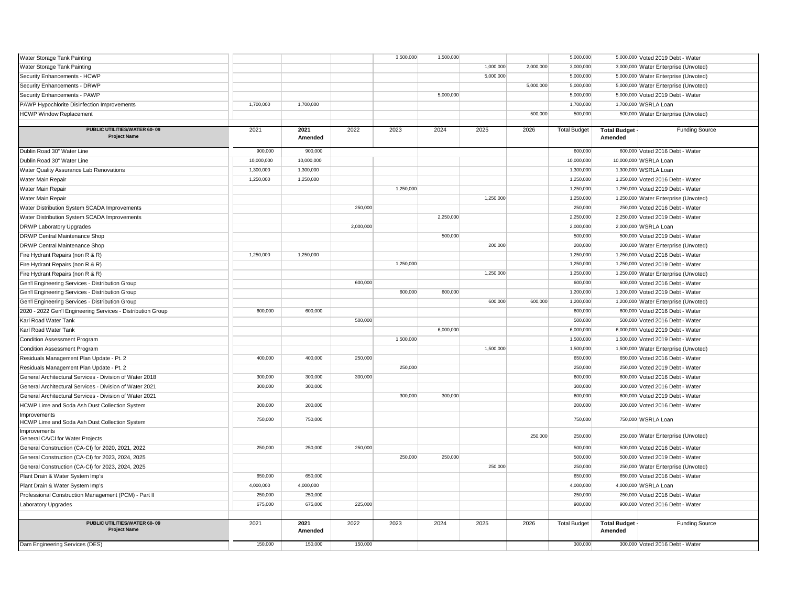| Water Storage Tank Painting<br>1,000,000<br>2,000,000<br>3,000,000<br>3,000,000 Water Enterprise (Unvoted)<br>5,000,000<br>5,000,000<br>Security Enhancements - HCWP<br>5,000,000 Water Enterprise (Unvoted)<br>Security Enhancements - DRWP<br>5,000,000<br>5,000,000<br>5,000,000 Water Enterprise (Unvoted)<br>Security Enhancements - PAWP<br>5,000,000<br>5,000,000<br>5,000,000 Voted 2019 Debt - Water<br>PAWP Hypochlorite Disinfection Improvements<br>1,700,000<br>1,700,000<br>1,700,000<br>1,700,000 WSRLA Loan<br>500,000<br><b>HCWP Window Replacement</b><br>500,000<br>500,000 Water Enterprise (Unvoted)<br>PUBLIC UTILITIES/WATER 60-09<br>2021<br>2021<br>2022<br>2023<br>2024<br>2025<br>2026<br><b>Total Budget</b><br><b>Total Budget</b><br><b>Funding Source</b><br><b>Project Name</b><br>Amended<br>Amended<br>900,000<br>900,000<br>600,000<br>Dublin Road 30" Water Line<br>600,000 Voted 2016 Debt - Water<br>Dublin Road 30" Water Line<br>10,000,000<br>10,000,000 WSRLA Loan<br>10,000,000<br>10,000,000<br>1,300,000<br>1,300,000<br>1,300,000<br>1,300,000 WSRLA Loan<br>Water Quality Assurance Lab Renovations<br>Water Main Repair<br>1,250,000<br>1,250,000<br>1,250,000<br>1,250,000 Voted 2016 Debt - Water<br>Water Main Repair<br>1,250,000<br>1,250,000<br>1,250,000 Voted 2019 Debt - Water<br>Water Main Repair<br>1.250.000<br>1,250,000<br>1,250,000 Water Enterprise (Unvoted)<br>Water Distribution System SCADA Improvements<br>250,000<br>250,000<br>250,000 Voted 2016 Debt - Water<br>2,250,000<br>2,250,000<br>Water Distribution System SCADA Improvements<br>2,250,000 Voted 2019 Debt - Water<br>2,000,000<br>2,000,000<br>2,000,000 WSRLA Loan<br><b>DRWP Laboratory Upgrades</b><br>500,000<br>500,000<br>500,000 Voted 2019 Debt - Water<br>DRWP Central Maintenance Shop<br>200,000<br><b>DRWP Central Maintenance Shop</b><br>200,000<br>200,000 Water Enterprise (Unvoted)<br>1,250,000<br>1,250,000<br>Fire Hydrant Repairs (non R & R)<br>1,250,000<br>1,250,000 Voted 2016 Debt - Water<br>Fire Hydrant Repairs (non R & R)<br>1,250,000<br>1,250,000<br>1,250,000 Voted 2019 Debt - Water<br>Fire Hydrant Repairs (non R & R)<br>1,250,000<br>1,250,000<br>1,250,000 Water Enterprise (Unvoted)<br>600,000<br>600,000<br>600,000 Voted 2016 Debt - Water<br>Gen'l Engineering Services - Distribution Group<br>600,000<br>600,000<br>1,200,000<br>Gen'l Engineering Services - Distribution Group<br>1,200,000 Voted 2019 Debt - Water<br>600,000<br>600,000<br>1,200,000<br>Gen'l Engineering Services - Distribution Group<br>1,200,000 Water Enterprise (Unvoted)<br>600,000<br>600,000<br>600,000<br>2020 - 2022 Gen'l Engineering Services - Distribution Group<br>600,000 Voted 2016 Debt - Water<br>Karl Road Water Tank<br>500,000<br>500,000<br>500,000 Voted 2016 Debt - Water<br>Karl Road Water Tank<br>6,000,000<br>6,000,000<br>6,000,000 Voted 2019 Debt - Water<br>1,500,000<br>1,500,000<br>1,500,000 Voted 2019 Debt - Water<br><b>Condition Assessment Program</b><br>1,500,000<br>1,500,000<br>1,500,000 Water Enterprise (Unvoted)<br><b>Condition Assessment Program</b><br>Residuals Management Plan Update - Pt. 2<br>400,000<br>400,000<br>250,000<br>650,000<br>650,000 Voted 2016 Debt - Water<br>Residuals Management Plan Update - Pt. 2<br>250,000<br>250,000<br>250,000 Voted 2019 Debt - Water<br>300,000<br>600,000<br>300,000<br>300,000<br>600,000 Voted 2016 Debt - Water<br>General Architectural Services - Division of Water 2018<br>General Architectural Services - Division of Water 2021<br>300,000<br>300,000<br>300,000<br>300,000 Voted 2016 Debt - Water<br>300,000<br>General Architectural Services - Division of Water 2021<br>300,000<br>600,000<br>600,000 Voted 2019 Debt - Water<br>200,000<br>200,000<br>200,000<br>200,000 Voted 2016 Debt - Water<br>HCWP Lime and Soda Ash Dust Collection System<br>Improvements<br>750,000<br>750,000<br>750,000<br>750,000 WSRLA Loan<br>HCWP Lime and Soda Ash Dust Collection System<br>Improvements<br>250,000<br>250,000<br>250,000 Water Enterprise (Unvoted)<br>General CA/CI for Water Projects<br>General Construction (CA-CI) for 2020, 2021, 2022<br>250,000<br>250,000<br>250,000<br>500,000<br>500,000 Voted 2016 Debt - Water<br>General Construction (CA-CI) for 2023, 2024, 2025<br>250,000<br>500,000 Voted 2019 Debt - Water<br>250,000<br>500,000<br>General Construction (CA-CI) for 2023, 2024, 2025<br>250,000<br>250,000<br>250,000 Water Enterprise (Unvoted)<br>650,000<br>650,000<br>650,000<br>Plant Drain & Water System Imp's<br>650,000 Voted 2016 Debt - Water<br>4,000,000<br>4,000,000<br>4,000,000<br>Plant Drain & Water System Imp's<br>4,000,000 WSRLA Loan<br>Professional Construction Management (PCM) - Part II<br>250,000<br>250,000<br>250,000<br>250,000 Voted 2016 Debt - Water<br>675,000<br>675,000<br>225,000<br>900,000<br>900,000 Voted 2016 Debt - Water<br>Laboratory Upgrades<br>PUBLIC UTILITIES/WATER 60-09<br>2023<br>2021<br>2021<br>2022<br>2024<br>2025<br>2026<br><b>Total Budget</b><br><b>Total Budget</b><br><b>Funding Source</b><br><b>Project Name</b><br>Amended<br>Amended<br>Dam Engineering Services (DES)<br>150,000<br>150,000<br>150,000<br>300,000<br>300,000 Voted 2016 Debt - Water | Water Storage Tank Painting |  | 3,500,000 | 1,500,000 |  | 5,000,000 | 5,000,000 Voted 2019 Debt - Water |
|--------------------------------------------------------------------------------------------------------------------------------------------------------------------------------------------------------------------------------------------------------------------------------------------------------------------------------------------------------------------------------------------------------------------------------------------------------------------------------------------------------------------------------------------------------------------------------------------------------------------------------------------------------------------------------------------------------------------------------------------------------------------------------------------------------------------------------------------------------------------------------------------------------------------------------------------------------------------------------------------------------------------------------------------------------------------------------------------------------------------------------------------------------------------------------------------------------------------------------------------------------------------------------------------------------------------------------------------------------------------------------------------------------------------------------------------------------------------------------------------------------------------------------------------------------------------------------------------------------------------------------------------------------------------------------------------------------------------------------------------------------------------------------------------------------------------------------------------------------------------------------------------------------------------------------------------------------------------------------------------------------------------------------------------------------------------------------------------------------------------------------------------------------------------------------------------------------------------------------------------------------------------------------------------------------------------------------------------------------------------------------------------------------------------------------------------------------------------------------------------------------------------------------------------------------------------------------------------------------------------------------------------------------------------------------------------------------------------------------------------------------------------------------------------------------------------------------------------------------------------------------------------------------------------------------------------------------------------------------------------------------------------------------------------------------------------------------------------------------------------------------------------------------------------------------------------------------------------------------------------------------------------------------------------------------------------------------------------------------------------------------------------------------------------------------------------------------------------------------------------------------------------------------------------------------------------------------------------------------------------------------------------------------------------------------------------------------------------------------------------------------------------------------------------------------------------------------------------------------------------------------------------------------------------------------------------------------------------------------------------------------------------------------------------------------------------------------------------------------------------------------------------------------------------------------------------------------------------------------------------------------------------------------------------------------------------------------------------------------------------------------------------------------------------------------------------------------------------------------------------------------------------------------------------------------------------------------------------------------------------------------------------------------------------------------------------------------------------------------------------------------------------------------------------------------------------------------------------------------------------------------------------------------------------------------------------------------------------------------------------------------------------------------------------------------------------------------------------------------------------------------------------------------------------------------------------------------------------------------------------------------------------------------------------------------------------------------|-----------------------------|--|-----------|-----------|--|-----------|-----------------------------------|
|                                                                                                                                                                                                                                                                                                                                                                                                                                                                                                                                                                                                                                                                                                                                                                                                                                                                                                                                                                                                                                                                                                                                                                                                                                                                                                                                                                                                                                                                                                                                                                                                                                                                                                                                                                                                                                                                                                                                                                                                                                                                                                                                                                                                                                                                                                                                                                                                                                                                                                                                                                                                                                                                                                                                                                                                                                                                                                                                                                                                                                                                                                                                                                                                                                                                                                                                                                                                                                                                                                                                                                                                                                                                                                                                                                                                                                                                                                                                                                                                                                                                                                                                                                                                                                                                                                                                                                                                                                                                                                                                                                                                                                                                                                                                                                                                                                                                                                                                                                                                                                                                                                                                                                                                                                                                                                                                |                             |  |           |           |  |           |                                   |
|                                                                                                                                                                                                                                                                                                                                                                                                                                                                                                                                                                                                                                                                                                                                                                                                                                                                                                                                                                                                                                                                                                                                                                                                                                                                                                                                                                                                                                                                                                                                                                                                                                                                                                                                                                                                                                                                                                                                                                                                                                                                                                                                                                                                                                                                                                                                                                                                                                                                                                                                                                                                                                                                                                                                                                                                                                                                                                                                                                                                                                                                                                                                                                                                                                                                                                                                                                                                                                                                                                                                                                                                                                                                                                                                                                                                                                                                                                                                                                                                                                                                                                                                                                                                                                                                                                                                                                                                                                                                                                                                                                                                                                                                                                                                                                                                                                                                                                                                                                                                                                                                                                                                                                                                                                                                                                                                |                             |  |           |           |  |           |                                   |
|                                                                                                                                                                                                                                                                                                                                                                                                                                                                                                                                                                                                                                                                                                                                                                                                                                                                                                                                                                                                                                                                                                                                                                                                                                                                                                                                                                                                                                                                                                                                                                                                                                                                                                                                                                                                                                                                                                                                                                                                                                                                                                                                                                                                                                                                                                                                                                                                                                                                                                                                                                                                                                                                                                                                                                                                                                                                                                                                                                                                                                                                                                                                                                                                                                                                                                                                                                                                                                                                                                                                                                                                                                                                                                                                                                                                                                                                                                                                                                                                                                                                                                                                                                                                                                                                                                                                                                                                                                                                                                                                                                                                                                                                                                                                                                                                                                                                                                                                                                                                                                                                                                                                                                                                                                                                                                                                |                             |  |           |           |  |           |                                   |
|                                                                                                                                                                                                                                                                                                                                                                                                                                                                                                                                                                                                                                                                                                                                                                                                                                                                                                                                                                                                                                                                                                                                                                                                                                                                                                                                                                                                                                                                                                                                                                                                                                                                                                                                                                                                                                                                                                                                                                                                                                                                                                                                                                                                                                                                                                                                                                                                                                                                                                                                                                                                                                                                                                                                                                                                                                                                                                                                                                                                                                                                                                                                                                                                                                                                                                                                                                                                                                                                                                                                                                                                                                                                                                                                                                                                                                                                                                                                                                                                                                                                                                                                                                                                                                                                                                                                                                                                                                                                                                                                                                                                                                                                                                                                                                                                                                                                                                                                                                                                                                                                                                                                                                                                                                                                                                                                |                             |  |           |           |  |           |                                   |
|                                                                                                                                                                                                                                                                                                                                                                                                                                                                                                                                                                                                                                                                                                                                                                                                                                                                                                                                                                                                                                                                                                                                                                                                                                                                                                                                                                                                                                                                                                                                                                                                                                                                                                                                                                                                                                                                                                                                                                                                                                                                                                                                                                                                                                                                                                                                                                                                                                                                                                                                                                                                                                                                                                                                                                                                                                                                                                                                                                                                                                                                                                                                                                                                                                                                                                                                                                                                                                                                                                                                                                                                                                                                                                                                                                                                                                                                                                                                                                                                                                                                                                                                                                                                                                                                                                                                                                                                                                                                                                                                                                                                                                                                                                                                                                                                                                                                                                                                                                                                                                                                                                                                                                                                                                                                                                                                |                             |  |           |           |  |           |                                   |
|                                                                                                                                                                                                                                                                                                                                                                                                                                                                                                                                                                                                                                                                                                                                                                                                                                                                                                                                                                                                                                                                                                                                                                                                                                                                                                                                                                                                                                                                                                                                                                                                                                                                                                                                                                                                                                                                                                                                                                                                                                                                                                                                                                                                                                                                                                                                                                                                                                                                                                                                                                                                                                                                                                                                                                                                                                                                                                                                                                                                                                                                                                                                                                                                                                                                                                                                                                                                                                                                                                                                                                                                                                                                                                                                                                                                                                                                                                                                                                                                                                                                                                                                                                                                                                                                                                                                                                                                                                                                                                                                                                                                                                                                                                                                                                                                                                                                                                                                                                                                                                                                                                                                                                                                                                                                                                                                |                             |  |           |           |  |           |                                   |
|                                                                                                                                                                                                                                                                                                                                                                                                                                                                                                                                                                                                                                                                                                                                                                                                                                                                                                                                                                                                                                                                                                                                                                                                                                                                                                                                                                                                                                                                                                                                                                                                                                                                                                                                                                                                                                                                                                                                                                                                                                                                                                                                                                                                                                                                                                                                                                                                                                                                                                                                                                                                                                                                                                                                                                                                                                                                                                                                                                                                                                                                                                                                                                                                                                                                                                                                                                                                                                                                                                                                                                                                                                                                                                                                                                                                                                                                                                                                                                                                                                                                                                                                                                                                                                                                                                                                                                                                                                                                                                                                                                                                                                                                                                                                                                                                                                                                                                                                                                                                                                                                                                                                                                                                                                                                                                                                |                             |  |           |           |  |           |                                   |
|                                                                                                                                                                                                                                                                                                                                                                                                                                                                                                                                                                                                                                                                                                                                                                                                                                                                                                                                                                                                                                                                                                                                                                                                                                                                                                                                                                                                                                                                                                                                                                                                                                                                                                                                                                                                                                                                                                                                                                                                                                                                                                                                                                                                                                                                                                                                                                                                                                                                                                                                                                                                                                                                                                                                                                                                                                                                                                                                                                                                                                                                                                                                                                                                                                                                                                                                                                                                                                                                                                                                                                                                                                                                                                                                                                                                                                                                                                                                                                                                                                                                                                                                                                                                                                                                                                                                                                                                                                                                                                                                                                                                                                                                                                                                                                                                                                                                                                                                                                                                                                                                                                                                                                                                                                                                                                                                |                             |  |           |           |  |           |                                   |
|                                                                                                                                                                                                                                                                                                                                                                                                                                                                                                                                                                                                                                                                                                                                                                                                                                                                                                                                                                                                                                                                                                                                                                                                                                                                                                                                                                                                                                                                                                                                                                                                                                                                                                                                                                                                                                                                                                                                                                                                                                                                                                                                                                                                                                                                                                                                                                                                                                                                                                                                                                                                                                                                                                                                                                                                                                                                                                                                                                                                                                                                                                                                                                                                                                                                                                                                                                                                                                                                                                                                                                                                                                                                                                                                                                                                                                                                                                                                                                                                                                                                                                                                                                                                                                                                                                                                                                                                                                                                                                                                                                                                                                                                                                                                                                                                                                                                                                                                                                                                                                                                                                                                                                                                                                                                                                                                |                             |  |           |           |  |           |                                   |
|                                                                                                                                                                                                                                                                                                                                                                                                                                                                                                                                                                                                                                                                                                                                                                                                                                                                                                                                                                                                                                                                                                                                                                                                                                                                                                                                                                                                                                                                                                                                                                                                                                                                                                                                                                                                                                                                                                                                                                                                                                                                                                                                                                                                                                                                                                                                                                                                                                                                                                                                                                                                                                                                                                                                                                                                                                                                                                                                                                                                                                                                                                                                                                                                                                                                                                                                                                                                                                                                                                                                                                                                                                                                                                                                                                                                                                                                                                                                                                                                                                                                                                                                                                                                                                                                                                                                                                                                                                                                                                                                                                                                                                                                                                                                                                                                                                                                                                                                                                                                                                                                                                                                                                                                                                                                                                                                |                             |  |           |           |  |           |                                   |
|                                                                                                                                                                                                                                                                                                                                                                                                                                                                                                                                                                                                                                                                                                                                                                                                                                                                                                                                                                                                                                                                                                                                                                                                                                                                                                                                                                                                                                                                                                                                                                                                                                                                                                                                                                                                                                                                                                                                                                                                                                                                                                                                                                                                                                                                                                                                                                                                                                                                                                                                                                                                                                                                                                                                                                                                                                                                                                                                                                                                                                                                                                                                                                                                                                                                                                                                                                                                                                                                                                                                                                                                                                                                                                                                                                                                                                                                                                                                                                                                                                                                                                                                                                                                                                                                                                                                                                                                                                                                                                                                                                                                                                                                                                                                                                                                                                                                                                                                                                                                                                                                                                                                                                                                                                                                                                                                |                             |  |           |           |  |           |                                   |
|                                                                                                                                                                                                                                                                                                                                                                                                                                                                                                                                                                                                                                                                                                                                                                                                                                                                                                                                                                                                                                                                                                                                                                                                                                                                                                                                                                                                                                                                                                                                                                                                                                                                                                                                                                                                                                                                                                                                                                                                                                                                                                                                                                                                                                                                                                                                                                                                                                                                                                                                                                                                                                                                                                                                                                                                                                                                                                                                                                                                                                                                                                                                                                                                                                                                                                                                                                                                                                                                                                                                                                                                                                                                                                                                                                                                                                                                                                                                                                                                                                                                                                                                                                                                                                                                                                                                                                                                                                                                                                                                                                                                                                                                                                                                                                                                                                                                                                                                                                                                                                                                                                                                                                                                                                                                                                                                |                             |  |           |           |  |           |                                   |
|                                                                                                                                                                                                                                                                                                                                                                                                                                                                                                                                                                                                                                                                                                                                                                                                                                                                                                                                                                                                                                                                                                                                                                                                                                                                                                                                                                                                                                                                                                                                                                                                                                                                                                                                                                                                                                                                                                                                                                                                                                                                                                                                                                                                                                                                                                                                                                                                                                                                                                                                                                                                                                                                                                                                                                                                                                                                                                                                                                                                                                                                                                                                                                                                                                                                                                                                                                                                                                                                                                                                                                                                                                                                                                                                                                                                                                                                                                                                                                                                                                                                                                                                                                                                                                                                                                                                                                                                                                                                                                                                                                                                                                                                                                                                                                                                                                                                                                                                                                                                                                                                                                                                                                                                                                                                                                                                |                             |  |           |           |  |           |                                   |
|                                                                                                                                                                                                                                                                                                                                                                                                                                                                                                                                                                                                                                                                                                                                                                                                                                                                                                                                                                                                                                                                                                                                                                                                                                                                                                                                                                                                                                                                                                                                                                                                                                                                                                                                                                                                                                                                                                                                                                                                                                                                                                                                                                                                                                                                                                                                                                                                                                                                                                                                                                                                                                                                                                                                                                                                                                                                                                                                                                                                                                                                                                                                                                                                                                                                                                                                                                                                                                                                                                                                                                                                                                                                                                                                                                                                                                                                                                                                                                                                                                                                                                                                                                                                                                                                                                                                                                                                                                                                                                                                                                                                                                                                                                                                                                                                                                                                                                                                                                                                                                                                                                                                                                                                                                                                                                                                |                             |  |           |           |  |           |                                   |
|                                                                                                                                                                                                                                                                                                                                                                                                                                                                                                                                                                                                                                                                                                                                                                                                                                                                                                                                                                                                                                                                                                                                                                                                                                                                                                                                                                                                                                                                                                                                                                                                                                                                                                                                                                                                                                                                                                                                                                                                                                                                                                                                                                                                                                                                                                                                                                                                                                                                                                                                                                                                                                                                                                                                                                                                                                                                                                                                                                                                                                                                                                                                                                                                                                                                                                                                                                                                                                                                                                                                                                                                                                                                                                                                                                                                                                                                                                                                                                                                                                                                                                                                                                                                                                                                                                                                                                                                                                                                                                                                                                                                                                                                                                                                                                                                                                                                                                                                                                                                                                                                                                                                                                                                                                                                                                                                |                             |  |           |           |  |           |                                   |
|                                                                                                                                                                                                                                                                                                                                                                                                                                                                                                                                                                                                                                                                                                                                                                                                                                                                                                                                                                                                                                                                                                                                                                                                                                                                                                                                                                                                                                                                                                                                                                                                                                                                                                                                                                                                                                                                                                                                                                                                                                                                                                                                                                                                                                                                                                                                                                                                                                                                                                                                                                                                                                                                                                                                                                                                                                                                                                                                                                                                                                                                                                                                                                                                                                                                                                                                                                                                                                                                                                                                                                                                                                                                                                                                                                                                                                                                                                                                                                                                                                                                                                                                                                                                                                                                                                                                                                                                                                                                                                                                                                                                                                                                                                                                                                                                                                                                                                                                                                                                                                                                                                                                                                                                                                                                                                                                |                             |  |           |           |  |           |                                   |
|                                                                                                                                                                                                                                                                                                                                                                                                                                                                                                                                                                                                                                                                                                                                                                                                                                                                                                                                                                                                                                                                                                                                                                                                                                                                                                                                                                                                                                                                                                                                                                                                                                                                                                                                                                                                                                                                                                                                                                                                                                                                                                                                                                                                                                                                                                                                                                                                                                                                                                                                                                                                                                                                                                                                                                                                                                                                                                                                                                                                                                                                                                                                                                                                                                                                                                                                                                                                                                                                                                                                                                                                                                                                                                                                                                                                                                                                                                                                                                                                                                                                                                                                                                                                                                                                                                                                                                                                                                                                                                                                                                                                                                                                                                                                                                                                                                                                                                                                                                                                                                                                                                                                                                                                                                                                                                                                |                             |  |           |           |  |           |                                   |
|                                                                                                                                                                                                                                                                                                                                                                                                                                                                                                                                                                                                                                                                                                                                                                                                                                                                                                                                                                                                                                                                                                                                                                                                                                                                                                                                                                                                                                                                                                                                                                                                                                                                                                                                                                                                                                                                                                                                                                                                                                                                                                                                                                                                                                                                                                                                                                                                                                                                                                                                                                                                                                                                                                                                                                                                                                                                                                                                                                                                                                                                                                                                                                                                                                                                                                                                                                                                                                                                                                                                                                                                                                                                                                                                                                                                                                                                                                                                                                                                                                                                                                                                                                                                                                                                                                                                                                                                                                                                                                                                                                                                                                                                                                                                                                                                                                                                                                                                                                                                                                                                                                                                                                                                                                                                                                                                |                             |  |           |           |  |           |                                   |
|                                                                                                                                                                                                                                                                                                                                                                                                                                                                                                                                                                                                                                                                                                                                                                                                                                                                                                                                                                                                                                                                                                                                                                                                                                                                                                                                                                                                                                                                                                                                                                                                                                                                                                                                                                                                                                                                                                                                                                                                                                                                                                                                                                                                                                                                                                                                                                                                                                                                                                                                                                                                                                                                                                                                                                                                                                                                                                                                                                                                                                                                                                                                                                                                                                                                                                                                                                                                                                                                                                                                                                                                                                                                                                                                                                                                                                                                                                                                                                                                                                                                                                                                                                                                                                                                                                                                                                                                                                                                                                                                                                                                                                                                                                                                                                                                                                                                                                                                                                                                                                                                                                                                                                                                                                                                                                                                |                             |  |           |           |  |           |                                   |
|                                                                                                                                                                                                                                                                                                                                                                                                                                                                                                                                                                                                                                                                                                                                                                                                                                                                                                                                                                                                                                                                                                                                                                                                                                                                                                                                                                                                                                                                                                                                                                                                                                                                                                                                                                                                                                                                                                                                                                                                                                                                                                                                                                                                                                                                                                                                                                                                                                                                                                                                                                                                                                                                                                                                                                                                                                                                                                                                                                                                                                                                                                                                                                                                                                                                                                                                                                                                                                                                                                                                                                                                                                                                                                                                                                                                                                                                                                                                                                                                                                                                                                                                                                                                                                                                                                                                                                                                                                                                                                                                                                                                                                                                                                                                                                                                                                                                                                                                                                                                                                                                                                                                                                                                                                                                                                                                |                             |  |           |           |  |           |                                   |
|                                                                                                                                                                                                                                                                                                                                                                                                                                                                                                                                                                                                                                                                                                                                                                                                                                                                                                                                                                                                                                                                                                                                                                                                                                                                                                                                                                                                                                                                                                                                                                                                                                                                                                                                                                                                                                                                                                                                                                                                                                                                                                                                                                                                                                                                                                                                                                                                                                                                                                                                                                                                                                                                                                                                                                                                                                                                                                                                                                                                                                                                                                                                                                                                                                                                                                                                                                                                                                                                                                                                                                                                                                                                                                                                                                                                                                                                                                                                                                                                                                                                                                                                                                                                                                                                                                                                                                                                                                                                                                                                                                                                                                                                                                                                                                                                                                                                                                                                                                                                                                                                                                                                                                                                                                                                                                                                |                             |  |           |           |  |           |                                   |
|                                                                                                                                                                                                                                                                                                                                                                                                                                                                                                                                                                                                                                                                                                                                                                                                                                                                                                                                                                                                                                                                                                                                                                                                                                                                                                                                                                                                                                                                                                                                                                                                                                                                                                                                                                                                                                                                                                                                                                                                                                                                                                                                                                                                                                                                                                                                                                                                                                                                                                                                                                                                                                                                                                                                                                                                                                                                                                                                                                                                                                                                                                                                                                                                                                                                                                                                                                                                                                                                                                                                                                                                                                                                                                                                                                                                                                                                                                                                                                                                                                                                                                                                                                                                                                                                                                                                                                                                                                                                                                                                                                                                                                                                                                                                                                                                                                                                                                                                                                                                                                                                                                                                                                                                                                                                                                                                |                             |  |           |           |  |           |                                   |
|                                                                                                                                                                                                                                                                                                                                                                                                                                                                                                                                                                                                                                                                                                                                                                                                                                                                                                                                                                                                                                                                                                                                                                                                                                                                                                                                                                                                                                                                                                                                                                                                                                                                                                                                                                                                                                                                                                                                                                                                                                                                                                                                                                                                                                                                                                                                                                                                                                                                                                                                                                                                                                                                                                                                                                                                                                                                                                                                                                                                                                                                                                                                                                                                                                                                                                                                                                                                                                                                                                                                                                                                                                                                                                                                                                                                                                                                                                                                                                                                                                                                                                                                                                                                                                                                                                                                                                                                                                                                                                                                                                                                                                                                                                                                                                                                                                                                                                                                                                                                                                                                                                                                                                                                                                                                                                                                |                             |  |           |           |  |           |                                   |
|                                                                                                                                                                                                                                                                                                                                                                                                                                                                                                                                                                                                                                                                                                                                                                                                                                                                                                                                                                                                                                                                                                                                                                                                                                                                                                                                                                                                                                                                                                                                                                                                                                                                                                                                                                                                                                                                                                                                                                                                                                                                                                                                                                                                                                                                                                                                                                                                                                                                                                                                                                                                                                                                                                                                                                                                                                                                                                                                                                                                                                                                                                                                                                                                                                                                                                                                                                                                                                                                                                                                                                                                                                                                                                                                                                                                                                                                                                                                                                                                                                                                                                                                                                                                                                                                                                                                                                                                                                                                                                                                                                                                                                                                                                                                                                                                                                                                                                                                                                                                                                                                                                                                                                                                                                                                                                                                |                             |  |           |           |  |           |                                   |
|                                                                                                                                                                                                                                                                                                                                                                                                                                                                                                                                                                                                                                                                                                                                                                                                                                                                                                                                                                                                                                                                                                                                                                                                                                                                                                                                                                                                                                                                                                                                                                                                                                                                                                                                                                                                                                                                                                                                                                                                                                                                                                                                                                                                                                                                                                                                                                                                                                                                                                                                                                                                                                                                                                                                                                                                                                                                                                                                                                                                                                                                                                                                                                                                                                                                                                                                                                                                                                                                                                                                                                                                                                                                                                                                                                                                                                                                                                                                                                                                                                                                                                                                                                                                                                                                                                                                                                                                                                                                                                                                                                                                                                                                                                                                                                                                                                                                                                                                                                                                                                                                                                                                                                                                                                                                                                                                |                             |  |           |           |  |           |                                   |
|                                                                                                                                                                                                                                                                                                                                                                                                                                                                                                                                                                                                                                                                                                                                                                                                                                                                                                                                                                                                                                                                                                                                                                                                                                                                                                                                                                                                                                                                                                                                                                                                                                                                                                                                                                                                                                                                                                                                                                                                                                                                                                                                                                                                                                                                                                                                                                                                                                                                                                                                                                                                                                                                                                                                                                                                                                                                                                                                                                                                                                                                                                                                                                                                                                                                                                                                                                                                                                                                                                                                                                                                                                                                                                                                                                                                                                                                                                                                                                                                                                                                                                                                                                                                                                                                                                                                                                                                                                                                                                                                                                                                                                                                                                                                                                                                                                                                                                                                                                                                                                                                                                                                                                                                                                                                                                                                |                             |  |           |           |  |           |                                   |
|                                                                                                                                                                                                                                                                                                                                                                                                                                                                                                                                                                                                                                                                                                                                                                                                                                                                                                                                                                                                                                                                                                                                                                                                                                                                                                                                                                                                                                                                                                                                                                                                                                                                                                                                                                                                                                                                                                                                                                                                                                                                                                                                                                                                                                                                                                                                                                                                                                                                                                                                                                                                                                                                                                                                                                                                                                                                                                                                                                                                                                                                                                                                                                                                                                                                                                                                                                                                                                                                                                                                                                                                                                                                                                                                                                                                                                                                                                                                                                                                                                                                                                                                                                                                                                                                                                                                                                                                                                                                                                                                                                                                                                                                                                                                                                                                                                                                                                                                                                                                                                                                                                                                                                                                                                                                                                                                |                             |  |           |           |  |           |                                   |
|                                                                                                                                                                                                                                                                                                                                                                                                                                                                                                                                                                                                                                                                                                                                                                                                                                                                                                                                                                                                                                                                                                                                                                                                                                                                                                                                                                                                                                                                                                                                                                                                                                                                                                                                                                                                                                                                                                                                                                                                                                                                                                                                                                                                                                                                                                                                                                                                                                                                                                                                                                                                                                                                                                                                                                                                                                                                                                                                                                                                                                                                                                                                                                                                                                                                                                                                                                                                                                                                                                                                                                                                                                                                                                                                                                                                                                                                                                                                                                                                                                                                                                                                                                                                                                                                                                                                                                                                                                                                                                                                                                                                                                                                                                                                                                                                                                                                                                                                                                                                                                                                                                                                                                                                                                                                                                                                |                             |  |           |           |  |           |                                   |
|                                                                                                                                                                                                                                                                                                                                                                                                                                                                                                                                                                                                                                                                                                                                                                                                                                                                                                                                                                                                                                                                                                                                                                                                                                                                                                                                                                                                                                                                                                                                                                                                                                                                                                                                                                                                                                                                                                                                                                                                                                                                                                                                                                                                                                                                                                                                                                                                                                                                                                                                                                                                                                                                                                                                                                                                                                                                                                                                                                                                                                                                                                                                                                                                                                                                                                                                                                                                                                                                                                                                                                                                                                                                                                                                                                                                                                                                                                                                                                                                                                                                                                                                                                                                                                                                                                                                                                                                                                                                                                                                                                                                                                                                                                                                                                                                                                                                                                                                                                                                                                                                                                                                                                                                                                                                                                                                |                             |  |           |           |  |           |                                   |
|                                                                                                                                                                                                                                                                                                                                                                                                                                                                                                                                                                                                                                                                                                                                                                                                                                                                                                                                                                                                                                                                                                                                                                                                                                                                                                                                                                                                                                                                                                                                                                                                                                                                                                                                                                                                                                                                                                                                                                                                                                                                                                                                                                                                                                                                                                                                                                                                                                                                                                                                                                                                                                                                                                                                                                                                                                                                                                                                                                                                                                                                                                                                                                                                                                                                                                                                                                                                                                                                                                                                                                                                                                                                                                                                                                                                                                                                                                                                                                                                                                                                                                                                                                                                                                                                                                                                                                                                                                                                                                                                                                                                                                                                                                                                                                                                                                                                                                                                                                                                                                                                                                                                                                                                                                                                                                                                |                             |  |           |           |  |           |                                   |
|                                                                                                                                                                                                                                                                                                                                                                                                                                                                                                                                                                                                                                                                                                                                                                                                                                                                                                                                                                                                                                                                                                                                                                                                                                                                                                                                                                                                                                                                                                                                                                                                                                                                                                                                                                                                                                                                                                                                                                                                                                                                                                                                                                                                                                                                                                                                                                                                                                                                                                                                                                                                                                                                                                                                                                                                                                                                                                                                                                                                                                                                                                                                                                                                                                                                                                                                                                                                                                                                                                                                                                                                                                                                                                                                                                                                                                                                                                                                                                                                                                                                                                                                                                                                                                                                                                                                                                                                                                                                                                                                                                                                                                                                                                                                                                                                                                                                                                                                                                                                                                                                                                                                                                                                                                                                                                                                |                             |  |           |           |  |           |                                   |
|                                                                                                                                                                                                                                                                                                                                                                                                                                                                                                                                                                                                                                                                                                                                                                                                                                                                                                                                                                                                                                                                                                                                                                                                                                                                                                                                                                                                                                                                                                                                                                                                                                                                                                                                                                                                                                                                                                                                                                                                                                                                                                                                                                                                                                                                                                                                                                                                                                                                                                                                                                                                                                                                                                                                                                                                                                                                                                                                                                                                                                                                                                                                                                                                                                                                                                                                                                                                                                                                                                                                                                                                                                                                                                                                                                                                                                                                                                                                                                                                                                                                                                                                                                                                                                                                                                                                                                                                                                                                                                                                                                                                                                                                                                                                                                                                                                                                                                                                                                                                                                                                                                                                                                                                                                                                                                                                |                             |  |           |           |  |           |                                   |
|                                                                                                                                                                                                                                                                                                                                                                                                                                                                                                                                                                                                                                                                                                                                                                                                                                                                                                                                                                                                                                                                                                                                                                                                                                                                                                                                                                                                                                                                                                                                                                                                                                                                                                                                                                                                                                                                                                                                                                                                                                                                                                                                                                                                                                                                                                                                                                                                                                                                                                                                                                                                                                                                                                                                                                                                                                                                                                                                                                                                                                                                                                                                                                                                                                                                                                                                                                                                                                                                                                                                                                                                                                                                                                                                                                                                                                                                                                                                                                                                                                                                                                                                                                                                                                                                                                                                                                                                                                                                                                                                                                                                                                                                                                                                                                                                                                                                                                                                                                                                                                                                                                                                                                                                                                                                                                                                |                             |  |           |           |  |           |                                   |
|                                                                                                                                                                                                                                                                                                                                                                                                                                                                                                                                                                                                                                                                                                                                                                                                                                                                                                                                                                                                                                                                                                                                                                                                                                                                                                                                                                                                                                                                                                                                                                                                                                                                                                                                                                                                                                                                                                                                                                                                                                                                                                                                                                                                                                                                                                                                                                                                                                                                                                                                                                                                                                                                                                                                                                                                                                                                                                                                                                                                                                                                                                                                                                                                                                                                                                                                                                                                                                                                                                                                                                                                                                                                                                                                                                                                                                                                                                                                                                                                                                                                                                                                                                                                                                                                                                                                                                                                                                                                                                                                                                                                                                                                                                                                                                                                                                                                                                                                                                                                                                                                                                                                                                                                                                                                                                                                |                             |  |           |           |  |           |                                   |
|                                                                                                                                                                                                                                                                                                                                                                                                                                                                                                                                                                                                                                                                                                                                                                                                                                                                                                                                                                                                                                                                                                                                                                                                                                                                                                                                                                                                                                                                                                                                                                                                                                                                                                                                                                                                                                                                                                                                                                                                                                                                                                                                                                                                                                                                                                                                                                                                                                                                                                                                                                                                                                                                                                                                                                                                                                                                                                                                                                                                                                                                                                                                                                                                                                                                                                                                                                                                                                                                                                                                                                                                                                                                                                                                                                                                                                                                                                                                                                                                                                                                                                                                                                                                                                                                                                                                                                                                                                                                                                                                                                                                                                                                                                                                                                                                                                                                                                                                                                                                                                                                                                                                                                                                                                                                                                                                |                             |  |           |           |  |           |                                   |
|                                                                                                                                                                                                                                                                                                                                                                                                                                                                                                                                                                                                                                                                                                                                                                                                                                                                                                                                                                                                                                                                                                                                                                                                                                                                                                                                                                                                                                                                                                                                                                                                                                                                                                                                                                                                                                                                                                                                                                                                                                                                                                                                                                                                                                                                                                                                                                                                                                                                                                                                                                                                                                                                                                                                                                                                                                                                                                                                                                                                                                                                                                                                                                                                                                                                                                                                                                                                                                                                                                                                                                                                                                                                                                                                                                                                                                                                                                                                                                                                                                                                                                                                                                                                                                                                                                                                                                                                                                                                                                                                                                                                                                                                                                                                                                                                                                                                                                                                                                                                                                                                                                                                                                                                                                                                                                                                |                             |  |           |           |  |           |                                   |
|                                                                                                                                                                                                                                                                                                                                                                                                                                                                                                                                                                                                                                                                                                                                                                                                                                                                                                                                                                                                                                                                                                                                                                                                                                                                                                                                                                                                                                                                                                                                                                                                                                                                                                                                                                                                                                                                                                                                                                                                                                                                                                                                                                                                                                                                                                                                                                                                                                                                                                                                                                                                                                                                                                                                                                                                                                                                                                                                                                                                                                                                                                                                                                                                                                                                                                                                                                                                                                                                                                                                                                                                                                                                                                                                                                                                                                                                                                                                                                                                                                                                                                                                                                                                                                                                                                                                                                                                                                                                                                                                                                                                                                                                                                                                                                                                                                                                                                                                                                                                                                                                                                                                                                                                                                                                                                                                |                             |  |           |           |  |           |                                   |
|                                                                                                                                                                                                                                                                                                                                                                                                                                                                                                                                                                                                                                                                                                                                                                                                                                                                                                                                                                                                                                                                                                                                                                                                                                                                                                                                                                                                                                                                                                                                                                                                                                                                                                                                                                                                                                                                                                                                                                                                                                                                                                                                                                                                                                                                                                                                                                                                                                                                                                                                                                                                                                                                                                                                                                                                                                                                                                                                                                                                                                                                                                                                                                                                                                                                                                                                                                                                                                                                                                                                                                                                                                                                                                                                                                                                                                                                                                                                                                                                                                                                                                                                                                                                                                                                                                                                                                                                                                                                                                                                                                                                                                                                                                                                                                                                                                                                                                                                                                                                                                                                                                                                                                                                                                                                                                                                |                             |  |           |           |  |           |                                   |
|                                                                                                                                                                                                                                                                                                                                                                                                                                                                                                                                                                                                                                                                                                                                                                                                                                                                                                                                                                                                                                                                                                                                                                                                                                                                                                                                                                                                                                                                                                                                                                                                                                                                                                                                                                                                                                                                                                                                                                                                                                                                                                                                                                                                                                                                                                                                                                                                                                                                                                                                                                                                                                                                                                                                                                                                                                                                                                                                                                                                                                                                                                                                                                                                                                                                                                                                                                                                                                                                                                                                                                                                                                                                                                                                                                                                                                                                                                                                                                                                                                                                                                                                                                                                                                                                                                                                                                                                                                                                                                                                                                                                                                                                                                                                                                                                                                                                                                                                                                                                                                                                                                                                                                                                                                                                                                                                |                             |  |           |           |  |           |                                   |
|                                                                                                                                                                                                                                                                                                                                                                                                                                                                                                                                                                                                                                                                                                                                                                                                                                                                                                                                                                                                                                                                                                                                                                                                                                                                                                                                                                                                                                                                                                                                                                                                                                                                                                                                                                                                                                                                                                                                                                                                                                                                                                                                                                                                                                                                                                                                                                                                                                                                                                                                                                                                                                                                                                                                                                                                                                                                                                                                                                                                                                                                                                                                                                                                                                                                                                                                                                                                                                                                                                                                                                                                                                                                                                                                                                                                                                                                                                                                                                                                                                                                                                                                                                                                                                                                                                                                                                                                                                                                                                                                                                                                                                                                                                                                                                                                                                                                                                                                                                                                                                                                                                                                                                                                                                                                                                                                |                             |  |           |           |  |           |                                   |
|                                                                                                                                                                                                                                                                                                                                                                                                                                                                                                                                                                                                                                                                                                                                                                                                                                                                                                                                                                                                                                                                                                                                                                                                                                                                                                                                                                                                                                                                                                                                                                                                                                                                                                                                                                                                                                                                                                                                                                                                                                                                                                                                                                                                                                                                                                                                                                                                                                                                                                                                                                                                                                                                                                                                                                                                                                                                                                                                                                                                                                                                                                                                                                                                                                                                                                                                                                                                                                                                                                                                                                                                                                                                                                                                                                                                                                                                                                                                                                                                                                                                                                                                                                                                                                                                                                                                                                                                                                                                                                                                                                                                                                                                                                                                                                                                                                                                                                                                                                                                                                                                                                                                                                                                                                                                                                                                |                             |  |           |           |  |           |                                   |
|                                                                                                                                                                                                                                                                                                                                                                                                                                                                                                                                                                                                                                                                                                                                                                                                                                                                                                                                                                                                                                                                                                                                                                                                                                                                                                                                                                                                                                                                                                                                                                                                                                                                                                                                                                                                                                                                                                                                                                                                                                                                                                                                                                                                                                                                                                                                                                                                                                                                                                                                                                                                                                                                                                                                                                                                                                                                                                                                                                                                                                                                                                                                                                                                                                                                                                                                                                                                                                                                                                                                                                                                                                                                                                                                                                                                                                                                                                                                                                                                                                                                                                                                                                                                                                                                                                                                                                                                                                                                                                                                                                                                                                                                                                                                                                                                                                                                                                                                                                                                                                                                                                                                                                                                                                                                                                                                |                             |  |           |           |  |           |                                   |
|                                                                                                                                                                                                                                                                                                                                                                                                                                                                                                                                                                                                                                                                                                                                                                                                                                                                                                                                                                                                                                                                                                                                                                                                                                                                                                                                                                                                                                                                                                                                                                                                                                                                                                                                                                                                                                                                                                                                                                                                                                                                                                                                                                                                                                                                                                                                                                                                                                                                                                                                                                                                                                                                                                                                                                                                                                                                                                                                                                                                                                                                                                                                                                                                                                                                                                                                                                                                                                                                                                                                                                                                                                                                                                                                                                                                                                                                                                                                                                                                                                                                                                                                                                                                                                                                                                                                                                                                                                                                                                                                                                                                                                                                                                                                                                                                                                                                                                                                                                                                                                                                                                                                                                                                                                                                                                                                |                             |  |           |           |  |           |                                   |
|                                                                                                                                                                                                                                                                                                                                                                                                                                                                                                                                                                                                                                                                                                                                                                                                                                                                                                                                                                                                                                                                                                                                                                                                                                                                                                                                                                                                                                                                                                                                                                                                                                                                                                                                                                                                                                                                                                                                                                                                                                                                                                                                                                                                                                                                                                                                                                                                                                                                                                                                                                                                                                                                                                                                                                                                                                                                                                                                                                                                                                                                                                                                                                                                                                                                                                                                                                                                                                                                                                                                                                                                                                                                                                                                                                                                                                                                                                                                                                                                                                                                                                                                                                                                                                                                                                                                                                                                                                                                                                                                                                                                                                                                                                                                                                                                                                                                                                                                                                                                                                                                                                                                                                                                                                                                                                                                |                             |  |           |           |  |           |                                   |
|                                                                                                                                                                                                                                                                                                                                                                                                                                                                                                                                                                                                                                                                                                                                                                                                                                                                                                                                                                                                                                                                                                                                                                                                                                                                                                                                                                                                                                                                                                                                                                                                                                                                                                                                                                                                                                                                                                                                                                                                                                                                                                                                                                                                                                                                                                                                                                                                                                                                                                                                                                                                                                                                                                                                                                                                                                                                                                                                                                                                                                                                                                                                                                                                                                                                                                                                                                                                                                                                                                                                                                                                                                                                                                                                                                                                                                                                                                                                                                                                                                                                                                                                                                                                                                                                                                                                                                                                                                                                                                                                                                                                                                                                                                                                                                                                                                                                                                                                                                                                                                                                                                                                                                                                                                                                                                                                |                             |  |           |           |  |           |                                   |
|                                                                                                                                                                                                                                                                                                                                                                                                                                                                                                                                                                                                                                                                                                                                                                                                                                                                                                                                                                                                                                                                                                                                                                                                                                                                                                                                                                                                                                                                                                                                                                                                                                                                                                                                                                                                                                                                                                                                                                                                                                                                                                                                                                                                                                                                                                                                                                                                                                                                                                                                                                                                                                                                                                                                                                                                                                                                                                                                                                                                                                                                                                                                                                                                                                                                                                                                                                                                                                                                                                                                                                                                                                                                                                                                                                                                                                                                                                                                                                                                                                                                                                                                                                                                                                                                                                                                                                                                                                                                                                                                                                                                                                                                                                                                                                                                                                                                                                                                                                                                                                                                                                                                                                                                                                                                                                                                |                             |  |           |           |  |           |                                   |
|                                                                                                                                                                                                                                                                                                                                                                                                                                                                                                                                                                                                                                                                                                                                                                                                                                                                                                                                                                                                                                                                                                                                                                                                                                                                                                                                                                                                                                                                                                                                                                                                                                                                                                                                                                                                                                                                                                                                                                                                                                                                                                                                                                                                                                                                                                                                                                                                                                                                                                                                                                                                                                                                                                                                                                                                                                                                                                                                                                                                                                                                                                                                                                                                                                                                                                                                                                                                                                                                                                                                                                                                                                                                                                                                                                                                                                                                                                                                                                                                                                                                                                                                                                                                                                                                                                                                                                                                                                                                                                                                                                                                                                                                                                                                                                                                                                                                                                                                                                                                                                                                                                                                                                                                                                                                                                                                |                             |  |           |           |  |           |                                   |
|                                                                                                                                                                                                                                                                                                                                                                                                                                                                                                                                                                                                                                                                                                                                                                                                                                                                                                                                                                                                                                                                                                                                                                                                                                                                                                                                                                                                                                                                                                                                                                                                                                                                                                                                                                                                                                                                                                                                                                                                                                                                                                                                                                                                                                                                                                                                                                                                                                                                                                                                                                                                                                                                                                                                                                                                                                                                                                                                                                                                                                                                                                                                                                                                                                                                                                                                                                                                                                                                                                                                                                                                                                                                                                                                                                                                                                                                                                                                                                                                                                                                                                                                                                                                                                                                                                                                                                                                                                                                                                                                                                                                                                                                                                                                                                                                                                                                                                                                                                                                                                                                                                                                                                                                                                                                                                                                |                             |  |           |           |  |           |                                   |
|                                                                                                                                                                                                                                                                                                                                                                                                                                                                                                                                                                                                                                                                                                                                                                                                                                                                                                                                                                                                                                                                                                                                                                                                                                                                                                                                                                                                                                                                                                                                                                                                                                                                                                                                                                                                                                                                                                                                                                                                                                                                                                                                                                                                                                                                                                                                                                                                                                                                                                                                                                                                                                                                                                                                                                                                                                                                                                                                                                                                                                                                                                                                                                                                                                                                                                                                                                                                                                                                                                                                                                                                                                                                                                                                                                                                                                                                                                                                                                                                                                                                                                                                                                                                                                                                                                                                                                                                                                                                                                                                                                                                                                                                                                                                                                                                                                                                                                                                                                                                                                                                                                                                                                                                                                                                                                                                |                             |  |           |           |  |           |                                   |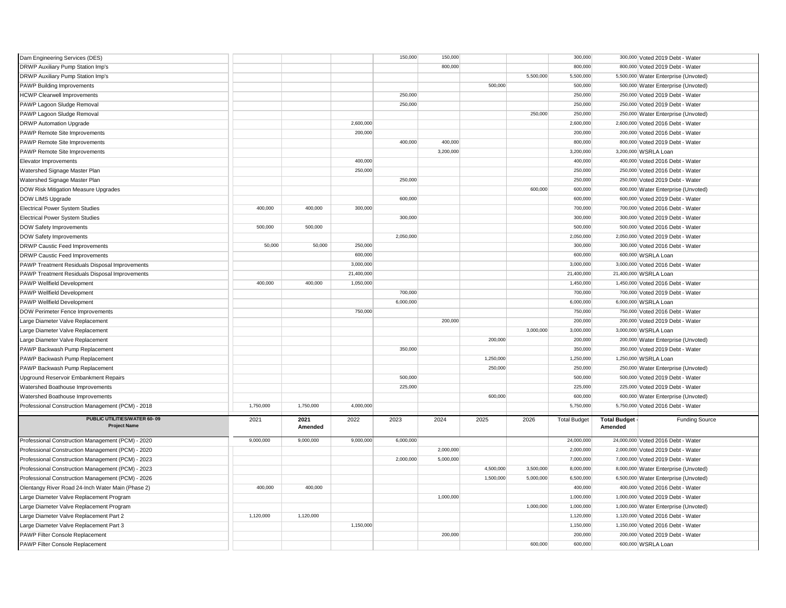| Dam Engineering Services (DES)                             |           |                 |            | 150,000   | 150,000   |           |           | 300,000             |                                | 300,000 Voted 2019 Debt - Water      |
|------------------------------------------------------------|-----------|-----------------|------------|-----------|-----------|-----------|-----------|---------------------|--------------------------------|--------------------------------------|
| DRWP Auxiliary Pump Station Imp's                          |           |                 |            |           | 800,000   |           |           | 800,000             |                                | 800,000 Voted 2019 Debt - Water      |
| DRWP Auxiliary Pump Station Imp's                          |           |                 |            |           |           |           | 5,500,000 | 5,500,000           |                                | 5,500,000 Water Enterprise (Unvoted) |
| PAWP Building Improvements                                 |           |                 |            |           |           | 500,000   |           | 500,000             |                                | 500,000 Water Enterprise (Unvoted)   |
| <b>HCWP Clearwell Improvements</b>                         |           |                 |            | 250,000   |           |           |           | 250,000             |                                | 250,000 Voted 2019 Debt - Water      |
| PAWP Lagoon Sludge Removal                                 |           |                 |            | 250,000   |           |           |           | 250,000             |                                | 250,000 Voted 2019 Debt - Water      |
| PAWP Lagoon Sludge Removal                                 |           |                 |            |           |           |           | 250,000   | 250,000             |                                | 250,000 Water Enterprise (Unvoted)   |
| <b>DRWP Automation Upgrade</b>                             |           |                 | 2,600,000  |           |           |           |           | 2,600,000           |                                | 2,600,000 Voted 2016 Debt - Water    |
| PAWP Remote Site Improvements                              |           |                 | 200,000    |           |           |           |           | 200,000             |                                | 200,000 Voted 2016 Debt - Water      |
| PAWP Remote Site Improvements                              |           |                 |            | 400,000   | 400,000   |           |           | 800,000             |                                | 800,000 Voted 2019 Debt - Water      |
| PAWP Remote Site Improvements                              |           |                 |            |           | 3,200,000 |           |           | 3,200,000           |                                | 3,200,000 WSRLA Loan                 |
| Elevator Improvements                                      |           |                 | 400,000    |           |           |           |           | 400,000             |                                | 400,000 Voted 2016 Debt - Water      |
| Watershed Signage Master Plan                              |           |                 | 250,000    |           |           |           |           | 250,000             |                                | 250,000 Voted 2016 Debt - Water      |
| Watershed Signage Master Plan                              |           |                 |            | 250,000   |           |           |           | 250,000             |                                | 250,000 Voted 2019 Debt - Water      |
| DOW Risk Mitigation Measure Upgrades                       |           |                 |            |           |           |           | 600,000   | 600,000             |                                | 600,000 Water Enterprise (Unvoted)   |
| DOW LIMS Upgrade                                           |           |                 |            | 600,000   |           |           |           | 600,000             |                                | 600,000 Voted 2019 Debt - Water      |
| <b>Electrical Power System Studies</b>                     | 400,000   | 400.000         | 300,000    |           |           |           |           | 700,000             |                                | 700,000 Voted 2016 Debt - Water      |
| <b>Electrical Power System Studies</b>                     |           |                 |            | 300,000   |           |           |           | 300,000             |                                | 300,000 Voted 2019 Debt - Water      |
| DOW Safety Improvements                                    | 500,000   | 500,000         |            |           |           |           |           | 500,000             |                                | 500,000 Voted 2016 Debt - Water      |
| DOW Safety Improvements                                    |           |                 |            | 2,050,000 |           |           |           | 2,050,000           |                                | 2,050,000 Voted 2019 Debt - Water    |
| DRWP Caustic Feed Improvements                             | 50,000    | 50,000          | 250,000    |           |           |           |           | 300,000             |                                | 300,000 Voted 2016 Debt - Water      |
| <b>DRWP Caustic Feed Improvements</b>                      |           |                 | 600,000    |           |           |           |           | 600,000             |                                | 600,000 WSRLA Loan                   |
| PAWP Treatment Residuals Disposal Improvements             |           |                 | 3,000,000  |           |           |           |           | 3,000,000           |                                | 3,000,000 Voted 2016 Debt - Water    |
| PAWP Treatment Residuals Disposal Improvements             |           |                 | 21,400,000 |           |           |           |           | 21,400,000          |                                | 21,400,000 WSRLA Loan                |
| PAWP Wellfield Development                                 | 400,000   | 400,000         | 1,050,000  |           |           |           |           | 1,450,000           |                                | 1,450,000 Voted 2016 Debt - Water    |
| PAWP Wellfield Development                                 |           |                 |            | 700,000   |           |           |           | 700,000             |                                | 700,000 Voted 2019 Debt - Water      |
| PAWP Wellfield Development                                 |           |                 |            | 6,000,000 |           |           |           | 6,000,000           |                                | 6,000,000 WSRLA Loan                 |
| DOW Perimeter Fence Improvements                           |           |                 | 750,000    |           |           |           |           | 750,000             |                                | 750,000 Voted 2016 Debt - Water      |
| Large Diameter Valve Replacement                           |           |                 |            |           | 200,000   |           |           | 200,000             |                                | 200,000 Voted 2019 Debt - Water      |
| Large Diameter Valve Replacement                           |           |                 |            |           |           |           | 3,000,000 | 3,000,000           |                                | 3,000,000 WSRLA Loan                 |
| Large Diameter Valve Replacement                           |           |                 |            |           |           | 200,000   |           | 200,000             |                                | 200,000 Water Enterprise (Unvoted)   |
| PAWP Backwash Pump Replacement                             |           |                 |            | 350,000   |           |           |           | 350,000             |                                | 350,000 Voted 2019 Debt - Water      |
| PAWP Backwash Pump Replacement                             |           |                 |            |           |           | 1,250,000 |           | 1,250,000           |                                | 1,250,000 WSRLA Loan                 |
| PAWP Backwash Pump Replacement                             |           |                 |            |           |           | 250,000   |           | 250,000             |                                | 250,000 Water Enterprise (Unvoted)   |
| Upground Reservoir Embankment Repairs                      |           |                 |            | 500,000   |           |           |           | 500,000             |                                | 500,000 Voted 2019 Debt - Water      |
| Watershed Boathouse Improvements                           |           |                 |            | 225,000   |           |           |           | 225,000             |                                | 225,000 Voted 2019 Debt - Water      |
| Watershed Boathouse Improvements                           |           |                 |            |           |           | 600,000   |           | 600,000             |                                | 600,000 Water Enterprise (Unvoted)   |
| Professional Construction Management (PCM) - 2018          | 1,750,000 | 1,750,000       | 4,000,000  |           |           |           |           | 5,750,000           |                                | 5,750,000 Voted 2016 Debt - Water    |
| <b>PUBLIC UTILITIES/WATER 60-09</b><br><b>Project Name</b> | 2021      | 2021<br>Amended | 2022       | 2023      | 2024      | 2025      | 2026      | <b>Total Budget</b> | <b>Total Budget</b><br>Amended | <b>Funding Source</b>                |
| Professional Construction Management (PCM) - 2020          | 9,000,000 | 9,000,000       | 9,000,000  | 6,000,000 |           |           |           | 24,000,000          |                                | 24,000,000 Voted 2016 Debt - Water   |
| Professional Construction Management (PCM) - 2020          |           |                 |            |           | 2,000,000 |           |           | 2,000,000           |                                | 2,000,000 Voted 2019 Debt - Water    |
| Professional Construction Management (PCM) - 2023          |           |                 |            | 2,000,000 | 5,000,000 |           |           | 7,000,000           |                                | 7,000,000 Voted 2019 Debt - Water    |
| Professional Construction Management (PCM) - 2023          |           |                 |            |           |           | 4,500,000 | 3,500,000 | 8,000,000           |                                | 8,000,000 Water Enterprise (Unvoted) |
| Professional Construction Management (PCM) - 2026          |           |                 |            |           |           | 1,500,000 | 5,000,000 | 6,500,000           |                                | 6,500,000 Water Enterprise (Unvoted) |
| Olentangy River Road 24-Inch Water Main (Phase 2)          | 400,000   | 400,000         |            |           |           |           |           | 400,000             |                                | 400,000 Voted 2016 Debt - Water      |
| Large Diameter Valve Replacement Program                   |           |                 |            |           | 1,000,000 |           |           | 1,000,000           |                                | 1,000,000 Voted 2019 Debt - Water    |
| Large Diameter Valve Replacement Program                   |           |                 |            |           |           |           | 1,000,000 | 1.000.000           |                                | 1,000,000 Water Enterprise (Unvoted) |
| Large Diameter Valve Replacement Part 2                    | 1,120,000 | 1,120,000       |            |           |           |           |           | 1,120,000           |                                | 1,120,000 Voted 2016 Debt - Water    |
| Large Diameter Valve Replacement Part 3                    |           |                 | 1,150,000  |           |           |           |           | 1,150,000           |                                | 1,150,000 Voted 2016 Debt - Water    |
| PAWP Filter Console Replacement                            |           |                 |            |           | 200,000   |           |           | 200,000             |                                | 200,000 Voted 2019 Debt - Water      |
| PAWP Filter Console Replacement                            |           |                 |            |           |           |           | 600,000   | 600,000             |                                | 600,000 WSRLA Loan                   |
|                                                            |           |                 |            |           |           |           |           |                     |                                |                                      |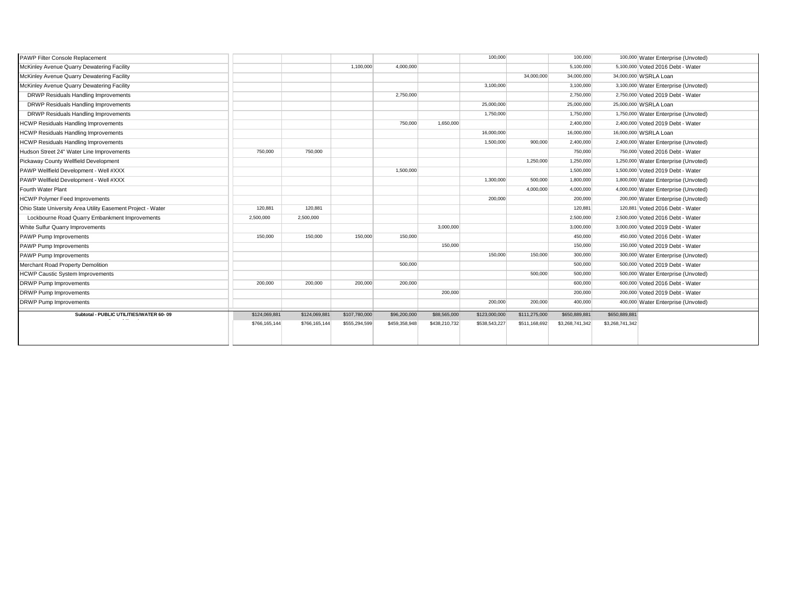| PAWP Filter Console Replacement                             |               |               |               |               |               | 100,000       |               | 100,000         |                 | 100,000 Water Enterprise (Unvoted)   |
|-------------------------------------------------------------|---------------|---------------|---------------|---------------|---------------|---------------|---------------|-----------------|-----------------|--------------------------------------|
| McKinley Avenue Quarry Dewatering Facility                  |               |               | 1,100,000     | 4,000,000     |               |               |               | 5,100,000       |                 | 5,100,000 Voted 2016 Debt - Water    |
| McKinley Avenue Quarry Dewatering Facility                  |               |               |               |               |               |               | 34,000,000    | 34,000,000      |                 | 34,000,000 WSRLA Loan                |
| McKinley Avenue Quarry Dewatering Facility                  |               |               |               |               |               | 3,100,000     |               | 3,100,000       |                 | 3,100,000 Water Enterprise (Unvoted) |
| DRWP Residuals Handling Improvements                        |               |               |               | 2,750,000     |               |               |               | 2,750,000       |                 | 2,750,000 Voted 2019 Debt - Water    |
| DRWP Residuals Handling Improvements                        |               |               |               |               |               | 25,000,000    |               | 25,000,000      |                 | 25,000,000 WSRLA Loan                |
| DRWP Residuals Handling Improvements                        |               |               |               |               |               | 1,750,000     |               | 1.750.000       |                 | 1,750,000 Water Enterprise (Unvoted) |
| <b>HCWP Residuals Handling Improvements</b>                 |               |               |               | 750,000       | 1.650.000     |               |               | 2,400,000       |                 | 2,400,000 Voted 2019 Debt - Water    |
| <b>HCWP Residuals Handling Improvements</b>                 |               |               |               |               |               | 16,000,000    |               | 16,000,000      |                 | 16,000,000 WSRLA Loan                |
| <b>HCWP Residuals Handling Improvements</b>                 |               |               |               |               |               | 1.500.000     | 900,000       | 2,400,000       |                 | 2,400,000 Water Enterprise (Unvoted) |
| Hudson Street 24" Water Line Improvements                   | 750,000       | 750,000       |               |               |               |               |               | 750,000         |                 | 750,000 Voted 2016 Debt - Water      |
| Pickaway County Wellfield Development                       |               |               |               |               |               |               | 1,250,000     | 1,250,000       |                 | 1,250,000 Water Enterprise (Unvoted) |
| PAWP Wellfield Development - Well #XXX                      |               |               |               | 1,500,000     |               |               |               | 1,500,000       |                 | 1,500,000 Voted 2019 Debt - Water    |
| PAWP Wellfield Development - Well #XXX                      |               |               |               |               |               | 1,300,000     | 500,000       | 1,800,000       |                 | 1,800,000 Water Enterprise (Unvoted) |
| Fourth Water Plant                                          |               |               |               |               |               |               | 4,000,000     | 4,000,000       |                 | 4,000,000 Water Enterprise (Unvoted) |
| <b>HCWP Polymer Feed Improvements</b>                       |               |               |               |               |               | 200,000       |               | 200,000         |                 | 200,000 Water Enterprise (Unvoted)   |
| Ohio State University Area Utility Easement Project - Water | 120,881       | 120,881       |               |               |               |               |               | 120,881         |                 | 120,881 Voted 2016 Debt - Water      |
| Lockbourne Road Quarry Embankment Improvements              | 2,500,000     | 2,500,000     |               |               |               |               |               | 2,500,000       |                 | 2,500,000 Voted 2016 Debt - Water    |
| White Sulfur Quarry Improvements                            |               |               |               |               | 3,000,000     |               |               | 3,000,000       |                 | 3,000,000 Voted 2019 Debt - Water    |
| PAWP Pump Improvements                                      | 150,000       | 150,000       | 150,000       | 150,000       |               |               |               | 450,000         |                 | 450,000 Voted 2016 Debt - Water      |
| PAWP Pump Improvements                                      |               |               |               |               | 150,000       |               |               | 150,000         |                 | 150,000 Voted 2019 Debt - Water      |
| PAWP Pump Improvements                                      |               |               |               |               |               | 150,000       | 150,000       | 300,000         |                 | 300,000 Water Enterprise (Unvoted)   |
| Merchant Road Property Demolition                           |               |               |               | 500,000       |               |               |               | 500,000         |                 | 500,000 Voted 2019 Debt - Water      |
| <b>HCWP Caustic System Improvements</b>                     |               |               |               |               |               |               | 500,000       | 500,000         |                 | 500,000 Water Enterprise (Unvoted)   |
| <b>DRWP Pump Improvements</b>                               | 200,000       | 200.000       | 200,000       | 200,000       |               |               |               | 600,000         |                 | 600,000 Voted 2016 Debt - Water      |
| <b>DRWP Pump Improvements</b>                               |               |               |               |               | 200,000       |               |               | 200,000         |                 | 200,000 Voted 2019 Debt - Water      |
| <b>DRWP Pump Improvements</b>                               |               |               |               |               |               | 200,000       | 200,000       | 400.000         |                 | 400,000 Water Enterprise (Unvoted)   |
| Subtotal - PUBLIC UTILITIES/WATER 60-09<br>$\cdots$         | \$124,069,881 | \$124,069,881 | \$107,780,000 | \$96,200,000  | \$88,565,000  | \$123,000,000 | \$111,275,000 | \$650,889,881   | \$650,889,881   |                                      |
|                                                             | \$766,165,144 | \$766,165,144 | \$555,294,599 | \$459,358,948 | \$438,210,732 | \$538,543,227 | \$511,168,692 | \$3,268,741,342 | \$3,268,741,342 |                                      |
|                                                             |               |               |               |               |               |               |               |                 |                 |                                      |
|                                                             |               |               |               |               |               |               |               |                 |                 |                                      |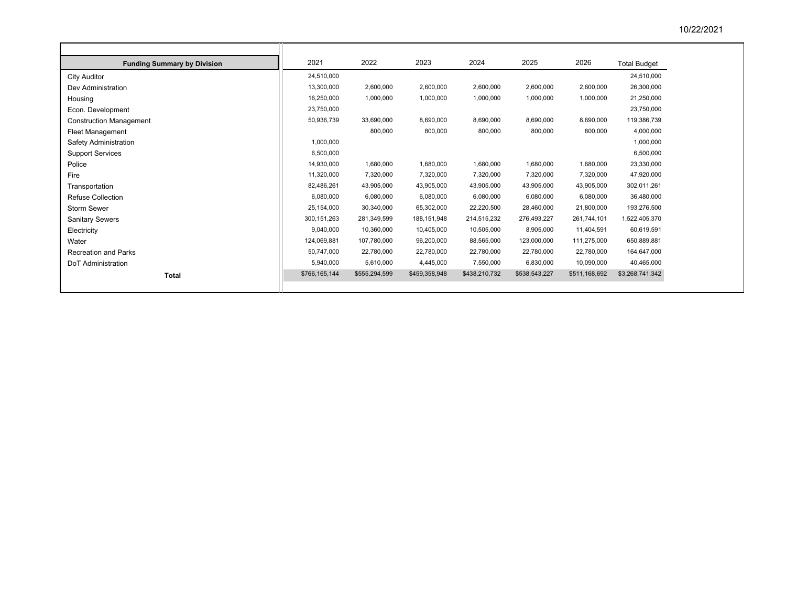| <b>Funding Summary by Division</b> | 2021          | 2022          | 2023          | 2024          | 2025          | 2026          | <b>Total Budget</b> |
|------------------------------------|---------------|---------------|---------------|---------------|---------------|---------------|---------------------|
| City Auditor                       | 24,510,000    |               |               |               |               |               | 24,510,000          |
| Dev Administration                 | 13,300,000    | 2,600,000     | 2,600,000     | 2,600,000     | 2,600,000     | 2,600,000     | 26,300,000          |
| Housing                            | 16,250,000    | 1,000,000     | 1,000,000     | 1,000,000     | 1,000,000     | 1,000,000     | 21,250,000          |
| Econ. Development                  | 23,750,000    |               |               |               |               |               | 23,750,000          |
| <b>Construction Management</b>     | 50,936,739    | 33,690,000    | 8,690,000     | 8,690,000     | 8,690,000     | 8,690,000     | 119,386,739         |
| <b>Fleet Management</b>            |               | 800,000       | 800,000       | 800,000       | 800,000       | 800,000       | 4,000,000           |
| Safety Administration              | 1,000,000     |               |               |               |               |               | 1,000,000           |
| <b>Support Services</b>            | 6,500,000     |               |               |               |               |               | 6,500,000           |
| Police                             | 14,930,000    | 1,680,000     | 1,680,000     | 1,680,000     | 1,680,000     | 1,680,000     | 23,330,000          |
| Fire                               | 11,320,000    | 7,320,000     | 7,320,000     | 7,320,000     | 7,320,000     | 7,320,000     | 47,920,000          |
| Transportation                     | 82,486,261    | 43,905,000    | 43,905,000    | 43,905,000    | 43,905,000    | 43,905,000    | 302,011,261         |
| <b>Refuse Collection</b>           | 6,080,000     | 6,080,000     | 6,080,000     | 6,080,000     | 6,080,000     | 6,080,000     | 36,480,000          |
| Storm Sewer                        | 25,154,000    | 30,340,000    | 65,302,000    | 22,220,500    | 28,460,000    | 21,800,000    | 193,276,500         |
| <b>Sanitary Sewers</b>             | 300,151,263   | 281,349,599   | 188, 151, 948 | 214,515,232   | 276,493,227   | 261,744,101   | 1,522,405,370       |
| Electricity                        | 9.040.000     | 10,360,000    | 10,405,000    | 10,505,000    | 8,905,000     | 11,404,591    | 60,619,591          |
| Water                              | 124,069,881   | 107,780,000   | 96,200,000    | 88,565,000    | 123,000,000   | 111,275,000   | 650,889,881         |
| <b>Recreation and Parks</b>        | 50,747,000    | 22,780,000    | 22,780,000    | 22,780,000    | 22,780,000    | 22,780,000    | 164,647,000         |
| DoT Administration                 | 5,940,000     | 5,610,000     | 4,445,000     | 7,550,000     | 6,830,000     | 10,090,000    | 40,465,000          |
| <b>Total</b>                       | \$766,165,144 | \$555,294,599 | \$459,358,948 | \$438,210,732 | \$538,543,227 | \$511,168,692 | \$3,268,741,342     |